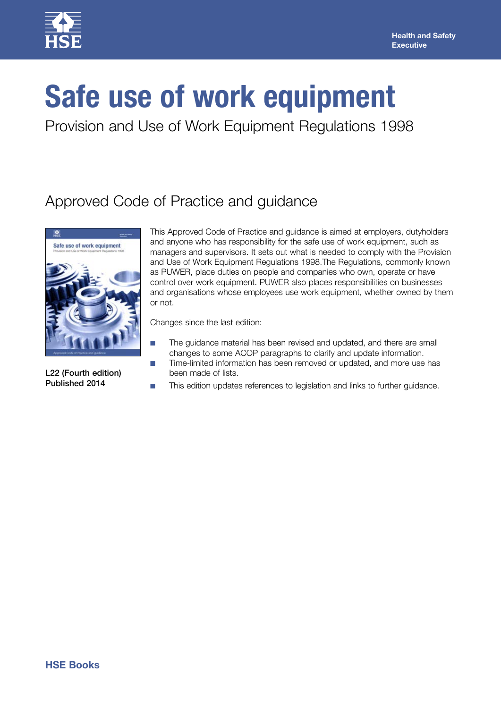

# **Safe use of work equipment**

Provision and Use of Work Equipment Regulations 1998

# Approved Code of Practice and guidance



L22 (Fourth edition) Published 2014

This Approved Code of Practice and guidance is aimed at employers, dutyholders and anyone who has responsibility for the safe use of work equipment, such as managers and supervisors. It sets out what is needed to comply with the Provision and Use of Work Equipment Regulations 1998.The Regulations, commonly known as PUWER, place duties on people and companies who own, operate or have control over work equipment. PUWER also places responsibilities on businesses and organisations whose employees use work equipment, whether owned by them or not.

Changes since the last edition:

- The guidance material has been revised and updated, and there are small changes to some ACOP paragraphs to clarify and update information.
	- Time-limited information has been removed or updated, and more use has been made of lists.
- This edition updates references to legislation and links to further guidance.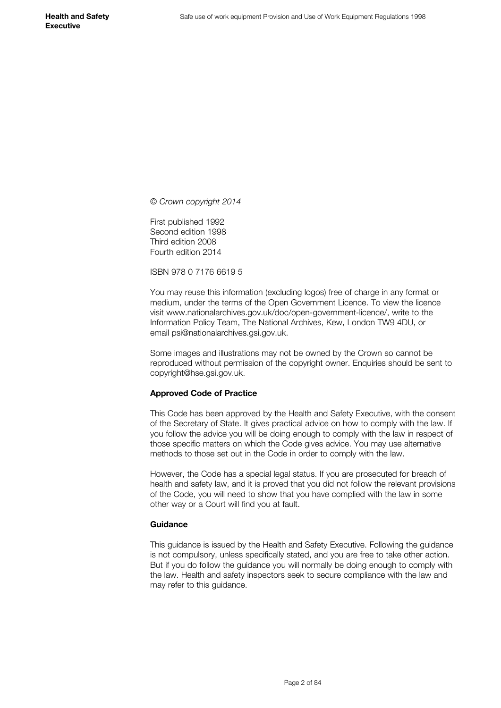*© Crown copyright 2014*

First published 1992 Second edition 1998 Third edition 2008 Fourth edition 2014

ISBN 978 0 7176 6619 5

You may reuse this information (excluding logos) free of charge in any format or medium, under the terms of the Open Government Licence. To view the licence visit www.nationalarchives.gov.uk/doc/open-government-licence/, write to the Information Policy Team, The National Archives, Kew, London TW9 4DU, or email psi@nationalarchives.gsi.gov.uk.

Some images and illustrations may not be owned by the Crown so cannot be reproduced without permission of the copyright owner. Enquiries should be sent to copyright@hse.gsi.gov.uk.

#### **Approved Code of Practice**

This Code has been approved by the Health and Safety Executive, with the consent of the Secretary of State. It gives practical advice on how to comply with the law. If you follow the advice you will be doing enough to comply with the law in respect of those specific matters on which the Code gives advice. You may use alternative methods to those set out in the Code in order to comply with the law.

However, the Code has a special legal status. If you are prosecuted for breach of health and safety law, and it is proved that you did not follow the relevant provisions of the Code, you will need to show that you have complied with the law in some other way or a Court will find you at fault.

#### **Guidance**

This guidance is issued by the Health and Safety Executive. Following the guidance is not compulsory, unless specifically stated, and you are free to take other action. But if you do follow the guidance you will normally be doing enough to comply with the law. Health and safety inspectors seek to secure compliance with the law and may refer to this guidance.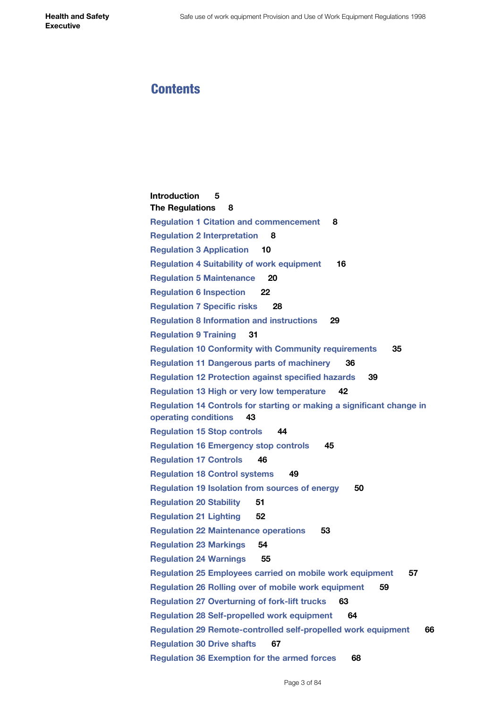## **Contents**

**[Introduction](#page-4-0) 5 The Regulations 8 [Regulation 1 Citation and commencement](#page-7-0) 8 [Regulation 2 Interpretation 8](#page-7-0) [Regulation 3 Application 10](#page-9-0) [Regulation 4 Suitability of work equipment 16](#page-15-0) [Regulation 5 Maintenance 20](#page-19-0) [Regulation 6 Inspection 22](#page-21-0) [Regulation 7 Specific risks 28](#page-27-0) [Regulation 8 Information and instructions 29](#page-28-0) [Regulation 9 Training 3](#page-34-0)1 [Regulation 10 Conformity with Community requirements 35](#page-34-0) [Regulation 11 Dangerous parts of machinery 36](#page-35-0) [Regulation 12 Protection against specified hazards 39](#page-38-0) [Regulation 13 High or very low temperature 4](#page-40-0)2 [Regulation 14 Controls for starting or making a significant change in](#page-41-0)  [operating conditions 4](#page-41-0)3 [Regulation 15 Stop controls 44](#page-43-0) [Regulation 16 Emergency stop controls 45](#page-44-0) [Regulation 17 Controls 46](#page-45-0) [Regulation 18 Control systems 49](#page-48-0) [Regulation 19 Isolation from sources of energy 50](#page-49-0) [Regulation 20 Stability 51](#page-50-0) [Regulation 21 Lighting 52](#page-51-0) [Regulation 22 Maintenance operations 53](#page-52-0) [Regulation 23 Markings 54](#page-53-0) [Regulation 24 Warnings 55](#page-54-0) [Regulation 25 Employees carried on mobile work equipment 57](#page-56-0) [Regulation 26 Rolling over of mobile work equipment 59](#page-58-0) [Regulation 27 Overturning of fork-lift trucks 63](#page-62-0) [Regulation 28 Self-propelled work equipment 64](#page-63-0) [Regulation 29 Remote-controlled self-propelled work equipment 66](#page-65-0) [Regulation 30 Drive shafts 67](#page-66-0) [Regulation 36 Exemption for the armed forces 68](#page-67-0)**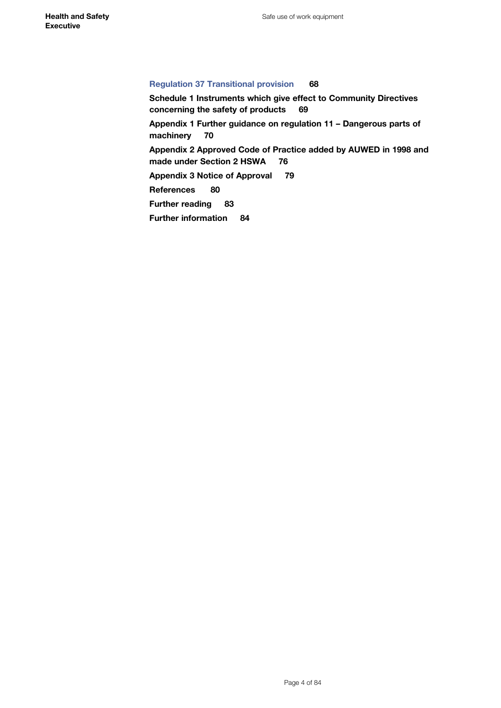#### **[Regulation 37 Transitional provision 68](#page-67-0)**

**[Schedule 1 Instruments which give effect to Community Directives](#page-68-0)  [concerning the safety of products 69](#page-68-0)**

**[Appendix 1 Further guidance on regulation 11 – Dangerous parts of](#page-69-0)  [machinery 70](#page-69-0)**

**[Appendix 2 Approved Code of Practice added by AUWED in 1998 and](#page-75-0)  [made under Section 2 HSWA 76](#page-75-0)**

**[Appendix 3 Notice of Approval 79](#page-78-0)**

**[References 80](#page-79-0)**

**[Further reading 83](#page-82-0)**

**[Further information 84](#page-83-0)**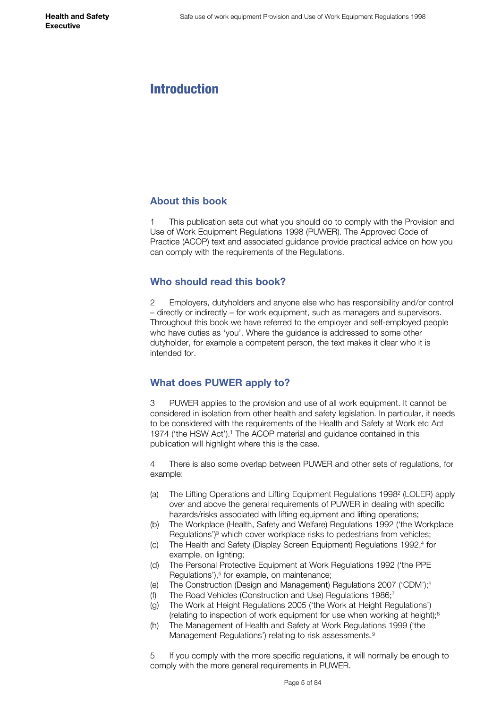# <span id="page-4-0"></span>**Introduction**

#### **About this book**

1 This publication sets out what you should do to comply with the Provision and Use of Work Equipment Regulations 1998 (PUWER). The Approved Code of Practice (ACOP) text and associated guidance provide practical advice on how you can comply with the requirements of the Regulations.

#### **Who should read this book?**

2 Employers, dutyholders and anyone else who has responsibility and/or control – directly or indirectly – for work equipment, such as managers and supervisors. Throughout this book we have referred to the employer and self-employed people who have duties as 'you'. Where the guidance is addressed to some other dutyholder, for example a competent person, the text makes it clear who it is intended for.

## **What does PUWER apply to?**

3 PUWER applies to the provision and use of all work equipment. It cannot be considered in isolation from other health and safety legislation. In particular, it needs to be considered with the requirements of the Health and Safety at Work etc Act 1974 ('the HSW Act').1 The ACOP material and guidance contained in this publication will highlight where this is the case.

4 There is also some overlap between PUWER and other sets of regulations, for example:

- (a) The Lifting Operations and Lifting Equipment Regulations 19982 (LOLER) apply over and above the general requirements of PUWER in dealing with specific hazards/risks associated with lifting equipment and lifting operations;
- (b) The Workplace (Health, Safety and Welfare) Regulations 1992 ('the Workplace Regulations')<sup>3</sup> which cover workplace risks to pedestrians from vehicles;
- (c) The Health and Safety (Display Screen Equipment) Regulations 1992,<sup>4</sup> for example, on lighting;
- (d) The Personal Protective Equipment at Work Regulations 1992 ('the PPE Regulations'),<sup>5</sup> for example, on maintenance;
- (e) The Construction (Design and Management) Regulations 2007 ('CDM');6
- (f) The Road Vehicles (Construction and Use) Regulations 1986;7
- (g) The Work at Height Regulations 2005 ('the Work at Height Regulations') (relating to inspection of work equipment for use when working at height);8
- (h) The Management of Health and Safety at Work Regulations 1999 ('the Management Regulations') relating to risk assessments.<sup>9</sup>

5 If you comply with the more specific regulations, it will normally be enough to comply with the more general requirements in PUWER.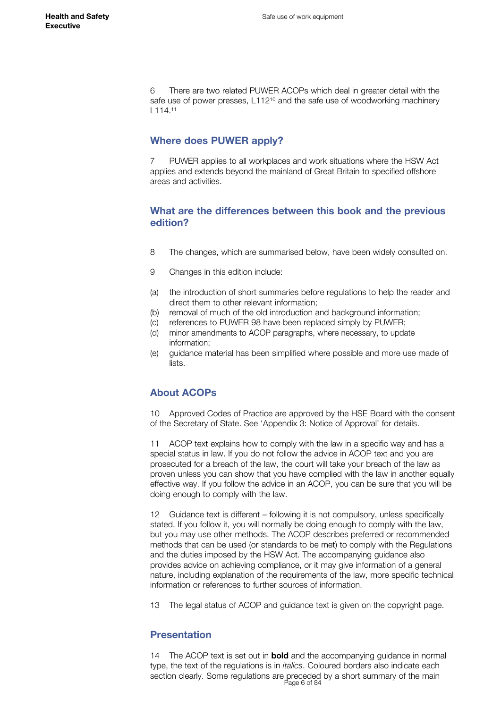6 There are two related PUWER ACOPs which deal in greater detail with the safe use of power presses. L112<sup>10</sup> and the safe use of woodworking machinery L114.11

#### **Where does PUWER apply?**

7 PUWER applies to all workplaces and work situations where the HSW Act applies and extends beyond the mainland of Great Britain to specified offshore areas and activities.

#### **What are the differences between this book and the previous edition?**

- 8 The changes, which are summarised below, have been widely consulted on.
- 9 Changes in this edition include:
- (a) the introduction of short summaries before regulations to help the reader and direct them to other relevant information;
- (b) removal of much of the old introduction and background information;
- (c) references to PUWER 98 have been replaced simply by PUWER;
- (d) minor amendments to ACOP paragraphs, where necessary, to update information;
- (e) guidance material has been simplified where possible and more use made of lists.

#### **About ACOPs**

10 Approved Codes of Practice are approved by the HSE Board with the consent of the Secretary of State. See 'Appendix 3: Notice of Approval' for details.

11 ACOP text explains how to comply with the law in a specific way and has a special status in law. If you do not follow the advice in ACOP text and you are prosecuted for a breach of the law, the court will take your breach of the law as proven unless you can show that you have complied with the law in another equally effective way. If you follow the advice in an ACOP, you can be sure that you will be doing enough to comply with the law.

12 Guidance text is different – following it is not compulsory, unless specifically stated. If you follow it, you will normally be doing enough to comply with the law, but you may use other methods. The ACOP describes preferred or recommended methods that can be used (or standards to be met) to comply with the Regulations and the duties imposed by the HSW Act. The accompanying guidance also provides advice on achieving compliance, or it may give information of a general nature, including explanation of the requirements of the law, more specific technical information or references to further sources of information.

13 The legal status of ACOP and guidance text is given on the copyright page.

#### **Presentation**

Page 6 of 84 14 The ACOP text is set out in **bold** and the accompanying guidance in normal type, the text of the regulations is in *italics*. Coloured borders also indicate each section clearly. Some regulations are preceded by a short summary of the main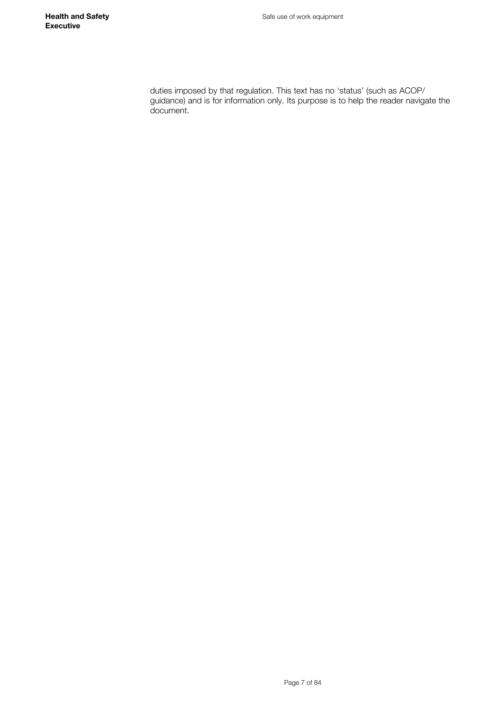duties imposed by that regulation. This text has no 'status' (such as ACOP/ guidance) and is for information only. Its purpose is to help the reader navigate the document.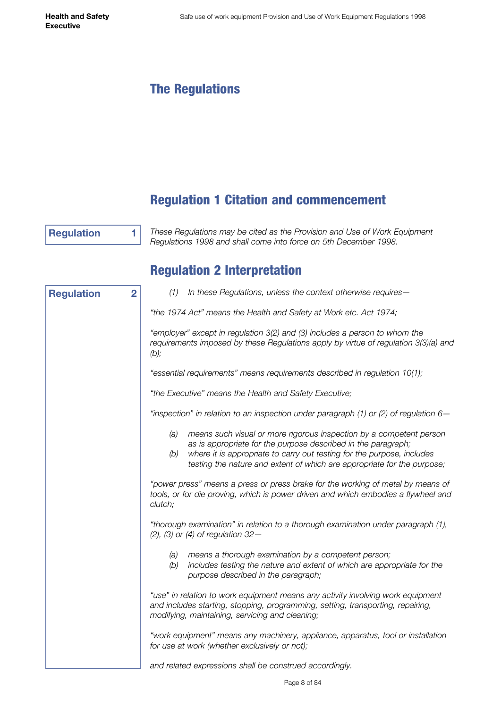## <span id="page-7-0"></span>The Regulations

# Regulation 1 Citation and commencement

**Regulation 1**

*These Regulations may be cited as the Provision and Use of Work Equipment Regulations 1998 and shall come into force on 5th December 1998.*

## Regulation 2 Interpretation

| $\overline{2}$<br><b>Regulation</b> | In these Regulations, unless the context otherwise requires-<br>(1)                                                                                                                                                                                                                                     |
|-------------------------------------|---------------------------------------------------------------------------------------------------------------------------------------------------------------------------------------------------------------------------------------------------------------------------------------------------------|
|                                     | "the 1974 Act" means the Health and Safety at Work etc. Act 1974;                                                                                                                                                                                                                                       |
|                                     | "employer" except in regulation 3(2) and (3) includes a person to whom the<br>requirements imposed by these Regulations apply by virtue of regulation 3(3)(a) and<br>$(b)$ ;                                                                                                                            |
|                                     | "essential requirements" means requirements described in regulation 10(1);                                                                                                                                                                                                                              |
|                                     | "the Executive" means the Health and Safety Executive;                                                                                                                                                                                                                                                  |
|                                     | "inspection" in relation to an inspection under paragraph $(1)$ or (2) of regulation 6–                                                                                                                                                                                                                 |
|                                     | means such visual or more rigorous inspection by a competent person<br>(a)<br>as is appropriate for the purpose described in the paragraph;<br>where it is appropriate to carry out testing for the purpose, includes<br>(b)<br>testing the nature and extent of which are appropriate for the purpose; |
|                                     | "power press" means a press or press brake for the working of metal by means of<br>tools, or for die proving, which is power driven and which embodies a flywheel and<br>clutch;                                                                                                                        |
|                                     | "thorough examination" in relation to a thorough examination under paragraph (1),<br>$(2)$ , $(3)$ or $(4)$ of regulation 32-                                                                                                                                                                           |
|                                     | means a thorough examination by a competent person;<br>(a)<br>includes testing the nature and extent of which are appropriate for the<br>(b)<br>purpose described in the paragraph;                                                                                                                     |
|                                     | "use" in relation to work equipment means any activity involving work equipment<br>and includes starting, stopping, programming, setting, transporting, repairing,<br>modifying, maintaining, servicing and cleaning;                                                                                   |
|                                     | "work equipment" means any machinery, appliance, apparatus, tool or installation<br>for use at work (whether exclusively or not);                                                                                                                                                                       |
|                                     | and related expressions shall be construed accordingly.                                                                                                                                                                                                                                                 |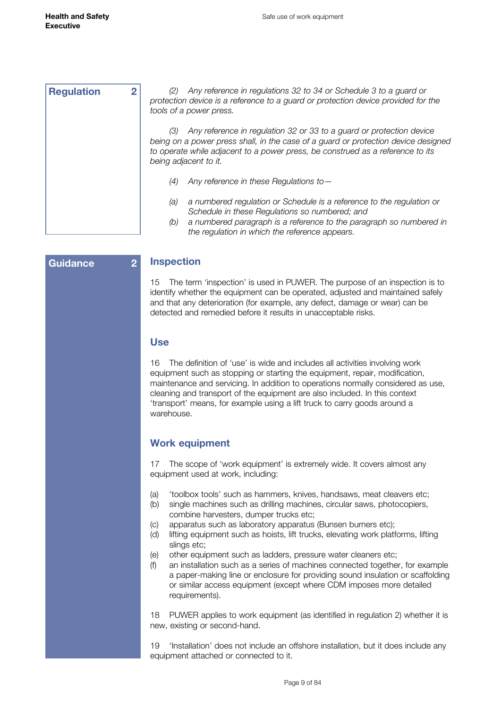

**Guidance 2**

*(2) Any reference in regulations 32 to 34 or Schedule 3 to a guard or protection device is a reference to a guard or protection device provided for the tools of a power press.*

*(3) Any reference in regulation 32 or 33 to a guard or protection device being on a power press shall, in the case of a guard or protection device designed to operate while adjacent to a power press, be construed as a reference to its being adjacent to it.*

- *(4) Any reference in these Regulations to—*
- *(a) a numbered regulation or Schedule is a reference to the regulation or Schedule in these Regulations so numbered; and*
- *(b) a numbered paragraph is a reference to the paragraph so numbered in the regulation in which the reference appears.*

#### **Inspection**

15 The term 'inspection' is used in PUWER. The purpose of an inspection is to identify whether the equipment can be operated, adjusted and maintained safely and that any deterioration (for example, any defect, damage or wear) can be detected and remedied before it results in unacceptable risks.

#### **Use**

16 The definition of 'use' is wide and includes all activities involving work equipment such as stopping or starting the equipment, repair, modification, maintenance and servicing. In addition to operations normally considered as use, cleaning and transport of the equipment are also included. In this context 'transport' means, for example using a lift truck to carry goods around a warehouse.

#### **Work equipment**

17 The scope of 'work equipment' is extremely wide. It covers almost any equipment used at work, including:

- (a) 'toolbox tools' such as hammers, knives, handsaws, meat cleavers etc;
- (b) single machines such as drilling machines, circular saws, photocopiers, combine harvesters, dumper trucks etc;
- (c) apparatus such as laboratory apparatus (Bunsen burners etc);
- (d) lifting equipment such as hoists, lift trucks, elevating work platforms, lifting slings etc;
- (e) other equipment such as ladders, pressure water cleaners etc;
- (f) an installation such as a series of machines connected together, for example a paper-making line or enclosure for providing sound insulation or scaffolding or similar access equipment (except where CDM imposes more detailed requirements).

18 PUWER applies to work equipment (as identified in regulation 2) whether it is new, existing or second-hand.

19 'Installation' does not include an offshore installation, but it does include any equipment attached or connected to it.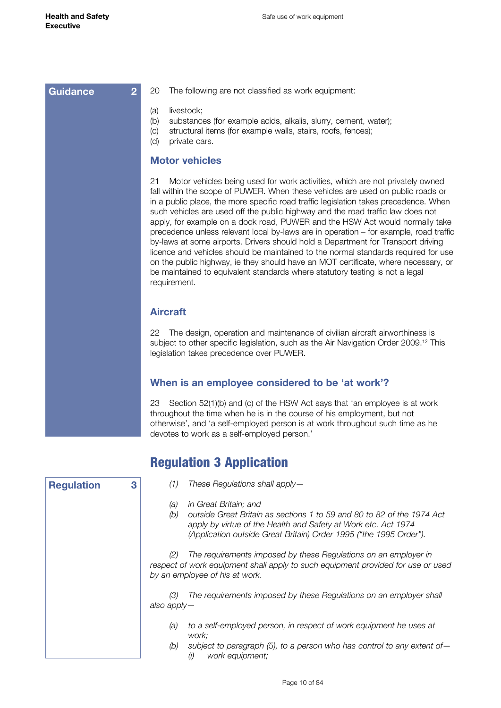<span id="page-9-0"></span>

| <b>Guidance</b> | $\overline{2}$ | 20                       | The following are not classified as work equipment:                                                                                                                                                                                                                                                                                                                                                                                                                                                                                                                                                                                                                                                                                                                                                                                                                                 |
|-----------------|----------------|--------------------------|-------------------------------------------------------------------------------------------------------------------------------------------------------------------------------------------------------------------------------------------------------------------------------------------------------------------------------------------------------------------------------------------------------------------------------------------------------------------------------------------------------------------------------------------------------------------------------------------------------------------------------------------------------------------------------------------------------------------------------------------------------------------------------------------------------------------------------------------------------------------------------------|
|                 |                | (a)<br>(b)<br>(c)<br>(d) | livestock;<br>substances (for example acids, alkalis, slurry, cement, water);<br>structural items (for example walls, stairs, roofs, fences);<br>private cars.                                                                                                                                                                                                                                                                                                                                                                                                                                                                                                                                                                                                                                                                                                                      |
|                 |                |                          | <b>Motor vehicles</b>                                                                                                                                                                                                                                                                                                                                                                                                                                                                                                                                                                                                                                                                                                                                                                                                                                                               |
|                 |                | 21                       | Motor vehicles being used for work activities, which are not privately owned<br>fall within the scope of PUWER. When these vehicles are used on public roads or<br>in a public place, the more specific road traffic legislation takes precedence. When<br>such vehicles are used off the public highway and the road traffic law does not<br>apply, for example on a dock road, PUWER and the HSW Act would normally take<br>precedence unless relevant local by-laws are in operation - for example, road traffic<br>by-laws at some airports. Drivers should hold a Department for Transport driving<br>licence and vehicles should be maintained to the normal standards required for use<br>on the public highway, ie they should have an MOT certificate, where necessary, or<br>be maintained to equivalent standards where statutory testing is not a legal<br>requirement. |
|                 |                |                          | <b>Aircraft</b>                                                                                                                                                                                                                                                                                                                                                                                                                                                                                                                                                                                                                                                                                                                                                                                                                                                                     |
|                 |                | 22                       | The design, operation and maintenance of civilian aircraft airworthiness is<br>subject to other specific legislation, such as the Air Navigation Order 2009. <sup>12</sup> This<br>legislation takes precedence over PUWER.                                                                                                                                                                                                                                                                                                                                                                                                                                                                                                                                                                                                                                                         |
|                 |                |                          | When is an employee considered to be 'at work'?                                                                                                                                                                                                                                                                                                                                                                                                                                                                                                                                                                                                                                                                                                                                                                                                                                     |
|                 |                | 23                       | Section 52(1)(b) and (c) of the HSW Act says that 'an employee is at work<br>throughout the time when he is in the course of his employment, but not<br>otherwise', and 'a self-employed person is at work throughout such time as he<br>devotes to work as a self-employed person.'                                                                                                                                                                                                                                                                                                                                                                                                                                                                                                                                                                                                |

## Regulation 3 Application

- *(1) These Regulations shall apply—*
- *(a) in Great Britain; and*
- *(b) outside Great Britain as sections 1 to 59 and 80 to 82 of the 1974 Act apply by virtue of the Health and Safety at Work etc. Act 1974 (Application outside Great Britain) Order 1995 ("the 1995 Order").*

*(2) The requirements imposed by these Regulations on an employer in respect of work equipment shall apply to such equipment provided for use or used by an employee of his at work.*

*(3) The requirements imposed by these Regulations on an employer shall also apply—*

- *(a) to a self-employed person, in respect of work equipment he uses at work;*
- *(b) subject to paragraph (5), to a person who has control to any extent of— (i) work equipment;*

| <b>Regulation</b> | 3 |
|-------------------|---|
|                   |   |
|                   |   |
|                   |   |
|                   |   |
|                   |   |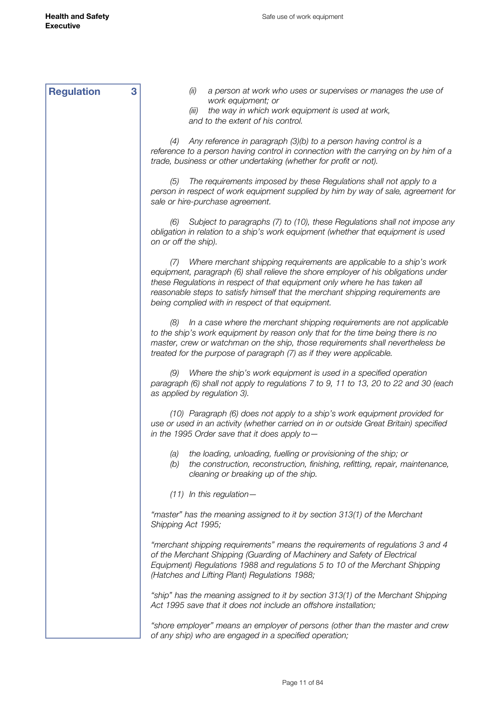| <b>Regulation</b> | 3 | a person at work who uses or supervises or manages the use of<br>(ii)<br>work equipment; or<br>the way in which work equipment is used at work,<br>(iii)<br>and to the extent of his control.                                                                                                                                                                                           |
|-------------------|---|-----------------------------------------------------------------------------------------------------------------------------------------------------------------------------------------------------------------------------------------------------------------------------------------------------------------------------------------------------------------------------------------|
|                   |   | Any reference in paragraph (3)(b) to a person having control is a<br>(4)<br>reference to a person having control in connection with the carrying on by him of a<br>trade, business or other undertaking (whether for profit or not).                                                                                                                                                    |
|                   |   | The requirements imposed by these Regulations shall not apply to a<br>(5)<br>person in respect of work equipment supplied by him by way of sale, agreement for<br>sale or hire-purchase agreement.                                                                                                                                                                                      |
|                   |   | (6) Subject to paragraphs (7) to (10), these Regulations shall not impose any<br>obligation in relation to a ship's work equipment (whether that equipment is used<br>on or off the ship).                                                                                                                                                                                              |
|                   |   | Where merchant shipping requirements are applicable to a ship's work<br>(7)<br>equipment, paragraph (6) shall relieve the shore employer of his obligations under<br>these Regulations in respect of that equipment only where he has taken all<br>reasonable steps to satisfy himself that the merchant shipping requirements are<br>being complied with in respect of that equipment. |
|                   |   | In a case where the merchant shipping requirements are not applicable<br>(8)<br>to the ship's work equipment by reason only that for the time being there is no<br>master, crew or watchman on the ship, those requirements shall nevertheless be<br>treated for the purpose of paragraph (7) as if they were applicable.                                                               |
|                   |   | (9) Where the ship's work equipment is used in a specified operation<br>paragraph (6) shall not apply to regulations 7 to 9, 11 to 13, 20 to 22 and 30 (each<br>as applied by regulation 3).                                                                                                                                                                                            |
|                   |   | (10) Paragraph (6) does not apply to a ship's work equipment provided for<br>use or used in an activity (whether carried on in or outside Great Britain) specified<br>in the 1995 Order save that it does apply to $-$                                                                                                                                                                  |
|                   |   | the loading, unloading, fuelling or provisioning of the ship; or<br>(a)<br>the construction, reconstruction, finishing, refitting, repair, maintenance,<br>(b)<br>cleaning or breaking up of the ship.                                                                                                                                                                                  |
|                   |   | $(11)$ In this regulation -                                                                                                                                                                                                                                                                                                                                                             |
|                   |   | "master" has the meaning assigned to it by section 313(1) of the Merchant<br>Shipping Act 1995;                                                                                                                                                                                                                                                                                         |
|                   |   | "merchant shipping requirements" means the requirements of regulations 3 and 4<br>of the Merchant Shipping (Guarding of Machinery and Safety of Electrical<br>Equipment) Regulations 1988 and regulations 5 to 10 of the Merchant Shipping<br>(Hatches and Lifting Plant) Regulations 1988;                                                                                             |
|                   |   | "ship" has the meaning assigned to it by section 313(1) of the Merchant Shipping<br>Act 1995 save that it does not include an offshore installation;                                                                                                                                                                                                                                    |
|                   |   | "shore employer" means an employer of persons (other than the master and crew<br>of any ship) who are engaged in a specified operation;                                                                                                                                                                                                                                                 |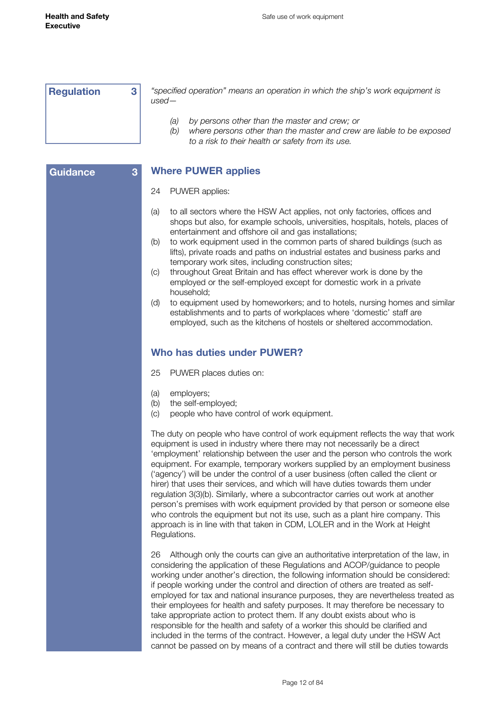**Regulation 3**

**Guidance 3**

*"specified operation" means an operation in which the ship's work equipment is used—*

- *(a) by persons other than the master and crew; or*
- *(b) where persons other than the master and crew are liable to be exposed to a risk to their health or safety from its use.*

#### **Where PUWER applies**

#### 24 PUWER applies:

- (a) to all sectors where the HSW Act applies, not only factories, offices and shops but also, for example schools, universities, hospitals, hotels, places of entertainment and offshore oil and gas installations;
- (b) to work equipment used in the common parts of shared buildings (such as lifts), private roads and paths on industrial estates and business parks and temporary work sites, including construction sites;
- (c) throughout Great Britain and has effect wherever work is done by the employed or the self-employed except for domestic work in a private household;
- (d) to equipment used by homeworkers; and to hotels, nursing homes and similar establishments and to parts of workplaces where 'domestic' staff are employed, such as the kitchens of hostels or sheltered accommodation.

#### **Who has duties under PUWER?**

- 25 PUWER places duties on:
- (a) employers;
- (b) the self-employed;
- (c) people who have control of work equipment.

The duty on people who have control of work equipment reflects the way that work equipment is used in industry where there may not necessarily be a direct 'employment' relationship between the user and the person who controls the work equipment. For example, temporary workers supplied by an employment business ('agency') will be under the control of a user business (often called the client or hirer) that uses their services, and which will have duties towards them under regulation 3(3)(b). Similarly, where a subcontractor carries out work at another person's premises with work equipment provided by that person or someone else who controls the equipment but not its use, such as a plant hire company. This approach is in line with that taken in CDM, LOLER and in the Work at Height Regulations.

26 Although only the courts can give an authoritative interpretation of the law, in considering the application of these Regulations and ACOP/guidance to people working under another's direction, the following information should be considered: if people working under the control and direction of others are treated as selfemployed for tax and national insurance purposes, they are nevertheless treated as their employees for health and safety purposes. It may therefore be necessary to take appropriate action to protect them. If any doubt exists about who is responsible for the health and safety of a worker this should be clarified and included in the terms of the contract. However, a legal duty under the HSW Act cannot be passed on by means of a contract and there will still be duties towards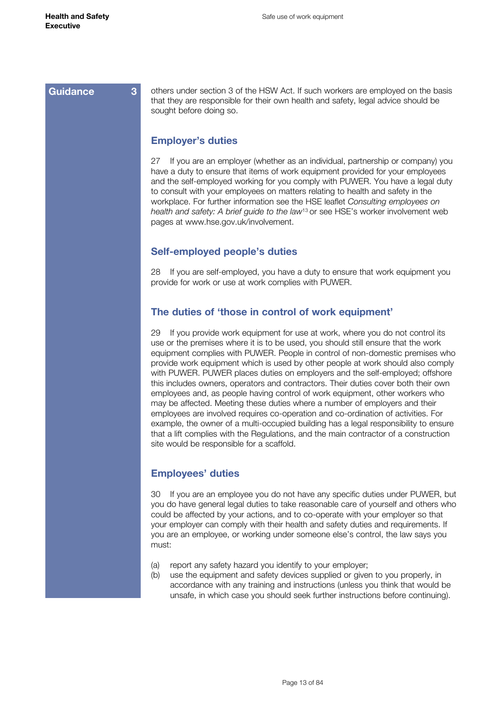#### others under section 3 of the HSW Act. If such workers are employed on the basis that they are responsible for their own health and safety, legal advice should be sought before doing so. **Guidance 3**

#### **Employer's duties**

27 If you are an employer (whether as an individual, partnership or company) you have a duty to ensure that items of work equipment provided for your employees and the self-employed working for you comply with PUWER. You have a legal duty to consult with your employees on matters relating to health and safety in the workplace. For further information see the HSE leaflet *Consulting employees on health and safety: A brief guide to the law*13 or see HSE's worker involvement web pages at www.hse.gov.uk/involvement.

#### **Self-employed people's duties**

28 If you are self-employed, you have a duty to ensure that work equipment you provide for work or use at work complies with PUWER.

#### **The duties of 'those in control of work equipment'**

29 If you provide work equipment for use at work, where you do not control its use or the premises where it is to be used, you should still ensure that the work equipment complies with PUWER. People in control of non-domestic premises who provide work equipment which is used by other people at work should also comply with PUWER. PUWER places duties on employers and the self-employed; offshore this includes owners, operators and contractors. Their duties cover both their own employees and, as people having control of work equipment, other workers who may be affected. Meeting these duties where a number of employers and their employees are involved requires co-operation and co-ordination of activities. For example, the owner of a multi-occupied building has a legal responsibility to ensure that a lift complies with the Regulations, and the main contractor of a construction site would be responsible for a scaffold.

#### **Employees' duties**

30 If you are an employee you do not have any specific duties under PUWER, but you do have general legal duties to take reasonable care of yourself and others who could be affected by your actions, and to co-operate with your employer so that your employer can comply with their health and safety duties and requirements. If you are an employee, or working under someone else's control, the law says you must:

- (a) report any safety hazard you identify to your employer;
- (b) use the equipment and safety devices supplied or given to you properly, in accordance with any training and instructions (unless you think that would be unsafe, in which case you should seek further instructions before continuing).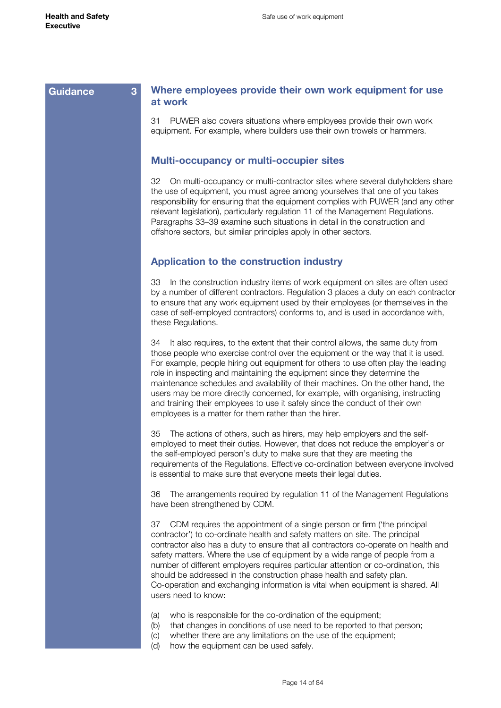| 3<br>Guidance | Where employees provide their own work equipment for use<br>at work                                                                                                                                                                                                                                                                                                                                                                                                                                                                                                                                                                                       |
|---------------|-----------------------------------------------------------------------------------------------------------------------------------------------------------------------------------------------------------------------------------------------------------------------------------------------------------------------------------------------------------------------------------------------------------------------------------------------------------------------------------------------------------------------------------------------------------------------------------------------------------------------------------------------------------|
|               | 31<br>PUWER also covers situations where employees provide their own work<br>equipment. For example, where builders use their own trowels or hammers.                                                                                                                                                                                                                                                                                                                                                                                                                                                                                                     |
|               | <b>Multi-occupancy or multi-occupier sites</b>                                                                                                                                                                                                                                                                                                                                                                                                                                                                                                                                                                                                            |
|               | 32<br>On multi-occupancy or multi-contractor sites where several dutyholders share<br>the use of equipment, you must agree among yourselves that one of you takes<br>responsibility for ensuring that the equipment complies with PUWER (and any other<br>relevant legislation), particularly regulation 11 of the Management Regulations.<br>Paragraphs 33-39 examine such situations in detail in the construction and<br>offshore sectors, but similar principles apply in other sectors.                                                                                                                                                              |
|               | <b>Application to the construction industry</b>                                                                                                                                                                                                                                                                                                                                                                                                                                                                                                                                                                                                           |
|               | In the construction industry items of work equipment on sites are often used<br>33<br>by a number of different contractors. Regulation 3 places a duty on each contractor<br>to ensure that any work equipment used by their employees (or themselves in the<br>case of self-employed contractors) conforms to, and is used in accordance with,<br>these Regulations.                                                                                                                                                                                                                                                                                     |
|               | 34<br>It also requires, to the extent that their control allows, the same duty from<br>those people who exercise control over the equipment or the way that it is used.<br>For example, people hiring out equipment for others to use often play the leading<br>role in inspecting and maintaining the equipment since they determine the<br>maintenance schedules and availability of their machines. On the other hand, the<br>users may be more directly concerned, for example, with organising, instructing<br>and training their employees to use it safely since the conduct of their own<br>employees is a matter for them rather than the hirer. |
|               | 35<br>The actions of others, such as hirers, may help employers and the self-<br>employed to meet their duties. However, that does not reduce the employer's or<br>the self-employed person's duty to make sure that they are meeting the<br>requirements of the Regulations. Effective co-ordination between everyone involved<br>is essential to make sure that everyone meets their legal duties.                                                                                                                                                                                                                                                      |
|               | The arrangements required by regulation 11 of the Management Regulations<br>36<br>have been strengthened by CDM.                                                                                                                                                                                                                                                                                                                                                                                                                                                                                                                                          |
|               | 37<br>CDM requires the appointment of a single person or firm ('the principal<br>contractor') to co-ordinate health and safety matters on site. The principal<br>contractor also has a duty to ensure that all contractors co-operate on health and<br>safety matters. Where the use of equipment by a wide range of people from a<br>number of different employers requires particular attention or co-ordination, this<br>should be addressed in the construction phase health and safety plan.<br>Co-operation and exchanging information is vital when equipment is shared. All<br>users need to know:                                                |
|               | who is responsible for the co-ordination of the equipment;<br>(a)<br>that changes in conditions of use need to be reported to that person;<br>(b)<br>whether there are any limitations on the use of the equipment;<br>(c)<br>(d)<br>how the equipment can be used safely.                                                                                                                                                                                                                                                                                                                                                                                |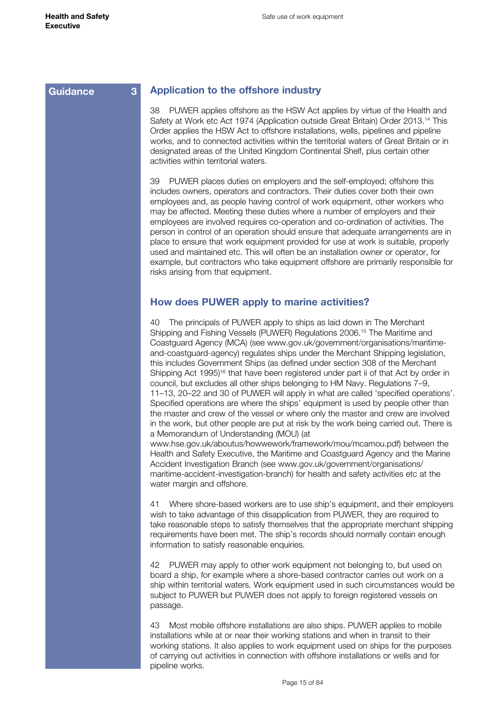| 3<br><b>Guidance</b> | <b>Application to the offshore industry</b>                                                                                                                                                                                                                                                                                                                                                                                                                                                                                                                                                                                                                                                                                                                                                                                                                                                                                                                                                                                                                                                                                                                                                                                                                                                                                                                           |
|----------------------|-----------------------------------------------------------------------------------------------------------------------------------------------------------------------------------------------------------------------------------------------------------------------------------------------------------------------------------------------------------------------------------------------------------------------------------------------------------------------------------------------------------------------------------------------------------------------------------------------------------------------------------------------------------------------------------------------------------------------------------------------------------------------------------------------------------------------------------------------------------------------------------------------------------------------------------------------------------------------------------------------------------------------------------------------------------------------------------------------------------------------------------------------------------------------------------------------------------------------------------------------------------------------------------------------------------------------------------------------------------------------|
|                      | PUWER applies offshore as the HSW Act applies by virtue of the Health and<br>38<br>Safety at Work etc Act 1974 (Application outside Great Britain) Order 2013. <sup>14</sup> This<br>Order applies the HSW Act to offshore installations, wells, pipelines and pipeline<br>works, and to connected activities within the territorial waters of Great Britain or in<br>designated areas of the United Kingdom Continental Shelf, plus certain other<br>activities within territorial waters.                                                                                                                                                                                                                                                                                                                                                                                                                                                                                                                                                                                                                                                                                                                                                                                                                                                                           |
|                      | 39<br>PUWER places duties on employers and the self-employed; offshore this<br>includes owners, operators and contractors. Their duties cover both their own<br>employees and, as people having control of work equipment, other workers who<br>may be affected. Meeting these duties where a number of employers and their<br>employees are involved requires co-operation and co-ordination of activities. The<br>person in control of an operation should ensure that adequate arrangements are in<br>place to ensure that work equipment provided for use at work is suitable, properly<br>used and maintained etc. This will often be an installation owner or operator, for<br>example, but contractors who take equipment offshore are primarily responsible for<br>risks arising from that equipment.                                                                                                                                                                                                                                                                                                                                                                                                                                                                                                                                                         |
|                      | How does PUWER apply to marine activities?                                                                                                                                                                                                                                                                                                                                                                                                                                                                                                                                                                                                                                                                                                                                                                                                                                                                                                                                                                                                                                                                                                                                                                                                                                                                                                                            |
|                      | The principals of PUWER apply to ships as laid down in The Merchant<br>40<br>Shipping and Fishing Vessels (PUWER) Regulations 2006. <sup>15</sup> The Maritime and<br>Coastguard Agency (MCA) (see www.gov.uk/government/organisations/maritime-<br>and-coastguard-agency) regulates ships under the Merchant Shipping legislation,<br>this includes Government Ships (as defined under section 308 of the Merchant<br>Shipping Act 1995) <sup>16</sup> that have been registered under part ii of that Act by order in<br>council, but excludes all other ships belonging to HM Navy. Regulations 7-9,<br>11–13, 20–22 and 30 of PUWER will apply in what are called 'specified operations'.<br>Specified operations are where the ships' equipment is used by people other than<br>the master and crew of the vessel or where only the master and crew are involved<br>in the work, but other people are put at risk by the work being carried out. There is<br>a Memorandum of Understanding (MOU) (at<br>www.hse.gov.uk/aboutus/howwework/framework/mou/mcamou.pdf) between the<br>Health and Safety Executive, the Maritime and Coastguard Agency and the Marine<br>Accident Investigation Branch (see www.gov.uk/government/organisations/<br>maritime-accident-investigation-branch) for health and safety activities etc at the<br>water margin and offshore. |
|                      | Where shore-based workers are to use ship's equipment, and their employers<br>41<br>wish to take advantage of this disapplication from PUWER, they are required to<br>take reasonable steps to satisfy themselves that the appropriate merchant shipping<br>requirements have been met. The ship's records should normally contain enough<br>information to satisfy reasonable enquiries.                                                                                                                                                                                                                                                                                                                                                                                                                                                                                                                                                                                                                                                                                                                                                                                                                                                                                                                                                                             |
|                      | 42<br>PUWER may apply to other work equipment not belonging to, but used on<br>board a ship, for example where a shore-based contractor carries out work on a<br>ship within territorial waters. Work equipment used in such circumstances would be<br>subject to PUWER but PUWER does not apply to foreign registered vessels on<br>passage.                                                                                                                                                                                                                                                                                                                                                                                                                                                                                                                                                                                                                                                                                                                                                                                                                                                                                                                                                                                                                         |
|                      | Most mobile offshore installations are also ships. PUWER applies to mobile<br>43<br>installations while at or near their working stations and when in transit to their<br>working stations. It also applies to work equipment used on ships for the purposes                                                                                                                                                                                                                                                                                                                                                                                                                                                                                                                                                                                                                                                                                                                                                                                                                                                                                                                                                                                                                                                                                                          |

Page 15 of 84

of carrying out activities in connection with offshore installations or wells and for

pipeline works.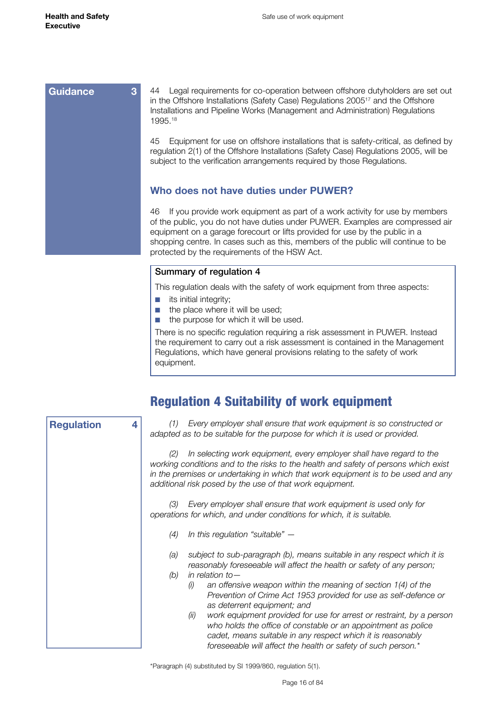<span id="page-15-0"></span>

| <b>Guidance</b><br>3 | Legal requirements for co-operation between offshore dutyholders are set out<br>44<br>in the Offshore Installations (Safety Case) Regulations 2005 <sup>17</sup> and the Offshore<br>Installations and Pipeline Works (Management and Administration) Regulations<br>1995.18                                                                                                               |
|----------------------|--------------------------------------------------------------------------------------------------------------------------------------------------------------------------------------------------------------------------------------------------------------------------------------------------------------------------------------------------------------------------------------------|
|                      | Equipment for use on offshore installations that is safety-critical, as defined by<br>45<br>regulation 2(1) of the Offshore Installations (Safety Case) Regulations 2005, will be<br>subject to the verification arrangements required by those Regulations.                                                                                                                               |
|                      | Who does not have duties under PUWER?                                                                                                                                                                                                                                                                                                                                                      |
|                      | If you provide work equipment as part of a work activity for use by members<br>46.<br>of the public, you do not have duties under PUWER. Examples are compressed air<br>equipment on a garage forecourt or lifts provided for use by the public in a<br>shopping centre. In cases such as this, members of the public will continue to be<br>protected by the requirements of the HSW Act. |

#### Summary of regulation 4

This regulation deals with the safety of work equipment from three aspects:

- its initial integrity;
- the place where it will be used;
- the purpose for which it will be used.

There is no specific regulation requiring a risk assessment in PUWER. Instead the requirement to carry out a risk assessment is contained in the Management Regulations, which have general provisions relating to the safety of work equipment.

## Regulation 4 Suitability of work equipment

| <b>Regulation</b><br>4 | Every employer shall ensure that work equipment is so constructed or<br>(1)<br>adapted as to be suitable for the purpose for which it is used or provided.                                                                                                                                                          |
|------------------------|---------------------------------------------------------------------------------------------------------------------------------------------------------------------------------------------------------------------------------------------------------------------------------------------------------------------|
|                        | In selecting work equipment, every employer shall have regard to the<br>(2)<br>working conditions and to the risks to the health and safety of persons which exist<br>in the premises or undertaking in which that work equipment is to be used and any<br>additional risk posed by the use of that work equipment. |
|                        | Every employer shall ensure that work equipment is used only for<br>(3)<br>operations for which, and under conditions for which, it is suitable.                                                                                                                                                                    |
|                        | In this regulation "suitable" $-$<br>(4)                                                                                                                                                                                                                                                                            |
|                        | subject to sub-paragraph (b), means suitable in any respect which it is<br>(a)<br>reasonably foreseeable will affect the health or safety of any person;<br>in relation to $-$<br>(b)                                                                                                                               |
|                        | an offensive weapon within the meaning of section 1(4) of the<br>(i)<br>Prevention of Crime Act 1953 provided for use as self-defence or<br>as deterrent equipment; and                                                                                                                                             |
|                        | work equipment provided for use for arrest or restraint, by a person<br>(ii)<br>who holds the office of constable or an appointment as police<br>cadet, means suitable in any respect which it is reasonably<br>foreseeable will affect the health or safety of such person.*                                       |
|                        |                                                                                                                                                                                                                                                                                                                     |

\*Paragraph (4) substituted by SI 1999/860, regulation 5(1).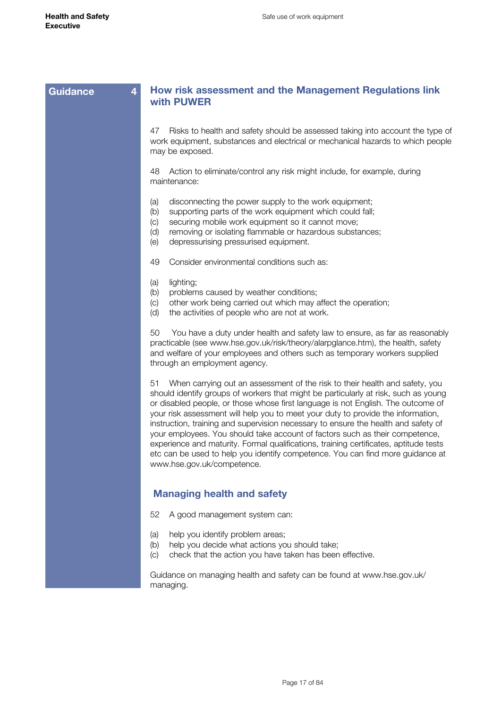| Guidance<br>4 | How risk assessment and the Management Regulations link<br>with PUWER                                                                                                                                                                                                                                                                                                                                                                                                                                                                                                                                                                                                                                                           |
|---------------|---------------------------------------------------------------------------------------------------------------------------------------------------------------------------------------------------------------------------------------------------------------------------------------------------------------------------------------------------------------------------------------------------------------------------------------------------------------------------------------------------------------------------------------------------------------------------------------------------------------------------------------------------------------------------------------------------------------------------------|
|               | Risks to health and safety should be assessed taking into account the type of<br>47<br>work equipment, substances and electrical or mechanical hazards to which people<br>may be exposed.                                                                                                                                                                                                                                                                                                                                                                                                                                                                                                                                       |
|               | Action to eliminate/control any risk might include, for example, during<br>48<br>maintenance:                                                                                                                                                                                                                                                                                                                                                                                                                                                                                                                                                                                                                                   |
|               | disconnecting the power supply to the work equipment;<br>(a)<br>(b)<br>supporting parts of the work equipment which could fall;<br>$\left( c\right)$<br>securing mobile work equipment so it cannot move;<br>removing or isolating flammable or hazardous substances;<br>(d)<br>(e)<br>depressurising pressurised equipment.                                                                                                                                                                                                                                                                                                                                                                                                    |
|               | 49<br>Consider environmental conditions such as:                                                                                                                                                                                                                                                                                                                                                                                                                                                                                                                                                                                                                                                                                |
|               | lighting;<br>(a)<br>(b)<br>problems caused by weather conditions;<br>other work being carried out which may affect the operation;<br>(c)<br>(d)<br>the activities of people who are not at work.                                                                                                                                                                                                                                                                                                                                                                                                                                                                                                                                |
|               | 50<br>You have a duty under health and safety law to ensure, as far as reasonably<br>practicable (see www.hse.gov.uk/risk/theory/alarpglance.htm), the health, safety<br>and welfare of your employees and others such as temporary workers supplied<br>through an employment agency.                                                                                                                                                                                                                                                                                                                                                                                                                                           |
|               | When carrying out an assessment of the risk to their health and safety, you<br>51<br>should identify groups of workers that might be particularly at risk, such as young<br>or disabled people, or those whose first language is not English. The outcome of<br>your risk assessment will help you to meet your duty to provide the information,<br>instruction, training and supervision necessary to ensure the health and safety of<br>your employees. You should take account of factors such as their competence,<br>experience and maturity. Formal qualifications, training certificates, aptitude tests<br>etc can be used to help you identify competence. You can find more guidance at<br>www.hse.gov.uk/competence. |
|               | <b>Managing health and safety</b>                                                                                                                                                                                                                                                                                                                                                                                                                                                                                                                                                                                                                                                                                               |
|               | 52<br>A good management system can:                                                                                                                                                                                                                                                                                                                                                                                                                                                                                                                                                                                                                                                                                             |
|               | help you identify problem areas;<br>(a)<br>help you decide what actions you should take;<br>(b)<br>check that the action you have taken has been effective.<br>(C)                                                                                                                                                                                                                                                                                                                                                                                                                                                                                                                                                              |
|               | Guidance on managing health and safety can be found at www.hse.gov.uk/<br>managing.                                                                                                                                                                                                                                                                                                                                                                                                                                                                                                                                                                                                                                             |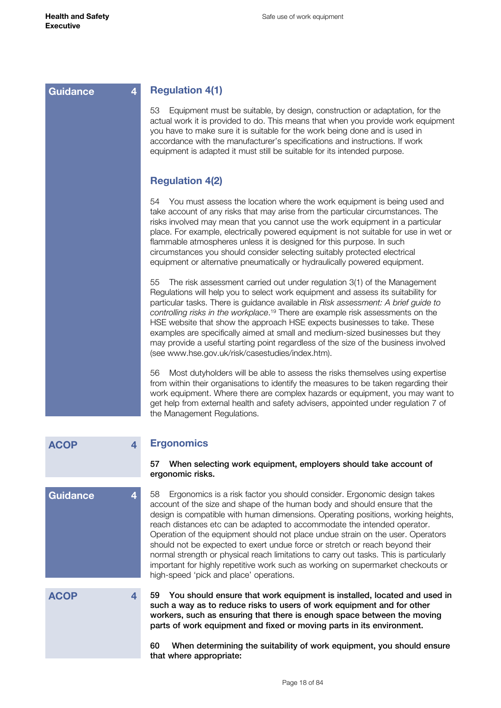| <b>Guidance</b><br>$\overline{4}$ | <b>Regulation 4(1)</b>                                                                                                                                                                                                                                                                                                                                                                                                                                                                                                                                                                                                                                          |
|-----------------------------------|-----------------------------------------------------------------------------------------------------------------------------------------------------------------------------------------------------------------------------------------------------------------------------------------------------------------------------------------------------------------------------------------------------------------------------------------------------------------------------------------------------------------------------------------------------------------------------------------------------------------------------------------------------------------|
|                                   | 53<br>Equipment must be suitable, by design, construction or adaptation, for the<br>actual work it is provided to do. This means that when you provide work equipment<br>you have to make sure it is suitable for the work being done and is used in<br>accordance with the manufacturer's specifications and instructions. If work<br>equipment is adapted it must still be suitable for its intended purpose.                                                                                                                                                                                                                                                 |
|                                   | <b>Regulation 4(2)</b>                                                                                                                                                                                                                                                                                                                                                                                                                                                                                                                                                                                                                                          |
|                                   | 54 You must assess the location where the work equipment is being used and<br>take account of any risks that may arise from the particular circumstances. The<br>risks involved may mean that you cannot use the work equipment in a particular<br>place. For example, electrically powered equipment is not suitable for use in wet or<br>flammable atmospheres unless it is designed for this purpose. In such<br>circumstances you should consider selecting suitably protected electrical<br>equipment or alternative pneumatically or hydraulically powered equipment.                                                                                     |
|                                   | The risk assessment carried out under regulation 3(1) of the Management<br>55<br>Regulations will help you to select work equipment and assess its suitability for<br>particular tasks. There is guidance available in Risk assessment: A brief guide to<br>controlling risks in the workplace. <sup>19</sup> There are example risk assessments on the<br>HSE website that show the approach HSE expects businesses to take. These<br>examples are specifically aimed at small and medium-sized businesses but they<br>may provide a useful starting point regardless of the size of the business involved<br>(see www.hse.gov.uk/risk/casestudies/index.htm). |
|                                   | 56<br>Most dutyholders will be able to assess the risks themselves using expertise<br>from within their organisations to identify the measures to be taken regarding their<br>work equipment. Where there are complex hazards or equipment, you may want to<br>get help from external health and safety advisers, appointed under regulation 7 of<br>the Management Regulations.                                                                                                                                                                                                                                                                                |

| <b>ACOP</b>     | $\overline{4}$ | <b>Ergonomics</b>                                                                                                                                                                                                                                                                                                                                                                                                                                                                                                                                                                                                                                                                                                        |
|-----------------|----------------|--------------------------------------------------------------------------------------------------------------------------------------------------------------------------------------------------------------------------------------------------------------------------------------------------------------------------------------------------------------------------------------------------------------------------------------------------------------------------------------------------------------------------------------------------------------------------------------------------------------------------------------------------------------------------------------------------------------------------|
|                 |                | When selecting work equipment, employers should take account of<br>57<br>ergonomic risks.                                                                                                                                                                                                                                                                                                                                                                                                                                                                                                                                                                                                                                |
| <b>Guidance</b> | 4              | Ergonomics is a risk factor you should consider. Ergonomic design takes<br>58<br>account of the size and shape of the human body and should ensure that the<br>design is compatible with human dimensions. Operating positions, working heights,<br>reach distances etc can be adapted to accommodate the intended operator.<br>Operation of the equipment should not place undue strain on the user. Operators<br>should not be expected to exert undue force or stretch or reach beyond their<br>normal strength or physical reach limitations to carry out tasks. This is particularly<br>important for highly repetitive work such as working on supermarket checkouts or<br>high-speed 'pick and place' operations. |
| <b>ACOP</b>     | 4              | You should ensure that work equipment is installed, located and used in<br>59<br>such a way as to reduce risks to users of work equipment and for other<br>workers, such as ensuring that there is enough space between the moving<br>parts of work equipment and fixed or moving parts in its environment.<br>When determining the suitability of work equipment, you should ensure<br>60<br>that where appropriate:                                                                                                                                                                                                                                                                                                    |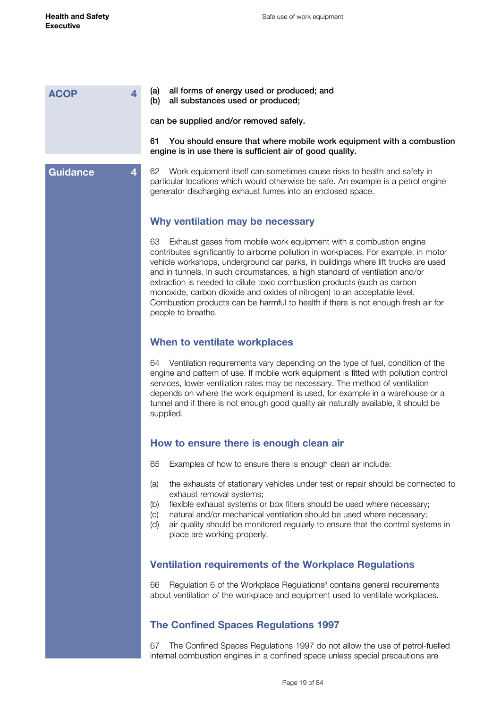| <b>ACOP</b>     | $\overline{\mathbf{A}}$ | all forms of energy used or produced; and<br>(a)<br>all substances used or produced;<br>(b)                                                                                                                                                                                                                                                                                                                                                                                                                                                                                                             |
|-----------------|-------------------------|---------------------------------------------------------------------------------------------------------------------------------------------------------------------------------------------------------------------------------------------------------------------------------------------------------------------------------------------------------------------------------------------------------------------------------------------------------------------------------------------------------------------------------------------------------------------------------------------------------|
|                 |                         | can be supplied and/or removed safely.                                                                                                                                                                                                                                                                                                                                                                                                                                                                                                                                                                  |
|                 |                         | You should ensure that where mobile work equipment with a combustion<br>61<br>engine is in use there is sufficient air of good quality.                                                                                                                                                                                                                                                                                                                                                                                                                                                                 |
| <b>Guidance</b> | 4                       | Work equipment itself can sometimes cause risks to health and safety in<br>62<br>particular locations which would otherwise be safe. An example is a petrol engine<br>generator discharging exhaust fumes into an enclosed space.                                                                                                                                                                                                                                                                                                                                                                       |
|                 |                         | Why ventilation may be necessary                                                                                                                                                                                                                                                                                                                                                                                                                                                                                                                                                                        |
|                 |                         | Exhaust gases from mobile work equipment with a combustion engine<br>63<br>contributes significantly to airborne pollution in workplaces. For example, in motor<br>vehicle workshops, underground car parks, in buildings where lift trucks are used<br>and in tunnels. In such circumstances, a high standard of ventilation and/or<br>extraction is needed to dilute toxic combustion products (such as carbon<br>monoxide, carbon dioxide and oxides of nitrogen) to an acceptable level.<br>Combustion products can be harmful to health if there is not enough fresh air for<br>people to breathe. |
|                 |                         | When to ventilate workplaces                                                                                                                                                                                                                                                                                                                                                                                                                                                                                                                                                                            |
|                 |                         | Ventilation requirements vary depending on the type of fuel, condition of the<br>64<br>engine and pattern of use. If mobile work equipment is fitted with pollution control<br>services, lower ventilation rates may be necessary. The method of ventilation<br>depends on where the work equipment is used, for example in a warehouse or a<br>tunnel and if there is not enough good quality air naturally available, it should be<br>supplied.                                                                                                                                                       |
|                 |                         | How to ensure there is enough clean air                                                                                                                                                                                                                                                                                                                                                                                                                                                                                                                                                                 |
|                 |                         | Examples of how to ensure there is enough clean air include:<br>65                                                                                                                                                                                                                                                                                                                                                                                                                                                                                                                                      |
|                 |                         | the exhausts of stationary vehicles under test or repair should be connected to<br>(a)<br>exhaust removal systems;<br>flexible exhaust systems or box filters should be used where necessary;<br>(b)<br>natural and/or mechanical ventilation should be used where necessary;<br>(c)<br>(d)<br>air quality should be monitored regularly to ensure that the control systems in<br>place are working properly.                                                                                                                                                                                           |
|                 |                         | <b>Ventilation requirements of the Workplace Regulations</b>                                                                                                                                                                                                                                                                                                                                                                                                                                                                                                                                            |
|                 |                         | Regulation 6 of the Workplace Regulations <sup>3</sup> contains general requirements<br>66<br>about ventilation of the workplace and equipment used to ventilate workplaces.                                                                                                                                                                                                                                                                                                                                                                                                                            |
|                 |                         | <b>The Confined Spaces Regulations 1997</b>                                                                                                                                                                                                                                                                                                                                                                                                                                                                                                                                                             |

67 The Confined Spaces Regulations 1997 do not allow the use of petrol-fuelled internal combustion engines in a confined space unless special precautions are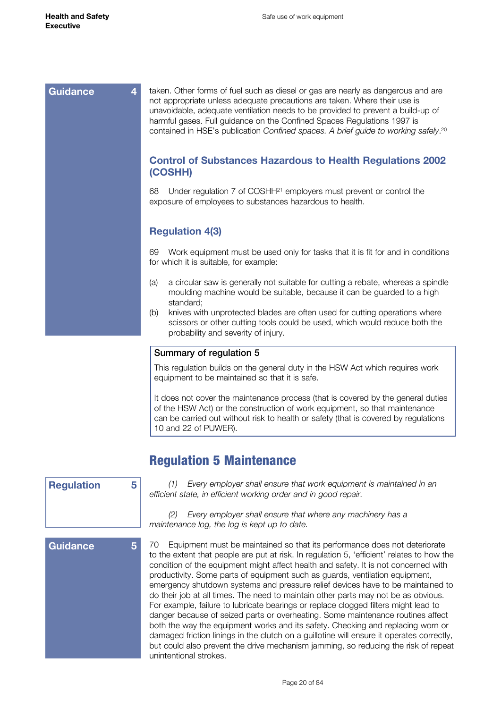<span id="page-19-0"></span>taken. Other forms of fuel such as diesel or gas are nearly as dangerous and are not appropriate unless adequate precautions are taken. Where their use is unavoidable, adequate ventilation needs to be provided to prevent a build-up of harmful gases. Full guidance on the Confined Spaces Regulations 1997 is contained in HSE's publication *Confined spaces. A brief guide to working safely*. 20 **Guidance 4**

#### **Control of Substances Hazardous to Health Regulations 2002 (COSHH)**

68 Under regulation 7 of COSHH21 employers must prevent or control the exposure of employees to substances hazardous to health.

## **Regulation 4(3)**

69 Work equipment must be used only for tasks that it is fit for and in conditions for which it is suitable, for example:

- (a) a circular saw is generally not suitable for cutting a rebate, whereas a spindle moulding machine would be suitable, because it can be guarded to a high standard;
- (b) knives with unprotected blades are often used for cutting operations where scissors or other cutting tools could be used, which would reduce both the probability and severity of injury.

#### Summary of regulation 5

This regulation builds on the general duty in the HSW Act which requires work equipment to be maintained so that it is safe.

It does not cover the maintenance process (that is covered by the general duties of the HSW Act) or the construction of work equipment, so that maintenance can be carried out without risk to health or safety (that is covered by regulations 10 and 22 of PUWER).

## Regulation 5 Maintenance

**Guidance 5 Regulation 5**

*(1) Every employer shall ensure that work equipment is maintained in an efficient state, in efficient working order and in good repair.*

*(2) Every employer shall ensure that where any machinery has a maintenance log, the log is kept up to date.*

70 Equipment must be maintained so that its performance does not deteriorate to the extent that people are put at risk. In regulation 5, 'efficient' relates to how the condition of the equipment might affect health and safety. It is not concerned with productivity. Some parts of equipment such as guards, ventilation equipment, emergency shutdown systems and pressure relief devices have to be maintained to do their job at all times. The need to maintain other parts may not be as obvious. For example, failure to lubricate bearings or replace clogged filters might lead to danger because of seized parts or overheating. Some maintenance routines affect both the way the equipment works and its safety. Checking and replacing worn or damaged friction linings in the clutch on a guillotine will ensure it operates correctly, but could also prevent the drive mechanism jamming, so reducing the risk of repeat unintentional strokes.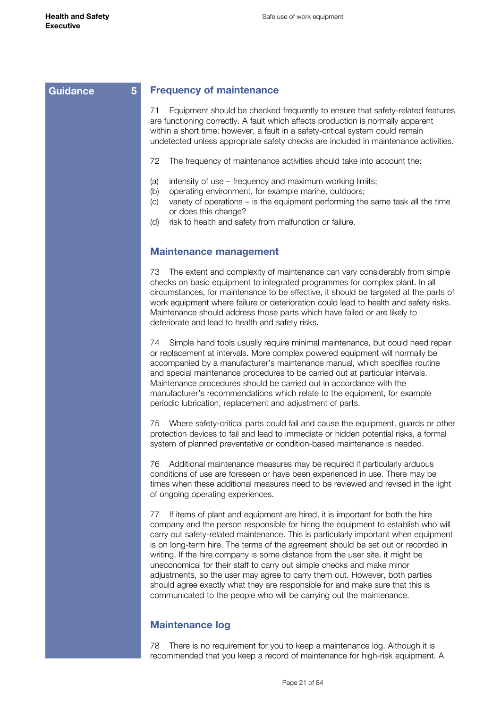| 5<br><b>Guidance</b> | <b>Frequency of maintenance</b>                                                                                                                                                                                                                                                                                                                                                                                                                                                                                                                                                                                                                                                                                                                        |
|----------------------|--------------------------------------------------------------------------------------------------------------------------------------------------------------------------------------------------------------------------------------------------------------------------------------------------------------------------------------------------------------------------------------------------------------------------------------------------------------------------------------------------------------------------------------------------------------------------------------------------------------------------------------------------------------------------------------------------------------------------------------------------------|
|                      | Equipment should be checked frequently to ensure that safety-related features<br>71<br>are functioning correctly. A fault which affects production is normally apparent<br>within a short time; however, a fault in a safety-critical system could remain<br>undetected unless appropriate safety checks are included in maintenance activities.                                                                                                                                                                                                                                                                                                                                                                                                       |
|                      | 72<br>The frequency of maintenance activities should take into account the:                                                                                                                                                                                                                                                                                                                                                                                                                                                                                                                                                                                                                                                                            |
|                      | intensity of use - frequency and maximum working limits;<br>(a)<br>operating environment, for example marine, outdoors;<br>(b)<br>variety of operations – is the equipment performing the same task all the time<br>(c)<br>or does this change?<br>risk to health and safety from malfunction or failure.<br>(d)                                                                                                                                                                                                                                                                                                                                                                                                                                       |
|                      | <b>Maintenance management</b>                                                                                                                                                                                                                                                                                                                                                                                                                                                                                                                                                                                                                                                                                                                          |
|                      | The extent and complexity of maintenance can vary considerably from simple<br>73<br>checks on basic equipment to integrated programmes for complex plant. In all<br>circumstances, for maintenance to be effective, it should be targeted at the parts of<br>work equipment where failure or deterioration could lead to health and safety risks.<br>Maintenance should address those parts which have failed or are likely to<br>deteriorate and lead to health and safety risks.                                                                                                                                                                                                                                                                     |
|                      | Simple hand tools usually require minimal maintenance, but could need repair<br>74<br>or replacement at intervals. More complex powered equipment will normally be<br>accompanied by a manufacturer's maintenance manual, which specifies routine<br>and special maintenance procedures to be carried out at particular intervals.<br>Maintenance procedures should be carried out in accordance with the<br>manufacturer's recommendations which relate to the equipment, for example<br>periodic lubrication, replacement and adjustment of parts.                                                                                                                                                                                                   |
|                      | Where safety-critical parts could fail and cause the equipment, guards or other<br>75<br>protection devices to fail and lead to immediate or hidden potential risks, a formal<br>system of planned preventative or condition-based maintenance is needed.                                                                                                                                                                                                                                                                                                                                                                                                                                                                                              |
|                      | 76<br>Additional maintenance measures may be required if particularly arduous<br>conditions of use are foreseen or have been experienced in use. There may be<br>times when these additional measures need to be reviewed and revised in the light<br>of ongoing operating experiences.                                                                                                                                                                                                                                                                                                                                                                                                                                                                |
|                      | If items of plant and equipment are hired, it is important for both the hire<br>77<br>company and the person responsible for hiring the equipment to establish who will<br>carry out safety-related maintenance. This is particularly important when equipment<br>is on long-term hire. The terms of the agreement should be set out or recorded in<br>writing. If the hire company is some distance from the user site, it might be<br>uneconomical for their staff to carry out simple checks and make minor<br>adjustments, so the user may agree to carry them out. However, both parties<br>should agree exactly what they are responsible for and make sure that this is<br>communicated to the people who will be carrying out the maintenance. |
|                      | <b>Maintenance log</b>                                                                                                                                                                                                                                                                                                                                                                                                                                                                                                                                                                                                                                                                                                                                 |
|                      | There is no requirement for you to keep a maintenance log. Although it is<br>78<br>recommended that you keep a record of maintenance for high-risk equipment. A                                                                                                                                                                                                                                                                                                                                                                                                                                                                                                                                                                                        |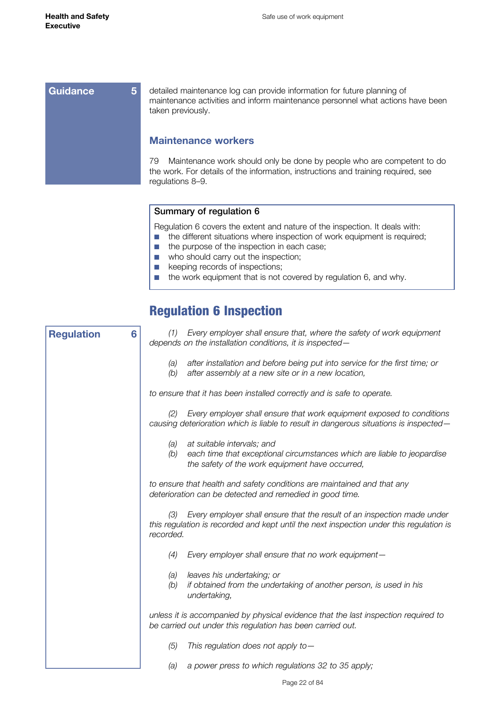<span id="page-21-0"></span>

| <b>Guidance</b> | $\overline{5}$ | detailed maintenance log can provide information for future planning of<br>maintenance activities and inform maintenance personnel what actions have been<br>taken previously. |
|-----------------|----------------|--------------------------------------------------------------------------------------------------------------------------------------------------------------------------------|
|                 |                | <b>Maintenance workers</b>                                                                                                                                                     |
|                 |                | Maintenance work should only be done by people who are competent to do<br>79<br>the work. For details of the information, instructions and training required, see              |

#### Summary of regulation 6

regulations 8–9.

Regulation 6 covers the extent and nature of the inspection. It deals with:

- the different situations where inspection of work equipment is required;
- the purpose of the inspection in each case;
- who should carry out the inspection;
- keeping records of inspections;
- the work equipment that is not covered by regulation 6, and why.

# Regulation 6 Inspection

| <b>Regulation</b> | 6 | Every employer shall ensure that, where the safety of work equipment<br>(1)<br>depends on the installation conditions, it is inspected-                                                |
|-------------------|---|----------------------------------------------------------------------------------------------------------------------------------------------------------------------------------------|
|                   |   | after installation and before being put into service for the first time; or<br>(a)<br>after assembly at a new site or in a new location,<br>(b)                                        |
|                   |   | to ensure that it has been installed correctly and is safe to operate.                                                                                                                 |
|                   |   | Every employer shall ensure that work equipment exposed to conditions<br>(2)<br>causing deterioration which is liable to result in dangerous situations is inspected-                  |
|                   |   | at suitable intervals; and<br>(a)<br>(b)<br>each time that exceptional circumstances which are liable to jeopardise<br>the safety of the work equipment have occurred,                 |
|                   |   | to ensure that health and safety conditions are maintained and that any<br>deterioration can be detected and remedied in good time.                                                    |
|                   |   | Every employer shall ensure that the result of an inspection made under<br>(3)<br>this regulation is recorded and kept until the next inspection under this regulation is<br>recorded. |
|                   |   | Every employer shall ensure that no work equipment-<br>(4)                                                                                                                             |
|                   |   | leaves his undertaking; or<br>(a)<br>if obtained from the undertaking of another person, is used in his<br>(b)<br>undertaking,                                                         |
|                   |   | unless it is accompanied by physical evidence that the last inspection required to<br>be carried out under this regulation has been carried out.                                       |
|                   |   | (5)<br>This regulation does not apply to $-$                                                                                                                                           |
|                   |   | a power press to which regulations 32 to 35 apply;<br>(a)                                                                                                                              |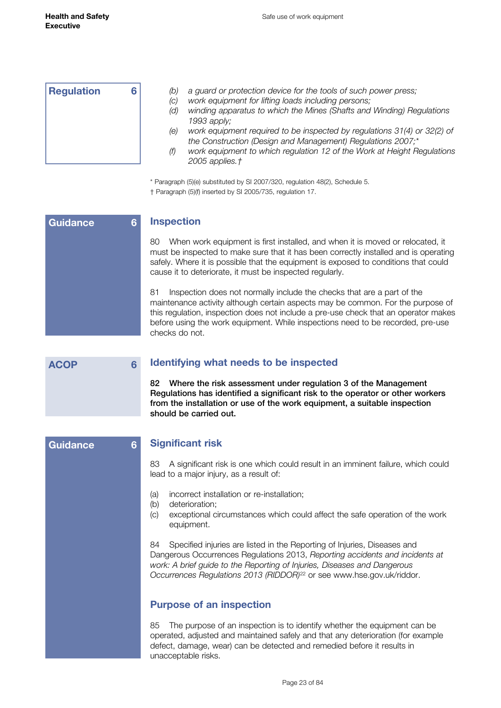| <b>Regulation</b> | 6 |
|-------------------|---|
|                   |   |
|                   |   |
|                   |   |

- *(b) a guard or protection device for the tools of such power press;*
- *(c) work equipment for lifting loads including persons;*
- *(d) winding apparatus to which the Mines (Shafts and Winding) Regulations 1993 apply;*
- *(e) work equipment required to be inspected by regulations 31(4) or 32(2) of the Construction (Design and Management) Regulations 2007;\**
- *(f) work equipment to which regulation 12 of the Work at Height Regulations 2005 applies.†*

\* Paragraph (5)(e) substituted by SI 2007/320, regulation 48(2), Schedule 5.

† Paragraph (5)(f) inserted by SI 2005/735, regulation 17.

| <b>Guidance</b> | <b>Inspection</b>                                                                                                                                                                                                                                                                                                                                            |
|-----------------|--------------------------------------------------------------------------------------------------------------------------------------------------------------------------------------------------------------------------------------------------------------------------------------------------------------------------------------------------------------|
|                 | When work equipment is first installed, and when it is moved or relocated, it<br>80<br>must be inspected to make sure that it has been correctly installed and is operating<br>safely. Where it is possible that the equipment is exposed to conditions that could<br>cause it to deteriorate, it must be inspected regularly.                               |
|                 | Inspection does not normally include the checks that are a part of the<br>-81<br>maintenance activity although certain aspects may be common. For the purpose of<br>this regulation, inspection does not include a pre-use check that an operator makes<br>before using the work equipment. While inspections need to be recorded, pre-use<br>checks do not. |

#### **Identifying what needs to be inspected ACOP 6**

unacceptable risks.

82 Where the risk assessment under regulation 3 of the Management Regulations has identified a significant risk to the operator or other workers from the installation or use of the work equipment, a suitable inspection should be carried out.

| <b>Guidance</b> | 6 | <b>Significant risk</b>                                                                                                                                                                                                                                                                                                         |
|-----------------|---|---------------------------------------------------------------------------------------------------------------------------------------------------------------------------------------------------------------------------------------------------------------------------------------------------------------------------------|
|                 |   | A significant risk is one which could result in an imminent failure, which could<br>83<br>lead to a major injury, as a result of:                                                                                                                                                                                               |
|                 |   | incorrect installation or re-installation;<br>(a)<br>deterioration;<br>(b)<br>exceptional circumstances which could affect the safe operation of the work<br>$\left( \circ \right)$<br>equipment.                                                                                                                               |
|                 |   | Specified injuries are listed in the Reporting of Injuries, Diseases and<br>84<br>Dangerous Occurrences Regulations 2013, Reporting accidents and incidents at<br>work: A brief guide to the Reporting of Injuries, Diseases and Dangerous<br>Occurrences Regulations 2013 (RIDDOR) <sup>22</sup> or see www.hse.gov.uk/riddor. |
|                 |   | <b>Purpose of an inspection</b>                                                                                                                                                                                                                                                                                                 |
|                 |   | 85<br>The purpose of an inspection is to identify whether the equipment can be<br>operated, adjusted and maintained safely and that any deterioration (for example<br>defect, damage, wear) can be detected and remedied before it results in                                                                                   |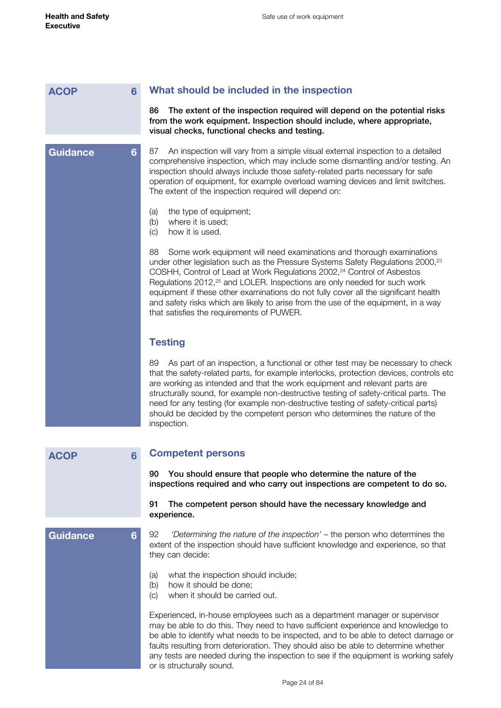#### **What should be included in the inspection**  86 The extent of the inspection required will depend on the potential risks from the work equipment. Inspection should include, where appropriate, visual checks, functional checks and testing. **Guidance 6 ACOP 6**

87 An inspection will vary from a simple visual external inspection to a detailed comprehensive inspection, which may include some dismantling and/or testing. An inspection should always include those safety-related parts necessary for safe operation of equipment, for example overload warning devices and limit switches. The extent of the inspection required will depend on:

- (a) the type of equipment;
- (b) where it is used;
- (c) how it is used.

88 Some work equipment will need examinations and thorough examinations under other legislation such as the Pressure Systems Safety Regulations 2000.<sup>23</sup> COSHH, Control of Lead at Work Regulations 2002,24 Control of Asbestos Regulations 2012,25 and LOLER. Inspections are only needed for such work equipment if these other examinations do not fully cover all the significant health and safety risks which are likely to arise from the use of the equipment, in a way that satisfies the requirements of PUWER.

#### **Testing**

89 As part of an inspection, a functional or other test may be necessary to check that the safety-related parts, for example interlocks, protection devices, controls etc are working as intended and that the work equipment and relevant parts are structurally sound, for example non-destructive testing of safety-critical parts. The need for any testing (for example non-destructive testing of safety-critical parts) should be decided by the competent person who determines the nature of the inspection.

| 6<br><b>ACOP</b> |   | <b>Competent persons</b>                                                                                                                                                                                                                                                                                                                                                                                                                                        |
|------------------|---|-----------------------------------------------------------------------------------------------------------------------------------------------------------------------------------------------------------------------------------------------------------------------------------------------------------------------------------------------------------------------------------------------------------------------------------------------------------------|
|                  |   | You should ensure that people who determine the nature of the<br>90<br>inspections required and who carry out inspections are competent to do so.                                                                                                                                                                                                                                                                                                               |
|                  |   | The competent person should have the necessary knowledge and<br>91<br>experience.                                                                                                                                                                                                                                                                                                                                                                               |
| <b>Guidance</b>  | 6 | 92<br>'Determining the nature of the inspection' – the person who determines the<br>extent of the inspection should have sufficient knowledge and experience, so that<br>they can decide:                                                                                                                                                                                                                                                                       |
|                  |   | what the inspection should include;<br>(a)<br>how it should be done;<br>(b)<br>when it should be carried out.<br>(C)                                                                                                                                                                                                                                                                                                                                            |
|                  |   | Experienced, in-house employees such as a department manager or supervisor<br>may be able to do this. They need to have sufficient experience and knowledge to<br>be able to identify what needs to be inspected, and to be able to detect damage or<br>faults resulting from deterioration. They should also be able to determine whether<br>any tests are needed during the inspection to see if the equipment is working safely<br>or is structurally sound. |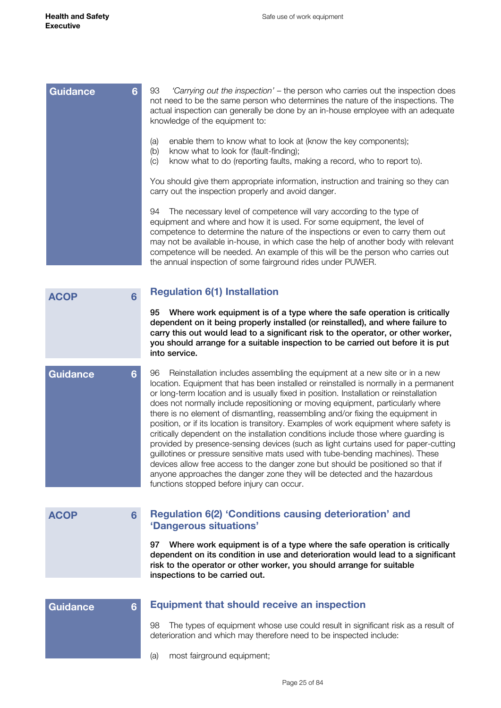| <b>Guidance</b><br>$6\phantom{1}$ | 'Carrying out the inspection' - the person who carries out the inspection does<br>93<br>not need to be the same person who determines the nature of the inspections. The<br>actual inspection can generally be done by an in-house employee with an adequate<br>knowledge of the equipment to:                                                                                                                                                                                      |
|-----------------------------------|-------------------------------------------------------------------------------------------------------------------------------------------------------------------------------------------------------------------------------------------------------------------------------------------------------------------------------------------------------------------------------------------------------------------------------------------------------------------------------------|
|                                   | enable them to know what to look at (know the key components);<br>(a)<br>know what to look for (fault-finding);<br>(b)<br>know what to do (reporting faults, making a record, who to report to).<br>(C)                                                                                                                                                                                                                                                                             |
|                                   | You should give them appropriate information, instruction and training so they can<br>carry out the inspection properly and avoid danger.                                                                                                                                                                                                                                                                                                                                           |
|                                   | The necessary level of competence will vary according to the type of<br>94<br>equipment and where and how it is used. For some equipment, the level of<br>competence to determine the nature of the inspections or even to carry them out<br>may not be available in-house, in which case the help of another body with relevant<br>competence will be needed. An example of this will be the person who carries out<br>the annual inspection of some fairground rides under PUWER. |

#### **Regulation 6(1) Installation ACOP 6**

95 Where work equipment is of a type where the safe operation is critically dependent on it being properly installed (or reinstalled), and where failure to carry this out would lead to a significant risk to the operator, or other worker, you should arrange for a suitable inspection to be carried out before it is put into service.



#### **Regulation 6(2) 'Conditions causing deterioration' and 'Dangerous situations' ACOP 6**

97 Where work equipment is of a type where the safe operation is critically dependent on its condition in use and deterioration would lead to a significant risk to the operator or other worker, you should arrange for suitable inspections to be carried out.

| <b>Guidance</b> |  |
|-----------------|--|
|                 |  |
|                 |  |
|                 |  |

#### **Equipment that should receive an inspection**

98 The types of equipment whose use could result in significant risk as a result of deterioration and which may therefore need to be inspected include:

(a) most fairground equipment;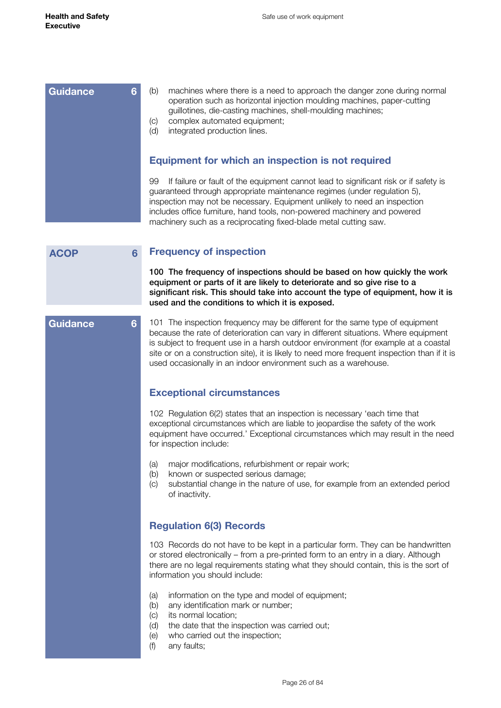| <b>Guidance</b> | 6 | machines where there is a need to approach the danger zone during normal<br>(b)<br>operation such as horizontal injection moulding machines, paper-cutting<br>guillotines, die-casting machines, shell-moulding machines;<br>complex automated equipment;<br>(C)<br>integrated production lines.<br>(d)<br>Equipment for which an inspection is not required                                        |
|-----------------|---|-----------------------------------------------------------------------------------------------------------------------------------------------------------------------------------------------------------------------------------------------------------------------------------------------------------------------------------------------------------------------------------------------------|
|                 |   |                                                                                                                                                                                                                                                                                                                                                                                                     |
|                 |   | If failure or fault of the equipment cannot lead to significant risk or if safety is<br>99<br>guaranteed through appropriate maintenance regimes (under regulation 5),<br>inspection may not be necessary. Equipment unlikely to need an inspection<br>includes office furniture, hand tools, non-powered machinery and powered<br>machinery such as a reciprocating fixed-blade metal cutting saw. |
|                 |   |                                                                                                                                                                                                                                                                                                                                                                                                     |
| <b>ACOP</b>     | 6 | <b>Frequency of inspection</b>                                                                                                                                                                                                                                                                                                                                                                      |

100 The frequency of inspections should be based on how quickly the work equipment or parts of it are likely to deteriorate and so give rise to a significant risk. This should take into account the type of equipment, how it is used and the conditions to which it is exposed.

**Guidance 6**

101 The inspection frequency may be different for the same type of equipment because the rate of deterioration can vary in different situations. Where equipment is subject to frequent use in a harsh outdoor environment (for example at a coastal site or on a construction site), it is likely to need more frequent inspection than if it is used occasionally in an indoor environment such as a warehouse.

#### **Exceptional circumstances**

102 Regulation 6(2) states that an inspection is necessary 'each time that exceptional circumstances which are liable to jeopardise the safety of the work equipment have occurred.' Exceptional circumstances which may result in the need for inspection include:

- (a) major modifications, refurbishment or repair work;
- (b) known or suspected serious damage;
- (c) substantial change in the nature of use, for example from an extended period of inactivity.

#### **Regulation 6(3) Records**

103 Records do not have to be kept in a particular form. They can be handwritten or stored electronically – from a pre-printed form to an entry in a diary. Although there are no legal requirements stating what they should contain, this is the sort of information you should include:

- (a) information on the type and model of equipment;
- (b) any identification mark or number;
- (c) its normal location;
- (d) the date that the inspection was carried out;
- (e) who carried out the inspection;
- (f) any faults;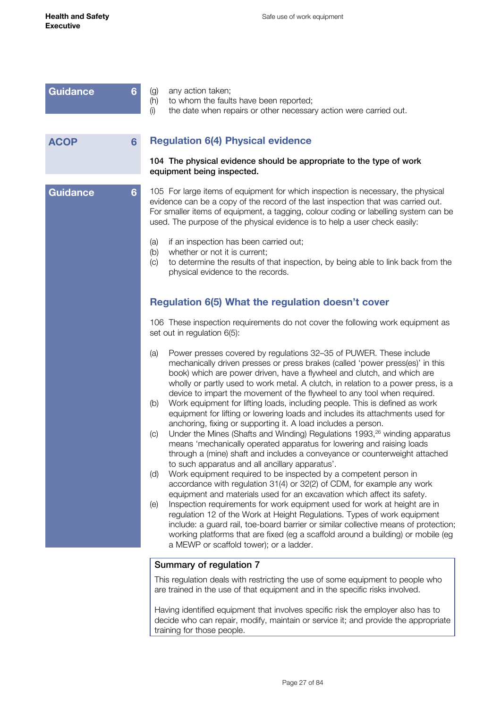| <b>Guidance</b> | $6\phantom{1}$  | any action taken;<br>(g)<br>(h)<br>to whom the faults have been reported;<br>(i)<br>the date when repairs or other necessary action were carried out.                                                                                                                                                                                                                                                                                                                                                                                                                                                                                                                                                                                                                                                                                                                                                                                                                                                                                                                                                                                                                                                                                                                                                                                                                                                                                                                                                                                                                           |
|-----------------|-----------------|---------------------------------------------------------------------------------------------------------------------------------------------------------------------------------------------------------------------------------------------------------------------------------------------------------------------------------------------------------------------------------------------------------------------------------------------------------------------------------------------------------------------------------------------------------------------------------------------------------------------------------------------------------------------------------------------------------------------------------------------------------------------------------------------------------------------------------------------------------------------------------------------------------------------------------------------------------------------------------------------------------------------------------------------------------------------------------------------------------------------------------------------------------------------------------------------------------------------------------------------------------------------------------------------------------------------------------------------------------------------------------------------------------------------------------------------------------------------------------------------------------------------------------------------------------------------------------|
| <b>ACOP</b>     | $6\phantom{1}6$ | <b>Regulation 6(4) Physical evidence</b>                                                                                                                                                                                                                                                                                                                                                                                                                                                                                                                                                                                                                                                                                                                                                                                                                                                                                                                                                                                                                                                                                                                                                                                                                                                                                                                                                                                                                                                                                                                                        |
|                 |                 | 104 The physical evidence should be appropriate to the type of work<br>equipment being inspected.                                                                                                                                                                                                                                                                                                                                                                                                                                                                                                                                                                                                                                                                                                                                                                                                                                                                                                                                                                                                                                                                                                                                                                                                                                                                                                                                                                                                                                                                               |
| <b>Guidance</b> | $6\overline{6}$ | 105 For large items of equipment for which inspection is necessary, the physical<br>evidence can be a copy of the record of the last inspection that was carried out.<br>For smaller items of equipment, a tagging, colour coding or labelling system can be<br>used. The purpose of the physical evidence is to help a user check easily:<br>if an inspection has been carried out;<br>(a)<br>whether or not it is current;<br>(b)<br>(c)<br>to determine the results of that inspection, by being able to link back from the                                                                                                                                                                                                                                                                                                                                                                                                                                                                                                                                                                                                                                                                                                                                                                                                                                                                                                                                                                                                                                                  |
|                 |                 | physical evidence to the records.                                                                                                                                                                                                                                                                                                                                                                                                                                                                                                                                                                                                                                                                                                                                                                                                                                                                                                                                                                                                                                                                                                                                                                                                                                                                                                                                                                                                                                                                                                                                               |
|                 |                 | Regulation 6(5) What the regulation doesn't cover                                                                                                                                                                                                                                                                                                                                                                                                                                                                                                                                                                                                                                                                                                                                                                                                                                                                                                                                                                                                                                                                                                                                                                                                                                                                                                                                                                                                                                                                                                                               |
|                 |                 | 106 These inspection requirements do not cover the following work equipment as<br>set out in regulation 6(5):                                                                                                                                                                                                                                                                                                                                                                                                                                                                                                                                                                                                                                                                                                                                                                                                                                                                                                                                                                                                                                                                                                                                                                                                                                                                                                                                                                                                                                                                   |
|                 |                 | Power presses covered by regulations 32-35 of PUWER. These include<br>(a)<br>mechanically driven presses or press brakes (called 'power press(es)' in this<br>book) which are power driven, have a flywheel and clutch, and which are<br>wholly or partly used to work metal. A clutch, in relation to a power press, is a<br>device to impart the movement of the flywheel to any tool when required.<br>Work equipment for lifting loads, including people. This is defined as work<br>(b)<br>equipment for lifting or lowering loads and includes its attachments used for<br>anchoring, fixing or supporting it. A load includes a person.<br>Under the Mines (Shafts and Winding) Regulations 1993, <sup>26</sup> winding apparatus<br>(c)<br>means 'mechanically operated apparatus for lowering and raising loads<br>through a (mine) shaft and includes a conveyance or counterweight attached<br>to such apparatus and all ancillary apparatus'.<br>Work equipment required to be inspected by a competent person in<br>(d)<br>accordance with regulation 31(4) or 32(2) of CDM, for example any work<br>equipment and materials used for an excavation which affect its safety.<br>Inspection requirements for work equipment used for work at height are in<br>(e)<br>regulation 12 of the Work at Height Regulations. Types of work equipment<br>include: a guard rail, toe-board barrier or similar collective means of protection;<br>working platforms that are fixed (eg a scaffold around a building) or mobile (eg<br>a MEWP or scaffold tower); or a ladder. |
|                 |                 | Summary of regulation 7<br>This regulation deals with restricting the use of some equipment to people who                                                                                                                                                                                                                                                                                                                                                                                                                                                                                                                                                                                                                                                                                                                                                                                                                                                                                                                                                                                                                                                                                                                                                                                                                                                                                                                                                                                                                                                                       |

Having identified equipment that involves specific risk the employer also has to decide who can repair, modify, maintain or service it; and provide the appropriate training for those people.

are trained in the use of that equipment and in the specific risks involved.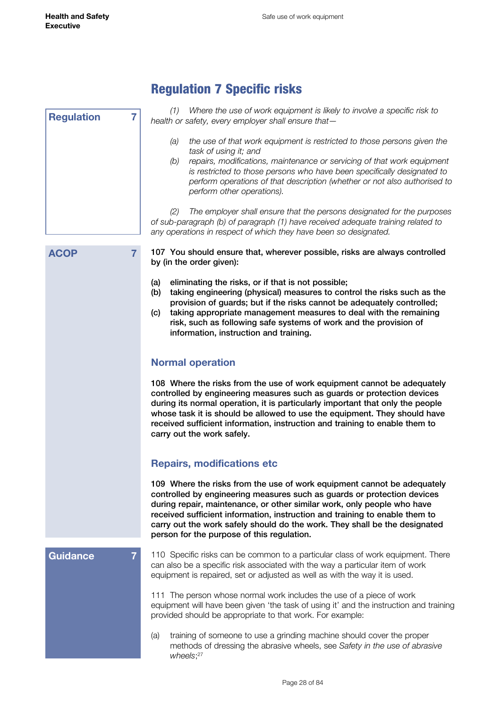## <span id="page-27-0"></span>*(1) Where the use of work equipment is likely to involve a specific risk to health or safety, every employer shall ensure that— (a) the use of that work equipment is restricted to those persons given the task of using it; and (b) repairs, modifications, maintenance or servicing of that work equipment is restricted to those persons who have been specifically designated to perform operations of that description (whether or not also authorised to perform other operations). (2) The employer shall ensure that the persons designated for the purposes of sub-paragraph (b) of paragraph (1) have received adequate training related to any operations in respect of which they have been so designated.* 107 You should ensure that, wherever possible, risks are always controlled by (in the order given): (a) eliminating the risks, or if that is not possible; (b) taking engineering (physical) measures to control the risks such as the provision of guards; but if the risks cannot be adequately controlled; (c) taking appropriate management measures to deal with the remaining risk, such as following safe systems of work and the provision of information, instruction and training. **Normal operation** 108 Where the risks from the use of work equipment cannot be adequately controlled by engineering measures such as guards or protection devices during its normal operation, it is particularly important that only the people whose task it is should be allowed to use the equipment. They should have received sufficient information, instruction and training to enable them to carry out the work safely. **Repairs, modifications etc** 109 Where the risks from the use of work equipment cannot be adequately controlled by engineering measures such as guards or protection devices during repair, maintenance, or other similar work, only people who have received sufficient information, instruction and training to enable them to carry out the work safely should do the work. They shall be the designated person for the purpose of this regulation. 110 Specific risks can be common to a particular class of work equipment. There can also be a specific risk associated with the way a particular item of work equipment is repaired, set or adjusted as well as with the way it is used. 111 The person whose normal work includes the use of a piece of work equipment will have been given 'the task of using it' and the instruction and training provided should be appropriate to that work. For example: (a) training of someone to use a grinding machine should cover the proper methods of dressing the abrasive wheels, see *Safety in the use of abrasive*  **Regulation 7 ACOP 7 Guidance 7**

Regulation 7 Specific risks

Page 28 of 84

*wheels*; 27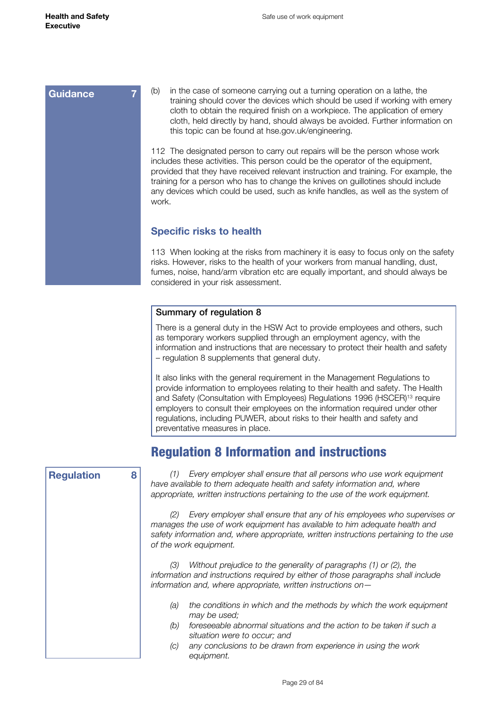<span id="page-28-0"></span>(b) in the case of someone carrying out a turning operation on a lathe, the training should cover the devices which should be used if working with emery cloth to obtain the required finish on a workpiece. The application of emery cloth, held directly by hand, should always be avoided. Further information on this topic can be found at hse.gov.uk/engineering. 112 The designated person to carry out repairs will be the person whose work includes these activities. This person could be the operator of the equipment, provided that they have received relevant instruction and training. For example, the training for a person who has to change the knives on guillotines should include any devices which could be used, such as knife handles, as well as the system of work. **Specific risks to health Guidance 7**

> 113 When looking at the risks from machinery it is easy to focus only on the safety risks. However, risks to the health of your workers from manual handling, dust, fumes, noise, hand/arm vibration etc are equally important, and should always be considered in your risk assessment.

#### Summary of regulation 8

There is a general duty in the HSW Act to provide employees and others, such as temporary workers supplied through an employment agency, with the information and instructions that are necessary to protect their health and safety – regulation 8 supplements that general duty.

It also links with the general requirement in the Management Regulations to provide information to employees relating to their health and safety. The Health and Safety (Consultation with Employees) Regulations 1996 (HSCER)13 require employers to consult their employees on the information required under other regulations, including PUWER, about risks to their health and safety and preventative measures in place.

## Regulation 8 Information and instructions

| <b>Regulation</b> | 8 |
|-------------------|---|
|                   |   |
|                   |   |
|                   |   |
|                   |   |
|                   |   |
|                   |   |
|                   |   |

*(1) Every employer shall ensure that all persons who use work equipment*  have available to them adequate health and safety information and, where *appropriate, written instructions pertaining to the use of the work equipment.*

*(2) Every employer shall ensure that any of his employees who supervises or manages the use of work equipment has available to him adequate health and safety information and, where appropriate, written instructions pertaining to the use of the work equipment.*

*(3) Without prejudice to the generality of paragraphs (1) or (2), the information and instructions required by either of those paragraphs shall include information and, where appropriate, written instructions on—*

- *(a) the conditions in which and the methods by which the work equipment may be used;*
- *(b) foreseeable abnormal situations and the action to be taken if such a situation were to occur; and*
- *(c) any conclusions to be drawn from experience in using the work equipment.*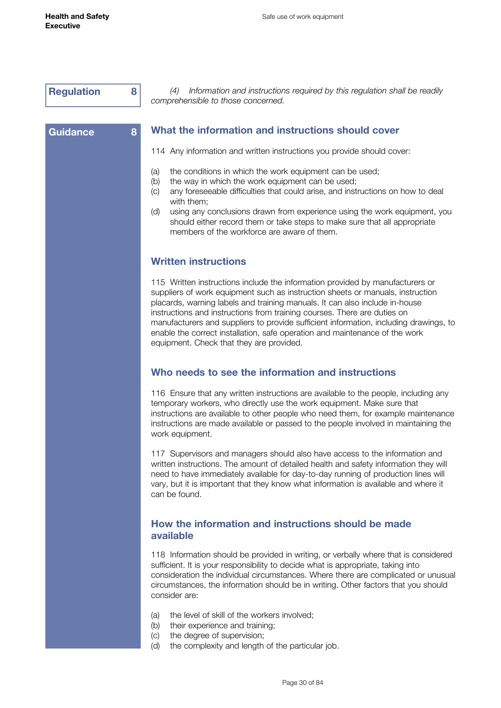**Regulation 8**

**Guidance 8**

*(4) Information and instructions required by this regulation shall be readily comprehensible to those concerned.*

#### **What the information and instructions should cover**

114 Any information and written instructions you provide should cover:

- (a) the conditions in which the work equipment can be used;
- (b) the way in which the work equipment can be used:
- (c) any foreseeable difficulties that could arise, and instructions on how to deal with them:
- (d) using any conclusions drawn from experience using the work equipment, you should either record them or take steps to make sure that all appropriate members of the workforce are aware of them.

#### **Written instructions**

115 Written instructions include the information provided by manufacturers or suppliers of work equipment such as instruction sheets or manuals, instruction placards, warning labels and training manuals. It can also include in-house instructions and instructions from training courses. There are duties on manufacturers and suppliers to provide sufficient information, including drawings, to enable the correct installation, safe operation and maintenance of the work equipment. Check that they are provided.

#### **Who needs to see the information and instructions**

116 Ensure that any written instructions are available to the people, including any temporary workers, who directly use the work equipment. Make sure that instructions are available to other people who need them, for example maintenance instructions are made available or passed to the people involved in maintaining the work equipment.

117 Supervisors and managers should also have access to the information and written instructions. The amount of detailed health and safety information they will need to have immediately available for day-to-day running of production lines will vary, but it is important that they know what information is available and where it can be found.

#### **How the information and instructions should be made available**

118 Information should be provided in writing, or verbally where that is considered sufficient. It is your responsibility to decide what is appropriate, taking into consideration the individual circumstances. Where there are complicated or unusual circumstances, the information should be in writing. Other factors that you should consider are:

- (a) the level of skill of the workers involved;
- (b) their experience and training;
- (c) the degree of supervision;
- (d) the complexity and length of the particular job.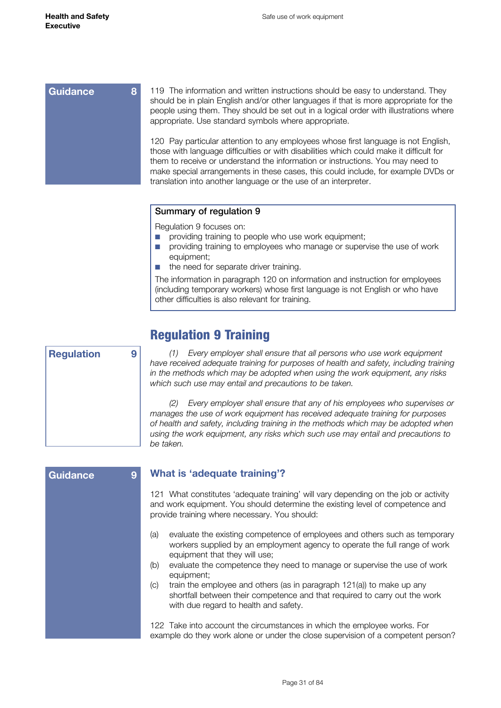| <b>Guidance</b> | 119 The information and written instructions should be easy to understand. They<br>should be in plain English and/or other languages if that is more appropriate for the<br>people using them. They should be set out in a logical order with illustrations where<br>appropriate. Use standard symbols where appropriate.                                                                                               |
|-----------------|-------------------------------------------------------------------------------------------------------------------------------------------------------------------------------------------------------------------------------------------------------------------------------------------------------------------------------------------------------------------------------------------------------------------------|
|                 | 120 Pay particular attention to any employees whose first language is not English,<br>those with language difficulties or with disabilities which could make it difficult for<br>them to receive or understand the information or instructions. You may need to<br>make special arrangements in these cases, this could include, for example DVDs or<br>translation into another language or the use of an interpreter. |

#### Summary of regulation 9

Regulation 9 focuses on:

- providing training to people who use work equipment;
- providing training to employees who manage or supervise the use of work equipment;
- the need for separate driver training.

The information in paragraph 120 on information and instruction for employees (including temporary workers) whose first language is not English or who have other difficulties is also relevant for training.



## Regulation 9 Training

*(1) Every employer shall ensure that all persons who use work equipment*  have received adequate training for purposes of health and safety, including training *in the methods which may be adopted when using the work equipment, any risks which such use may entail and precautions to be taken.*

*(2) Every employer shall ensure that any of his employees who supervises or manages the use of work equipment has received adequate training for purposes of health and safety, including training in the methods which may be adopted when using the work equipment, any risks which such use may entail and precautions to be taken.*

#### **What is 'adequate training'? Guidance 9**

121 What constitutes 'adequate training' will vary depending on the job or activity and work equipment. You should determine the existing level of competence and provide training where necessary. You should:

- (a) evaluate the existing competence of employees and others such as temporary workers supplied by an employment agency to operate the full range of work equipment that they will use;
- (b) evaluate the competence they need to manage or supervise the use of work equipment;
- (c) train the employee and others (as in paragraph 121(a)) to make up any shortfall between their competence and that required to carry out the work with due regard to health and safety.

122 Take into account the circumstances in which the employee works. For example do they work alone or under the close supervision of a competent person?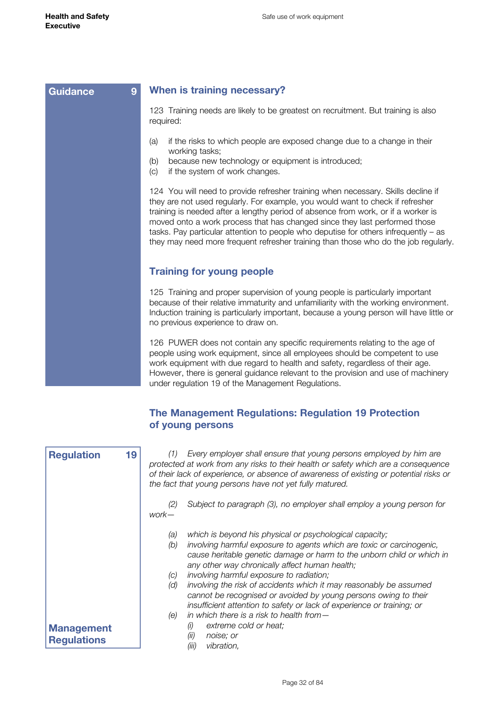| <b>Guidance</b><br>9 | When is training necessary?                                                                                                                                                                                                                                                                                                                                                                                                                                                                                          |  |
|----------------------|----------------------------------------------------------------------------------------------------------------------------------------------------------------------------------------------------------------------------------------------------------------------------------------------------------------------------------------------------------------------------------------------------------------------------------------------------------------------------------------------------------------------|--|
|                      | 123 Training needs are likely to be greatest on recruitment. But training is also<br>required:                                                                                                                                                                                                                                                                                                                                                                                                                       |  |
|                      | if the risks to which people are exposed change due to a change in their<br>(a)<br>working tasks;<br>because new technology or equipment is introduced;<br>(b)<br>if the system of work changes.<br>(c)                                                                                                                                                                                                                                                                                                              |  |
|                      | 124 You will need to provide refresher training when necessary. Skills decline if<br>they are not used regularly. For example, you would want to check if refresher<br>training is needed after a lengthy period of absence from work, or if a worker is<br>moved onto a work process that has changed since they last performed those<br>tasks. Pay particular attention to people who deputise for others infrequently – as<br>they may need more frequent refresher training than those who do the job regularly. |  |
|                      | <b>Training for young people</b>                                                                                                                                                                                                                                                                                                                                                                                                                                                                                     |  |
|                      | 125 Training and proper supervision of young people is particularly important<br>because of their relative immaturity and unfamiliarity with the working environment.<br>Induction training is particularly important, because a young person will have little or<br>no previous experience to draw on.                                                                                                                                                                                                              |  |
|                      | 126 PUWER does not contain any specific requirements relating to the age of<br>people using work equipment, since all employees should be competent to use<br>work equipment with due regard to health and safety, regardless of their age.<br>However, there is general guidance relevant to the provision and use of machinery                                                                                                                                                                                     |  |

under regulation 19 of the Management Regulations.

## **The Management Regulations: Regulation 19 Protection of young persons**

| 19<br><b>Regulation</b>                 | (1)                      | Every employer shall ensure that young persons employed by him are<br>protected at work from any risks to their health or safety which are a consequence<br>of their lack of experience, or absence of awareness of existing or potential risks or<br>the fact that young persons have not yet fully matured.                                                                  |
|-----------------------------------------|--------------------------|--------------------------------------------------------------------------------------------------------------------------------------------------------------------------------------------------------------------------------------------------------------------------------------------------------------------------------------------------------------------------------|
|                                         | (2)<br>$work-$           | Subject to paragraph (3), no employer shall employ a young person for                                                                                                                                                                                                                                                                                                          |
|                                         | (a)<br>(b)<br>(c)<br>(d) | which is beyond his physical or psychological capacity;<br>involving harmful exposure to agents which are toxic or carcinogenic,<br>cause heritable genetic damage or harm to the unborn child or which in<br>any other way chronically affect human health;<br>involving harmful exposure to radiation;<br>involving the risk of accidents which it may reasonably be assumed |
|                                         | (e)                      | cannot be recognised or avoided by young persons owing to their<br>insufficient attention to safety or lack of experience or training; or<br>in which there is a risk to health from $-$                                                                                                                                                                                       |
| <b>Management</b><br><b>Regulations</b> |                          | extreme cold or heat;<br>(i)<br>noise; or<br>(ii)<br>(iii)<br>vibration,                                                                                                                                                                                                                                                                                                       |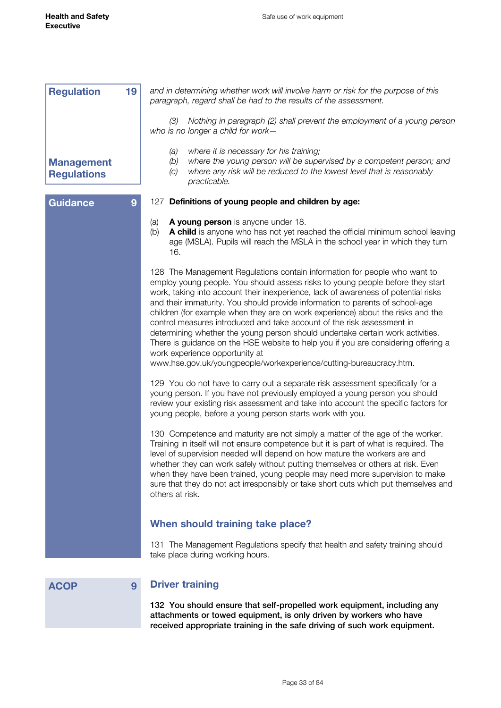| <b>Regulation</b><br>19                 | and in determining whether work will involve harm or risk for the purpose of this<br>paragraph, regard shall be had to the results of the assessment.                                                                                                                                                                                                                                                                                                                                                                                                                                                                                                                                                                                                                           |  |
|-----------------------------------------|---------------------------------------------------------------------------------------------------------------------------------------------------------------------------------------------------------------------------------------------------------------------------------------------------------------------------------------------------------------------------------------------------------------------------------------------------------------------------------------------------------------------------------------------------------------------------------------------------------------------------------------------------------------------------------------------------------------------------------------------------------------------------------|--|
|                                         | Nothing in paragraph (2) shall prevent the employment of a young person<br>(3)<br>who is no longer a child for work-                                                                                                                                                                                                                                                                                                                                                                                                                                                                                                                                                                                                                                                            |  |
| <b>Management</b><br><b>Regulations</b> | where it is necessary for his training;<br>(a)<br>where the young person will be supervised by a competent person; and<br>(b)<br>where any risk will be reduced to the lowest level that is reasonably<br>(C)<br>practicable.                                                                                                                                                                                                                                                                                                                                                                                                                                                                                                                                                   |  |
| <b>Guidance</b><br>9                    | 127 Definitions of young people and children by age:                                                                                                                                                                                                                                                                                                                                                                                                                                                                                                                                                                                                                                                                                                                            |  |
|                                         | A young person is anyone under 18.<br>(a)<br>(b)<br>A child is anyone who has not yet reached the official minimum school leaving<br>age (MSLA). Pupils will reach the MSLA in the school year in which they turn<br>16.                                                                                                                                                                                                                                                                                                                                                                                                                                                                                                                                                        |  |
|                                         | 128 The Management Regulations contain information for people who want to<br>employ young people. You should assess risks to young people before they start<br>work, taking into account their inexperience, lack of awareness of potential risks<br>and their immaturity. You should provide information to parents of school-age<br>children (for example when they are on work experience) about the risks and the<br>control measures introduced and take account of the risk assessment in<br>determining whether the young person should undertake certain work activities.<br>There is guidance on the HSE website to help you if you are considering offering a<br>work experience opportunity at<br>www.hse.gov.uk/youngpeople/workexperience/cutting-bureaucracy.htm. |  |
|                                         | 129 You do not have to carry out a separate risk assessment specifically for a<br>young person. If you have not previously employed a young person you should<br>review your existing risk assessment and take into account the specific factors for<br>young people, before a young person starts work with you.                                                                                                                                                                                                                                                                                                                                                                                                                                                               |  |
|                                         | 130 Competence and maturity are not simply a matter of the age of the worker.<br>Training in itself will not ensure competence but it is part of what is required. The<br>level of supervision needed will depend on how mature the workers are and<br>whether they can work safely without putting themselves or others at risk. Even<br>when they have been trained, young people may need more supervision to make<br>sure that they do not act irresponsibly or take short cuts which put themselves and<br>others at risk.                                                                                                                                                                                                                                                 |  |
|                                         | When should training take place?                                                                                                                                                                                                                                                                                                                                                                                                                                                                                                                                                                                                                                                                                                                                                |  |
|                                         | 131 The Management Regulations specify that health and safety training should<br>take place during working hours.                                                                                                                                                                                                                                                                                                                                                                                                                                                                                                                                                                                                                                                               |  |
|                                         |                                                                                                                                                                                                                                                                                                                                                                                                                                                                                                                                                                                                                                                                                                                                                                                 |  |

**ACOP 9**

## **Driver training**

132 You should ensure that self-propelled work equipment, including any attachments or towed equipment, is only driven by workers who have received appropriate training in the safe driving of such work equipment.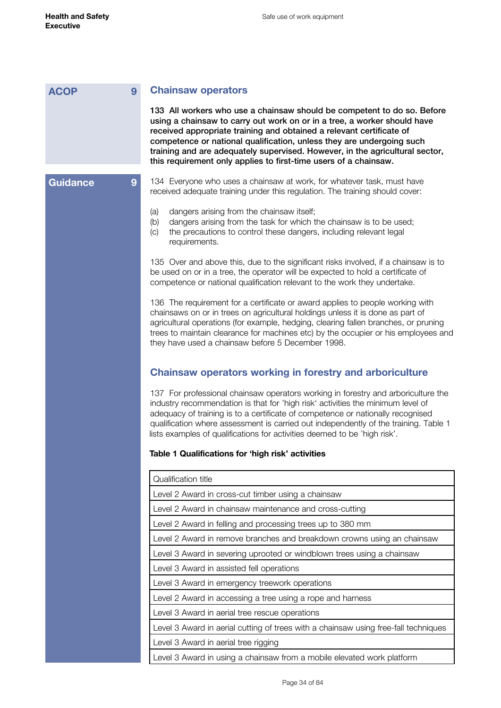| <b>ACOP</b>     | 9 | <b>Chainsaw operators</b>                                                                                                                                                                                                                                                                                                                                                                                                                                |  |  |
|-----------------|---|----------------------------------------------------------------------------------------------------------------------------------------------------------------------------------------------------------------------------------------------------------------------------------------------------------------------------------------------------------------------------------------------------------------------------------------------------------|--|--|
|                 |   | 133 All workers who use a chainsaw should be competent to do so. Before<br>using a chainsaw to carry out work on or in a tree, a worker should have<br>received appropriate training and obtained a relevant certificate of<br>competence or national qualification, unless they are undergoing such<br>training and are adequately supervised. However, in the agricultural sector,<br>this requirement only applies to first-time users of a chainsaw. |  |  |
| <b>Guidance</b> | 9 | 134 Everyone who uses a chainsaw at work, for whatever task, must have<br>received adequate training under this regulation. The training should cover:                                                                                                                                                                                                                                                                                                   |  |  |
|                 |   | dangers arising from the chainsaw itself;<br>(a)<br>dangers arising from the task for which the chainsaw is to be used;<br>(b)<br>the precautions to control these dangers, including relevant legal<br>(c)<br>requirements.                                                                                                                                                                                                                             |  |  |
|                 |   | 135 Over and above this, due to the significant risks involved, if a chainsaw is to<br>be used on or in a tree, the operator will be expected to hold a certificate of<br>competence or national qualification relevant to the work they undertake.                                                                                                                                                                                                      |  |  |
|                 |   | 136 The requirement for a certificate or award applies to people working with<br>chainsaws on or in trees on agricultural holdings unless it is done as part of<br>agricultural operations (for example, hedging, clearing fallen branches, or pruning<br>trees to maintain clearance for machines etc) by the occupier or his employees and<br>they have used a chainsaw before 5 December 1998.                                                        |  |  |
|                 |   | <b>Chainsaw operators working in forestry and arboriculture</b>                                                                                                                                                                                                                                                                                                                                                                                          |  |  |
|                 |   | 137 For professional chainsaw operators working in forestry and arboriculture the<br>industry recommendation is that for 'high risk' activities the minimum level of<br>adequacy of training is to a certificate of competence or nationally recognised<br>qualification where assessment is carried out independently of the training. Table 1<br>lists examples of qualifications for activities deemed to be 'high risk'.                             |  |  |
|                 |   | Table 1 Qualifications for 'high risk' activities                                                                                                                                                                                                                                                                                                                                                                                                        |  |  |
|                 |   | Qualification title                                                                                                                                                                                                                                                                                                                                                                                                                                      |  |  |
|                 |   | Level 2 Award in cross-cut timber using a chainsaw                                                                                                                                                                                                                                                                                                                                                                                                       |  |  |
|                 |   | Level 2 Award in chainsaw maintenance and cross-cutting                                                                                                                                                                                                                                                                                                                                                                                                  |  |  |
|                 |   | Level 2 Award in felling and processing trees up to 380 mm                                                                                                                                                                                                                                                                                                                                                                                               |  |  |
|                 |   | Level 2 Award in remove branches and breakdown crowns using an chainsaw                                                                                                                                                                                                                                                                                                                                                                                  |  |  |
|                 |   | Level 3 Award in severing uprooted or windblown trees using a chainsaw                                                                                                                                                                                                                                                                                                                                                                                   |  |  |
|                 |   | Level 3 Award in assisted fell operations                                                                                                                                                                                                                                                                                                                                                                                                                |  |  |
|                 |   | Level 3 Award in emergency treework operations                                                                                                                                                                                                                                                                                                                                                                                                           |  |  |
|                 |   | Level 2 Award in accessing a tree using a rope and harness                                                                                                                                                                                                                                                                                                                                                                                               |  |  |
|                 |   | Level 3 Award in aerial tree rescue operations                                                                                                                                                                                                                                                                                                                                                                                                           |  |  |
|                 |   | Level 3 Award in aerial cutting of trees with a chainsaw using free-fall techniques                                                                                                                                                                                                                                                                                                                                                                      |  |  |
|                 |   | Level 3 Award in aerial tree rigging                                                                                                                                                                                                                                                                                                                                                                                                                     |  |  |
|                 |   | Level 3 Award in using a chainsaw from a mobile elevated work platform                                                                                                                                                                                                                                                                                                                                                                                   |  |  |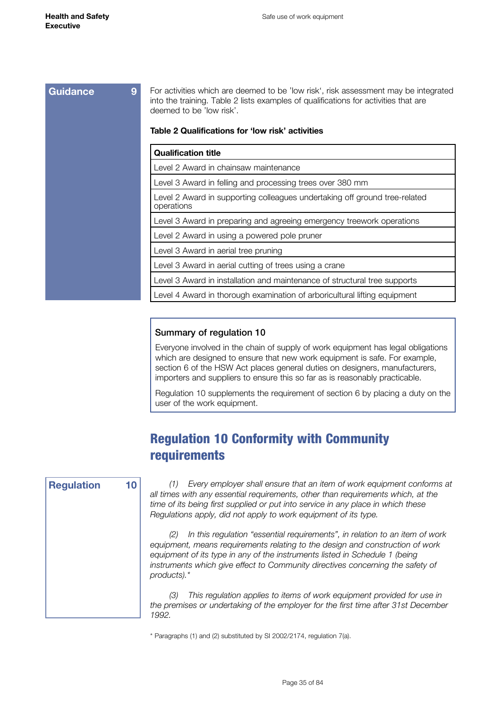<span id="page-34-0"></span>

| <b>Guidance</b><br>9 |  | For activities which are deemed to be 'low risk', risk assessment may be integrated<br>into the training. Table 2 lists examples of qualifications for activities that are<br>deemed to be 'low risk'.<br>Table 2 Qualifications for 'low risk' activities |  |  |
|----------------------|--|------------------------------------------------------------------------------------------------------------------------------------------------------------------------------------------------------------------------------------------------------------|--|--|
|                      |  | <b>Qualification title</b>                                                                                                                                                                                                                                 |  |  |
|                      |  | Level 2 Award in chainsaw maintenance                                                                                                                                                                                                                      |  |  |
|                      |  | Level 3 Award in felling and processing trees over 380 mm                                                                                                                                                                                                  |  |  |
|                      |  | Level 2 Award in supporting colleagues undertaking off ground tree-related<br>operations                                                                                                                                                                   |  |  |
|                      |  | Level 3 Award in preparing and agreeing emergency treework operations                                                                                                                                                                                      |  |  |
|                      |  | Level 2 Award in using a powered pole pruner                                                                                                                                                                                                               |  |  |
|                      |  | Level 3 Award in aerial tree pruning                                                                                                                                                                                                                       |  |  |
|                      |  | Level 3 Award in aerial cutting of trees using a crane                                                                                                                                                                                                     |  |  |
|                      |  | Level 3 Award in installation and maintenance of structural tree supports                                                                                                                                                                                  |  |  |
|                      |  | Level 4 Award in thorough examination of arboricultural lifting equipment                                                                                                                                                                                  |  |  |

#### Summary of regulation 10

Everyone involved in the chain of supply of work equipment has legal obligations which are designed to ensure that new work equipment is safe. For example, section 6 of the HSW Act places general duties on designers, manufacturers, importers and suppliers to ensure this so far as is reasonably practicable.

Regulation 10 supplements the requirement of section 6 by placing a duty on the user of the work equipment.

# Regulation 10 Conformity with Community requirements

| <b>Regulation</b> | 10 |
|-------------------|----|
|                   |    |
|                   |    |
|                   |    |
|                   |    |

*(1) Every employer shall ensure that an item of work equipment conforms at all times with any essential requirements, other than requirements which, at the time of its being first supplied or put into service in any place in which these Regulations apply, did not apply to work equipment of its type.*

*(2) In this regulation "essential requirements", in relation to an item of work equipment, means requirements relating to the design and construction of work equipment of its type in any of the instruments listed in Schedule 1 (being*  instruments which give effect to Community directives concerning the safety of *products).\**

*(3) This regulation applies to items of work equipment provided for use in the premises or undertaking of the employer for the first time after 31st December 1992.*

\* Paragraphs (1) and (2) substituted by SI 2002/2174, regulation 7(a).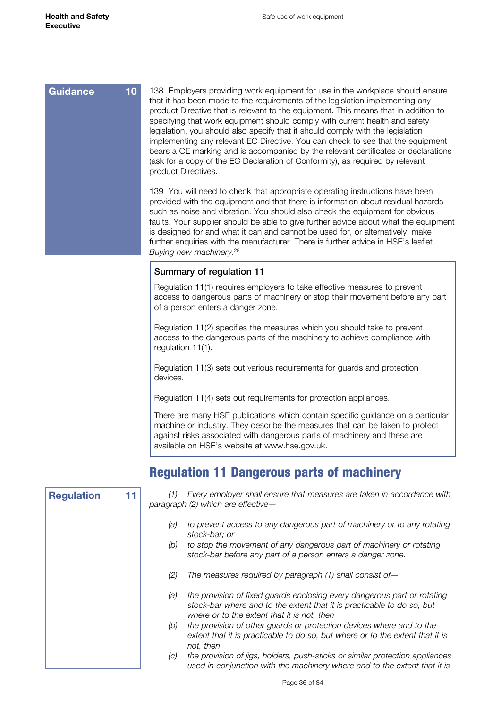<span id="page-35-0"></span>

| <b>Guidance</b> | 10 <sup>°</sup> | 138 Employers providing work equipment for use in the workplace should ensure<br>that it has been made to the requirements of the legislation implementing any<br>product Directive that is relevant to the equipment. This means that in addition to<br>specifying that work equipment should comply with current health and safety<br>legislation, you should also specify that it should comply with the legislation<br>implementing any relevant EC Directive. You can check to see that the equipment<br>bears a CE marking and is accompanied by the relevant certificates or declarations<br>(ask for a copy of the EC Declaration of Conformity), as required by relevant<br>product Directives. |
|-----------------|-----------------|----------------------------------------------------------------------------------------------------------------------------------------------------------------------------------------------------------------------------------------------------------------------------------------------------------------------------------------------------------------------------------------------------------------------------------------------------------------------------------------------------------------------------------------------------------------------------------------------------------------------------------------------------------------------------------------------------------|
|                 |                 | 139 You will need to check that appropriate operating instructions have been<br>provided with the equipment and that there is information about residual hazards<br>such as noise and vibration. You should also check the equipment for obvious                                                                                                                                                                                                                                                                                                                                                                                                                                                         |

such as noise and vibration. You should also check the equipment for obvious faults. Your supplier should be able to give further advice about what the equipment is designed for and what it can and cannot be used for, or alternatively, make further enquiries with the manufacturer. There is further advice in HSE's leaflet *Buying new machinery*. 28

#### Summary of regulation 11

Regulation 11(1) requires employers to take effective measures to prevent access to dangerous parts of machinery or stop their movement before any part of a person enters a danger zone.

Regulation 11(2) specifies the measures which you should take to prevent access to the dangerous parts of the machinery to achieve compliance with regulation 11(1).

Regulation 11(3) sets out various requirements for guards and protection devices.

Regulation 11(4) sets out requirements for protection appliances.

There are many HSE publications which contain specific guidance on a particular machine or industry. They describe the measures that can be taken to protect against risks associated with dangerous parts of machinery and these are available on HSE's website at www.hse.gov.uk.

## Regulation 11 Dangerous parts of machinery

| <b>Regulation</b> |     | Every employer shall ensure that measures are taken in accordance with<br>paragraph (2) which are effective-                                                                                      |
|-------------------|-----|---------------------------------------------------------------------------------------------------------------------------------------------------------------------------------------------------|
|                   | (a) | to prevent access to any dangerous part of machinery or to any rotating<br>stock-bar; or                                                                                                          |
|                   | (b) | to stop the movement of any dangerous part of machinery or rotating<br>stock-bar before any part of a person enters a danger zone.                                                                |
|                   | (2) | The measures required by paragraph $(1)$ shall consist of $-$                                                                                                                                     |
|                   | (a) | the provision of fixed guards enclosing every dangerous part or rotating<br>stock-bar where and to the extent that it is practicable to do so, but<br>where or to the extent that it is not, then |
|                   | (b) | the provision of other guards or protection devices where and to the<br>extent that it is practicable to do so, but where or to the extent that it is<br>not, then                                |
|                   | (C) | the provision of jigs, holders, push-sticks or similar protection appliances<br>used in conjunction with the machinery where and to the extent that it is                                         |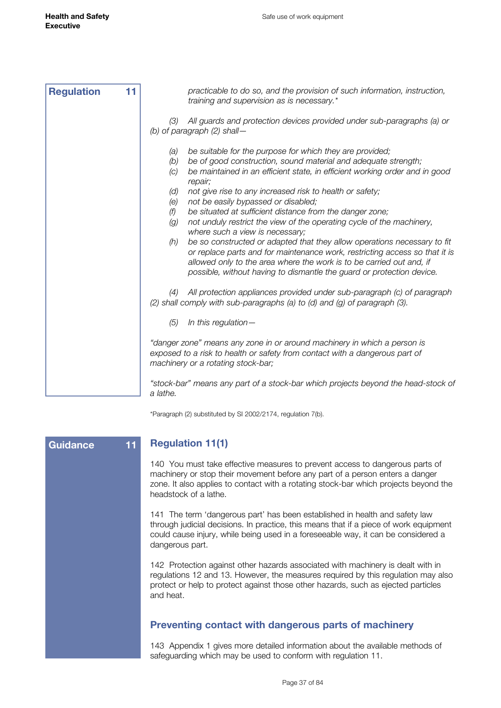| <b>Regulation</b> | 11 | practicable to do so, and the provision of such information, instruction,<br>training and supervision as is necessary.*                                                                                                                                                                                                                                                                                                                                                                                                                                                                                                                                                                                                                                                                                                                                             |
|-------------------|----|---------------------------------------------------------------------------------------------------------------------------------------------------------------------------------------------------------------------------------------------------------------------------------------------------------------------------------------------------------------------------------------------------------------------------------------------------------------------------------------------------------------------------------------------------------------------------------------------------------------------------------------------------------------------------------------------------------------------------------------------------------------------------------------------------------------------------------------------------------------------|
|                   |    | All guards and protection devices provided under sub-paragraphs (a) or<br>(3)<br>(b) of paragraph $(2)$ shall-                                                                                                                                                                                                                                                                                                                                                                                                                                                                                                                                                                                                                                                                                                                                                      |
|                   |    | be suitable for the purpose for which they are provided;<br>(a)<br>be of good construction, sound material and adequate strength;<br>(b)<br>be maintained in an efficient state, in efficient working order and in good<br>(c)<br>repair;<br>(d)<br>not give rise to any increased risk to health or safety;<br>not be easily bypassed or disabled;<br>(e)<br>be situated at sufficient distance from the danger zone;<br>(f)<br>(g)<br>not unduly restrict the view of the operating cycle of the machinery,<br>where such a view is necessary;<br>be so constructed or adapted that they allow operations necessary to fit<br>(h)<br>or replace parts and for maintenance work, restricting access so that it is<br>allowed only to the area where the work is to be carried out and, if<br>possible, without having to dismantle the guard or protection device. |
|                   |    | All protection appliances provided under sub-paragraph (c) of paragraph<br>(4)<br>$(2)$ shall comply with sub-paragraphs (a) to (d) and (g) of paragraph (3).                                                                                                                                                                                                                                                                                                                                                                                                                                                                                                                                                                                                                                                                                                       |
|                   |    | In this regulation-<br>(5)<br>"danger zone" means any zone in or around machinery in which a person is<br>exposed to a risk to health or safety from contact with a dangerous part of<br>machinery or a rotating stock-bar;                                                                                                                                                                                                                                                                                                                                                                                                                                                                                                                                                                                                                                         |
|                   |    | "stock-bar" means any part of a stock-bar which projects beyond the head-stock of<br>a lathe.                                                                                                                                                                                                                                                                                                                                                                                                                                                                                                                                                                                                                                                                                                                                                                       |

\*Paragraph (2) substituted by SI 2002/2174, regulation 7(b).

| <b>Guidance</b><br>11 | <b>Regulation 11(1)</b>                                                                                                                                                                                                                                                       |
|-----------------------|-------------------------------------------------------------------------------------------------------------------------------------------------------------------------------------------------------------------------------------------------------------------------------|
|                       | 140 You must take effective measures to prevent access to dangerous parts of<br>machinery or stop their movement before any part of a person enters a danger<br>zone. It also applies to contact with a rotating stock-bar which projects beyond the<br>headstock of a lathe. |
|                       | 141 The term 'dangerous part' has been established in health and safety law<br>through judicial decisions. In practice, this means that if a piece of work equipment<br>could cause injury, while being used in a foreseeable way, it can be considered a<br>dangerous part.  |
|                       | 142 Protection against other hazards associated with machinery is dealt with in<br>regulations 12 and 13. However, the measures required by this regulation may also<br>protect or help to protect against those other hazards, such as ejected particles<br>and heat.        |
|                       | Preventing contact with dangerous parts of machinery                                                                                                                                                                                                                          |
|                       | 143 Appendix 1 gives more detailed information about the available methods of<br>safeguarding which may be used to conform with regulation 11.                                                                                                                                |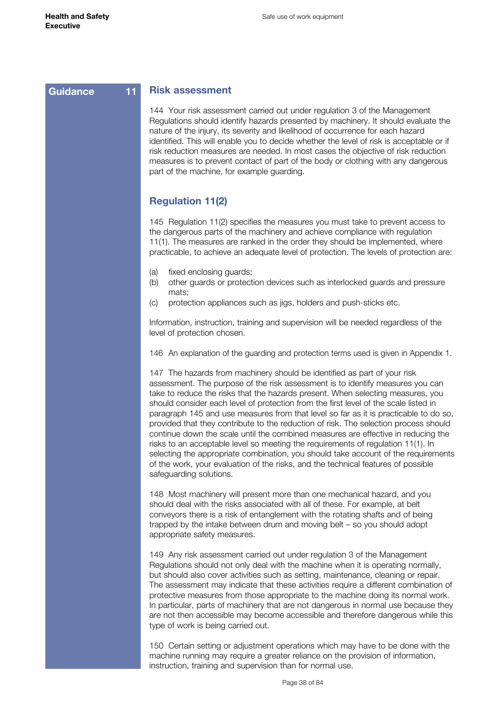**Guidance 11**

## 144 Your risk assessment carried out under regulation 3 of the Management Regulations should identify hazards presented by machinery. It should evaluate the nature of the injury, its severity and likelihood of occurrence for each hazard identified. This will enable you to decide whether the level of risk is acceptable or if risk reduction measures are needed. In most cases the objective of risk reduction measures is to prevent contact of part of the body or clothing with any dangerous part of the machine, for example guarding. **Regulation 11(2)** 145 Regulation 11(2) specifies the measures you must take to prevent access to the dangerous parts of the machinery and achieve compliance with regulation 11(1). The measures are ranked in the order they should be implemented, where practicable, to achieve an adequate level of protection. The levels of protection are: (a) fixed enclosing guards; (b) other guards or protection devices such as interlocked guards and pressure mats; (c) protection appliances such as jigs, holders and push-sticks etc. Information, instruction, training and supervision will be needed regardless of the level of protection chosen. 146 An explanation of the guarding and protection terms used is given in Appendix 1. 147 The hazards from machinery should be identified as part of your risk assessment. The purpose of the risk assessment is to identify measures you can take to reduce the risks that the hazards present. When selecting measures, you should consider each level of protection from the first level of the scale listed in paragraph 145 and use measures from that level so far as it is practicable to do so, provided that they contribute to the reduction of risk. The selection process should continue down the scale until the combined measures are effective in reducing the risks to an acceptable level so meeting the requirements of regulation 11(1). In selecting the appropriate combination, you should take account of the requirements of the work, your evaluation of the risks, and the technical features of possible safeguarding solutions. 148 Most machinery will present more than one mechanical hazard, and you should deal with the risks associated with all of these. For example, at belt conveyors there is a risk of entanglement with the rotating shafts and of being trapped by the intake between drum and moving belt – so you should adopt appropriate safety measures. 149 Any risk assessment carried out under regulation 3 of the Management Regulations should not only deal with the machine when it is operating normally, but should also cover activities such as setting, maintenance, cleaning or repair. The assessment may indicate that these activities require a different combination of protective measures from those appropriate to the machine doing its normal work. In particular, parts of machinery that are not dangerous in normal use because they are not then accessible may become accessible and therefore dangerous while this type of work is being carried out. 150 Certain setting or adjustment operations which may have to be done with the machine running may require a greater reliance on the provision of information, instruction, training and supervision than for normal use.

**Risk assessment**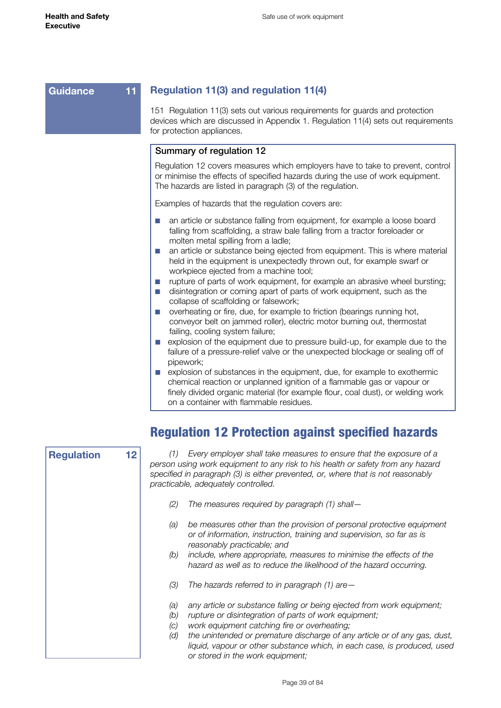Guidance 11

#### **Regulation 11(3) and regulation 11(4)**

151 Regulation 11(3) sets out various requirements for guards and protection devices which are discussed in Appendix 1. Regulation 11(4) sets out requirements for protection appliances.

#### Summary of regulation 12

Regulation 12 covers measures which employers have to take to prevent, control or minimise the effects of specified hazards during the use of work equipment. The hazards are listed in paragraph (3) of the regulation.

Examples of hazards that the regulation covers are:

- an article or substance falling from equipment, for example a loose board falling from scaffolding, a straw bale falling from a tractor foreloader or molten metal spilling from a ladle;
- an article or substance being ejected from equipment. This is where material held in the equipment is unexpectedly thrown out, for example swarf or workpiece ejected from a machine tool;
- rupture of parts of work equipment, for example an abrasive wheel bursting;
- disintegration or coming apart of parts of work equipment, such as the collapse of scaffolding or falsework;
- overheating or fire, due, for example to friction (bearings running hot, conveyor belt on jammed roller), electric motor burning out, thermostat failing, cooling system failure;
- explosion of the equipment due to pressure build-up, for example due to the failure of a pressure-relief valve or the unexpected blockage or sealing off of pipework;
- explosion of substances in the equipment, due, for example to exothermic chemical reaction or unplanned ignition of a flammable gas or vapour or finely divided organic material (for example flour, coal dust), or welding work on a container with flammable residues.

# Regulation 12 Protection against specified hazards

**Regulation 12**

*(1) Every employer shall take measures to ensure that the exposure of a person using work equipment to any risk to his health or safety from any hazard specified in paragraph (3) is either prevented, or, where that is not reasonably practicable, adequately controlled.*

- *(2) The measures required by paragraph (1) shall—*
- *(a) be measures other than the provision of personal protective equipment or of information, instruction, training and supervision, so far as is reasonably practicable; and*
- *(b) include, where appropriate, measures to minimise the effects of the hazard as well as to reduce the likelihood of the hazard occurring.*
- *(3) The hazards referred to in paragraph (1) are—*
- *(a) any article or substance falling or being ejected from work equipment;*
- *(b) rupture or disintegration of parts of work equipment;*
- *(c) work equipment catching fire or overheating;*
- *(d) the unintended or premature discharge of any article or of any gas, dust,*  liquid, vapour or other substance which, in each case, is produced, used *or stored in the work equipment;*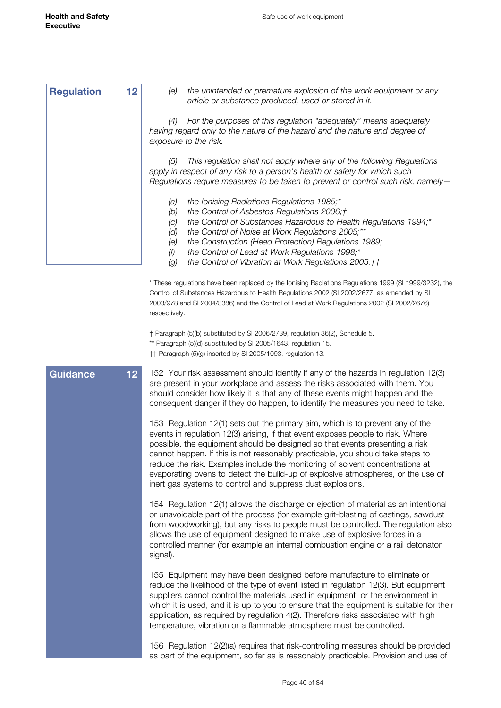| <b>Regulation</b> | 12              | the unintended or premature explosion of the work equipment or any<br>(e)<br>article or substance produced, used or stored in it.                                                                                                                                                                                                                                                                                                                                                                                                                                    |
|-------------------|-----------------|----------------------------------------------------------------------------------------------------------------------------------------------------------------------------------------------------------------------------------------------------------------------------------------------------------------------------------------------------------------------------------------------------------------------------------------------------------------------------------------------------------------------------------------------------------------------|
|                   |                 | For the purposes of this regulation "adequately" means adequately<br>(4)<br>having regard only to the nature of the hazard and the nature and degree of<br>exposure to the risk.                                                                                                                                                                                                                                                                                                                                                                                     |
|                   |                 | This regulation shall not apply where any of the following Regulations<br>(5)<br>apply in respect of any risk to a person's health or safety for which such<br>Regulations require measures to be taken to prevent or control such risk, namely-                                                                                                                                                                                                                                                                                                                     |
|                   |                 | the Ionising Radiations Regulations 1985;*<br>(a)<br>the Control of Asbestos Regulations 2006;†<br>(b)<br>the Control of Substances Hazardous to Health Regulations 1994;*<br>(C)<br>the Control of Noise at Work Regulations 2005;**<br>(d)<br>the Construction (Head Protection) Regulations 1989;<br>(e)<br>the Control of Lead at Work Regulations 1998;*<br>(f)<br>the Control of Vibration at Work Regulations 2005. ††<br>(g)                                                                                                                                 |
|                   |                 | * These regulations have been replaced by the lonising Radiations Regulations 1999 (SI 1999/3232), the<br>Control of Substances Hazardous to Health Regulations 2002 (SI 2002/2677, as amended by SI<br>2003/978 and SI 2004/3386) and the Control of Lead at Work Regulations 2002 (SI 2002/2676)<br>respectively.                                                                                                                                                                                                                                                  |
|                   |                 | † Paragraph (5)(b) substituted by SI 2006/2739, regulation 36(2), Schedule 5.<br>** Paragraph (5)(d) substituted by SI 2005/1643, regulation 15.<br>† Paragraph (5)(g) inserted by SI 2005/1093, regulation 13.                                                                                                                                                                                                                                                                                                                                                      |
| <b>Guidance</b>   | 12 <sub>2</sub> | 152 Your risk assessment should identify if any of the hazards in regulation 12(3)<br>are present in your workplace and assess the risks associated with them. You<br>should consider how likely it is that any of these events might happen and the<br>consequent danger if they do happen, to identify the measures you need to take.                                                                                                                                                                                                                              |
|                   |                 | 153 Regulation 12(1) sets out the primary aim, which is to prevent any of the<br>events in regulation 12(3) arising, if that event exposes people to risk. Where<br>possible, the equipment should be designed so that events presenting a risk<br>cannot happen. If this is not reasonably practicable, you should take steps to<br>reduce the risk. Examples include the monitoring of solvent concentrations at<br>evaporating ovens to detect the build-up of explosive atmospheres, or the use of<br>inert gas systems to control and suppress dust explosions. |
|                   |                 | 154 Regulation 12(1) allows the discharge or ejection of material as an intentional<br>or unavoidable part of the process (for example grit-blasting of castings, sawdust<br>from woodworking), but any risks to people must be controlled. The regulation also<br>allows the use of equipment designed to make use of explosive forces in a<br>controlled manner (for example an internal combustion engine or a rail detonator<br>signal).                                                                                                                         |
|                   |                 | 155 Equipment may have been designed before manufacture to eliminate or<br>reduce the likelihood of the type of event listed in regulation 12(3). But equipment<br>suppliers cannot control the materials used in equipment, or the environment in<br>which it is used, and it is up to you to ensure that the equipment is suitable for their<br>application, as required by regulation 4(2). Therefore risks associated with high<br>temperature, vibration or a flammable atmosphere must be controlled.                                                          |
|                   |                 | 156 Regulation 12(2)(a) requires that risk-controlling measures should be provided<br>as part of the equipment, so far as is reasonably practicable. Provision and use of                                                                                                                                                                                                                                                                                                                                                                                            |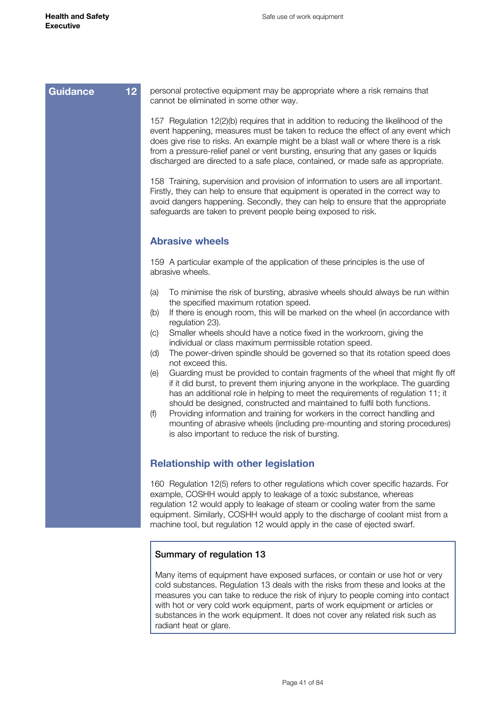| Guidance | 12 | personal protective equipment may be appropriate where a risk remains that<br>cannot be eliminated in some other way.                                                                                                                                                                                                                                                                                                                                                                                                                                                                                                                                                                                                                                                                                                                                                                                                                                                                                                                                             |
|----------|----|-------------------------------------------------------------------------------------------------------------------------------------------------------------------------------------------------------------------------------------------------------------------------------------------------------------------------------------------------------------------------------------------------------------------------------------------------------------------------------------------------------------------------------------------------------------------------------------------------------------------------------------------------------------------------------------------------------------------------------------------------------------------------------------------------------------------------------------------------------------------------------------------------------------------------------------------------------------------------------------------------------------------------------------------------------------------|
|          |    | 157 Regulation 12(2)(b) requires that in addition to reducing the likelihood of the<br>event happening, measures must be taken to reduce the effect of any event which<br>does give rise to risks. An example might be a blast wall or where there is a risk<br>from a pressure-relief panel or vent bursting, ensuring that any gases or liquids<br>discharged are directed to a safe place, contained, or made safe as appropriate.                                                                                                                                                                                                                                                                                                                                                                                                                                                                                                                                                                                                                             |
|          |    | 158 Training, supervision and provision of information to users are all important.<br>Firstly, they can help to ensure that equipment is operated in the correct way to<br>avoid dangers happening. Secondly, they can help to ensure that the appropriate<br>safeguards are taken to prevent people being exposed to risk.                                                                                                                                                                                                                                                                                                                                                                                                                                                                                                                                                                                                                                                                                                                                       |
|          |    | <b>Abrasive wheels</b>                                                                                                                                                                                                                                                                                                                                                                                                                                                                                                                                                                                                                                                                                                                                                                                                                                                                                                                                                                                                                                            |
|          |    | 159 A particular example of the application of these principles is the use of<br>abrasive wheels.                                                                                                                                                                                                                                                                                                                                                                                                                                                                                                                                                                                                                                                                                                                                                                                                                                                                                                                                                                 |
|          |    | (a)<br>To minimise the risk of bursting, abrasive wheels should always be run within<br>the specified maximum rotation speed.<br>If there is enough room, this will be marked on the wheel (in accordance with<br>(b)<br>regulation 23).<br>Smaller wheels should have a notice fixed in the workroom, giving the<br>(c)<br>individual or class maximum permissible rotation speed.<br>The power-driven spindle should be governed so that its rotation speed does<br>(d)<br>not exceed this.<br>(e)<br>Guarding must be provided to contain fragments of the wheel that might fly off<br>if it did burst, to prevent them injuring anyone in the workplace. The guarding<br>has an additional role in helping to meet the requirements of regulation 11; it<br>should be designed, constructed and maintained to fulfil both functions.<br>(f)<br>Providing information and training for workers in the correct handling and<br>mounting of abrasive wheels (including pre-mounting and storing procedures)<br>is also important to reduce the risk of bursting. |
|          |    | <b>Relationship with other legislation</b>                                                                                                                                                                                                                                                                                                                                                                                                                                                                                                                                                                                                                                                                                                                                                                                                                                                                                                                                                                                                                        |
|          |    | 160 Regulation 12(5) refers to other regulations which cover specific hazards. For<br>example, COSHH would apply to leakage of a toxic substance, whereas<br>regulation 12 would apply to leakage of steam or cooling water from the same<br>equipment. Similarly, COSHH would apply to the discharge of coolant mist from a<br>machine tool, but regulation 12 would apply in the case of ejected swarf.                                                                                                                                                                                                                                                                                                                                                                                                                                                                                                                                                                                                                                                         |
|          |    | Summary of regulation 13                                                                                                                                                                                                                                                                                                                                                                                                                                                                                                                                                                                                                                                                                                                                                                                                                                                                                                                                                                                                                                          |
|          |    | Many items of equipment have exposed surfaces, or contain or use hot or very<br>and substances. Pequiption 12 deals with the risks from these and looks at the                                                                                                                                                                                                                                                                                                                                                                                                                                                                                                                                                                                                                                                                                                                                                                                                                                                                                                    |

cold substances. Regulation 13 deals with the risks from these and looks at the measures you can take to reduce the risk of injury to people coming into contact with hot or very cold work equipment, parts of work equipment or articles or substances in the work equipment. It does not cover any related risk such as radiant heat or glare.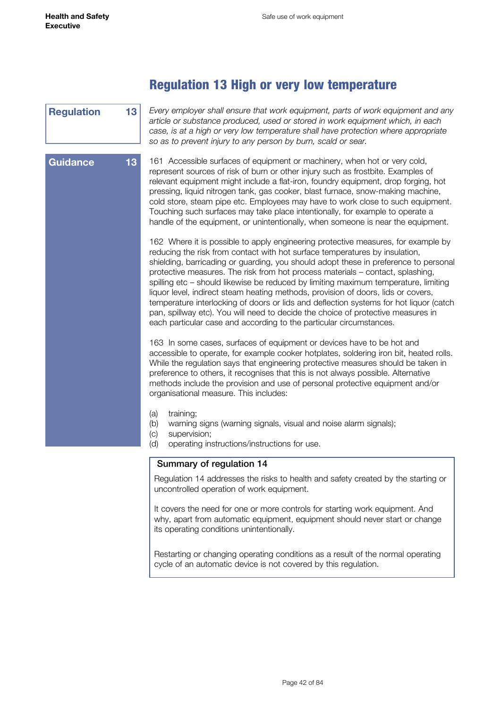#### *Every employer shall ensure that work equipment, parts of work equipment and any article or substance produced, used or stored in work equipment which, in each case, is at a high or very low temperature shall have protection where appropriate so as to prevent injury to any person by burn, scald or sear.* 161 Accessible surfaces of equipment or machinery, when hot or very cold, represent sources of risk of burn or other injury such as frostbite. Examples of relevant equipment might include a flat-iron, foundry equipment, drop forging, hot pressing, liquid nitrogen tank, gas cooker, blast furnace, snow-making machine, cold store, steam pipe etc. Employees may have to work close to such equipment. Touching such surfaces may take place intentionally, for example to operate a handle of the equipment, or unintentionally, when someone is near the equipment. 162 Where it is possible to apply engineering protective measures, for example by reducing the risk from contact with hot surface temperatures by insulation, shielding, barricading or guarding, you should adopt these in preference to personal protective measures. The risk from hot process materials – contact, splashing, spilling etc – should likewise be reduced by limiting maximum temperature, limiting liquor level, indirect steam heating methods, provision of doors, lids or covers, temperature interlocking of doors or lids and deflection systems for hot liquor (catch pan, spillway etc). You will need to decide the choice of protective measures in each particular case and according to the particular circumstances. 163 In some cases, surfaces of equipment or devices have to be hot and accessible to operate, for example cooker hotplates, soldering iron bit, heated rolls. While the regulation says that engineering protective measures should be taken in preference to others, it recognises that this is not always possible. Alternative methods include the provision and use of personal protective equipment and/or organisational measure. This includes: (a) training; (b) warning signs (warning signals, visual and noise alarm signals); (c) supervision; (d) operating instructions/instructions for use. Summary of regulation 14 Regulation 14 addresses the risks to health and safety created by the starting or uncontrolled operation of work equipment. It covers the need for one or more controls for starting work equipment. And why, apart from automatic equipment, equipment should never start or change its operating conditions unintentionally. **Guidance 13 Regulation 13**

Restarting or changing operating conditions as a result of the normal operating cycle of an automatic device is not covered by this regulation.

# Regulation 13 High or very low temperature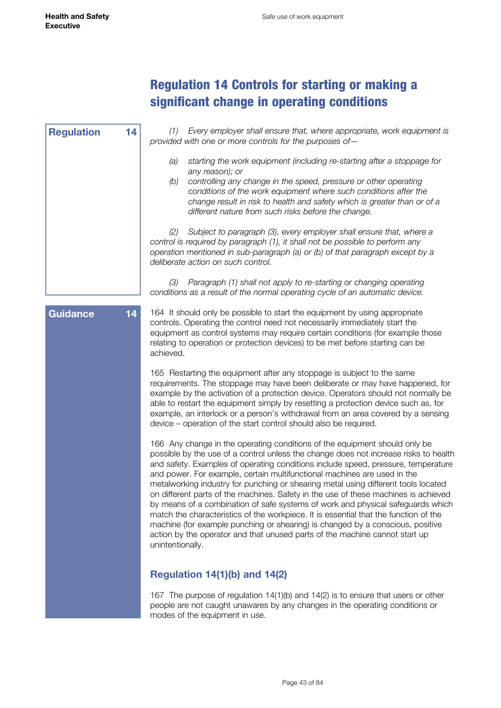**Regulation 14**

Regulation 14 Controls for starting or making a significant change in operating conditions

*(1) Every employer shall ensure that, where appropriate, work equipment is provided with one or more controls for the purposes of—*

- *(a) starting the work equipment (including re-starting after a stoppage for any reason); or*
- *(b) controlling any change in the speed, pressure or other operating conditions of the work equipment where such conditions after the change result in risk to health and safety which is greater than or of a different nature from such risks before the change.*

*(2) Subject to paragraph (3), every employer shall ensure that, where a control is required by paragraph (1), it shall not be possible to perform any operation mentioned in sub-paragraph (a) or (b) of that paragraph except by a deliberate action on such control.*

*(3) Paragraph (1) shall not apply to re-starting or changing operating conditions as a result of the normal operating cycle of an automatic device.*

164 It should only be possible to start the equipment by using appropriate controls. Operating the control need not necessarily immediately start the equipment as control systems may require certain conditions (for example those relating to operation or protection devices) to be met before starting can be achieved. **Guidance 14**

> 165 Restarting the equipment after any stoppage is subject to the same requirements. The stoppage may have been deliberate or may have happened, for example by the activation of a protection device. Operators should not normally be able to restart the equipment simply by resetting a protection device such as, for example, an interlock or a person's withdrawal from an area covered by a sensing device – operation of the start control should also be required.

> 166 Any change in the operating conditions of the equipment should only be possible by the use of a control unless the change does not increase risks to health and safety. Examples of operating conditions include speed, pressure, temperature and power. For example, certain multifunctional machines are used in the metalworking industry for punching or shearing metal using different tools located on different parts of the machines. Safety in the use of these machines is achieved by means of a combination of safe systems of work and physical safeguards which match the characteristics of the workpiece. It is essential that the function of the machine (for example punching or shearing) is changed by a conscious, positive action by the operator and that unused parts of the machine cannot start up unintentionally.

### **Regulation 14(1)(b) and 14(2)**

167 The purpose of regulation 14(1)(b) and 14(2) is to ensure that users or other people are not caught unawares by any changes in the operating conditions or modes of the equipment in use.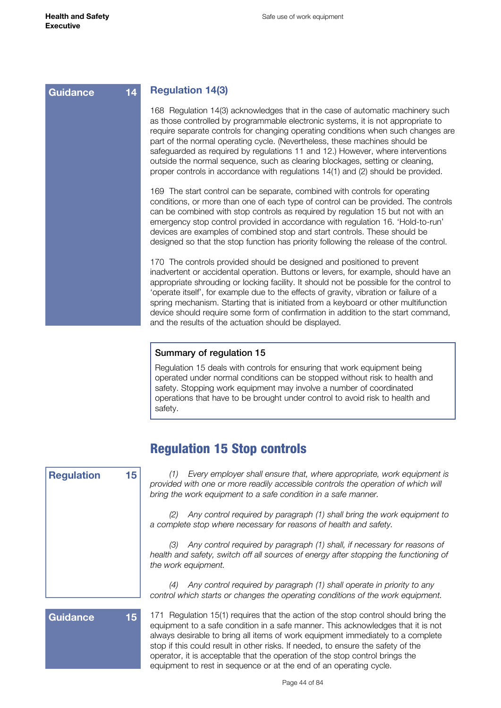| 14<br><b>Guidance</b> | <b>Regulation 14(3)</b>                                                                                                                                                                                                                                                                                                                                                                                                                                                                                                                                                                        |
|-----------------------|------------------------------------------------------------------------------------------------------------------------------------------------------------------------------------------------------------------------------------------------------------------------------------------------------------------------------------------------------------------------------------------------------------------------------------------------------------------------------------------------------------------------------------------------------------------------------------------------|
|                       | 168 Regulation 14(3) acknowledges that in the case of automatic machinery such<br>as those controlled by programmable electronic systems, it is not appropriate to<br>require separate controls for changing operating conditions when such changes are<br>part of the normal operating cycle. (Nevertheless, these machines should be<br>safeguarded as required by regulations 11 and 12.) However, where interventions<br>outside the normal sequence, such as clearing blockages, setting or cleaning,<br>proper controls in accordance with regulations 14(1) and (2) should be provided. |
|                       | 169 The start control can be separate, combined with controls for operating<br>conditions, or more than one of each type of control can be provided. The controls<br>can be combined with stop controls as required by regulation 15 but not with an<br>emergency stop control provided in accordance with regulation 16. 'Hold-to-run'<br>devices are examples of combined stop and start controls. These should be<br>designed so that the stop function has priority following the release of the control.                                                                                  |
|                       | 170 The controls provided should be designed and positioned to prevent<br>inadvertent or accidental operation. Buttons or levers, for example, should have an<br>appropriate shrouding or locking facility. It should not be possible for the control to<br>'operate itself', for example due to the effects of gravity, vibration or failure of a<br>spring mechanism. Starting that is initiated from a keyboard or other multifunction<br>device should require some form of confirmation in addition to the start command,<br>and the results of the actuation should be displayed.        |
|                       |                                                                                                                                                                                                                                                                                                                                                                                                                                                                                                                                                                                                |

#### Summary of regulation 15

Regulation 15 deals with controls for ensuring that work equipment being operated under normal conditions can be stopped without risk to health and safety. Stopping work equipment may involve a number of coordinated operations that have to be brought under control to avoid risk to health and safety.

| <b>Regulation</b> | 15 |
|-------------------|----|
|                   |    |
|                   |    |
|                   |    |
|                   |    |
|                   |    |
|                   |    |

# Regulation 15 Stop controls

*(1) Every employer shall ensure that, where appropriate, work equipment is provided with one or more readily accessible controls the operation of which will bring the work equipment to a safe condition in a safe manner.*

*(2) Any control required by paragraph (1) shall bring the work equipment to a complete stop where necessary for reasons of health and safety.*

*(3) Any control required by paragraph (1) shall, if necessary for reasons of health and safety, switch off all sources of energy after stopping the functioning of the work equipment.*

*(4) Any control required by paragraph (1) shall operate in priority to any control which starts or changes the operating conditions of the work equipment.*

#### **Guidance 15**

171 Regulation 15(1) requires that the action of the stop control should bring the equipment to a safe condition in a safe manner. This acknowledges that it is not always desirable to bring all items of work equipment immediately to a complete stop if this could result in other risks. If needed, to ensure the safety of the operator, it is acceptable that the operation of the stop control brings the equipment to rest in sequence or at the end of an operating cycle.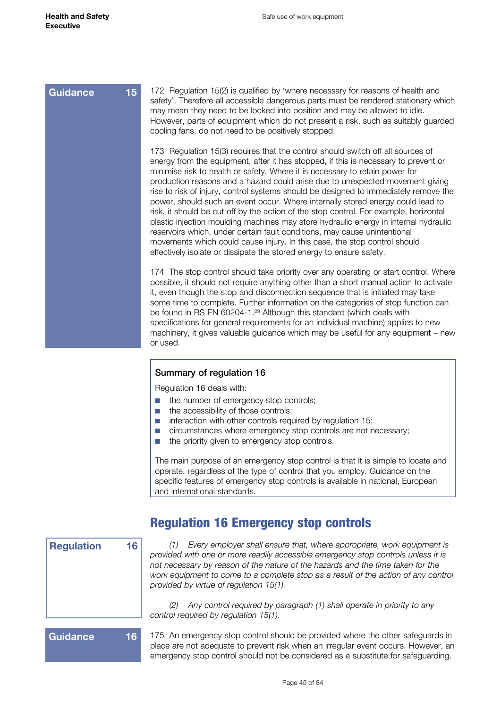172 Regulation 15(2) is qualified by 'where necessary for reasons of health and safety'. Therefore all accessible dangerous parts must be rendered stationary which may mean they need to be locked into position and may be allowed to idle. However, parts of equipment which do not present a risk, such as suitably guarded cooling fans, do not need to be positively stopped. **Guidance 15**

> 173 Regulation 15(3) requires that the control should switch off all sources of energy from the equipment, after it has stopped, if this is necessary to prevent or minimise risk to health or safety. Where it is necessary to retain power for production reasons and a hazard could arise due to unexpected movement giving rise to risk of injury, control systems should be designed to immediately remove the power, should such an event occur. Where internally stored energy could lead to risk, it should be cut off by the action of the stop control. For example, horizontal plastic injection moulding machines may store hydraulic energy in internal hydraulic reservoirs which, under certain fault conditions, may cause unintentional movements which could cause injury. In this case, the stop control should effectively isolate or dissipate the stored energy to ensure safety.

> 174 The stop control should take priority over any operating or start control. Where possible, it should not require anything other than a short manual action to activate it, even though the stop and disconnection sequence that is initiated may take some time to complete. Further information on the categories of stop function can be found in BS EN 60204-1.29 Although this standard (which deals with specifications for general requirements for an individual machine) applies to new machinery, it gives valuable guidance which may be useful for any equipment – new or used.

#### Summary of regulation 16

Regulation 16 deals with:

- the number of emergency stop controls;
- the accessibility of those controls:
- interaction with other controls required by requlation 15;
- circumstances where emergency stop controls are not necessary;
- the priority given to emergency stop controls.

The main purpose of an emergency stop control is that it is simple to locate and operate, regardless of the type of control that you employ. Guidance on the specific features of emergency stop controls is available in national, European and international standards.

# Regulation 16 Emergency stop controls

**Regulation 16**

*(1) Every employer shall ensure that, where appropriate, work equipment is provided with one or more readily accessible emergency stop controls unless it is not necessary by reason of the nature of the hazards and the time taken for the work equipment to come to a complete stop as a result of the action of any control provided by virtue of regulation 15(1).*

*(2) Any control required by paragraph (1) shall operate in priority to any control required by regulation 15(1).*

# **Guidance 16**

175 An emergency stop control should be provided where the other safeguards in place are not adequate to prevent risk when an irregular event occurs. However, an emergency stop control should not be considered as a substitute for safeguarding.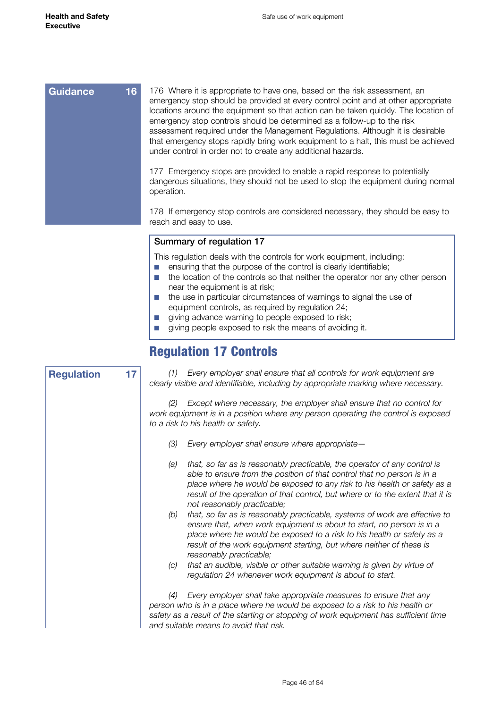| <b>Guidance</b> | 176 Where it is appropriate to have one, based on the risk assessment, an<br>emergency stop should be provided at every control point and at other appropriate<br>locations around the equipment so that action can be taken quickly. The location of<br>emergency stop controls should be determined as a follow-up to the risk<br>assessment required under the Management Regulations. Although it is desirable<br>that emergency stops rapidly bring work equipment to a halt, this must be achieved<br>under control in order not to create any additional hazards. |
|-----------------|--------------------------------------------------------------------------------------------------------------------------------------------------------------------------------------------------------------------------------------------------------------------------------------------------------------------------------------------------------------------------------------------------------------------------------------------------------------------------------------------------------------------------------------------------------------------------|
|                 |                                                                                                                                                                                                                                                                                                                                                                                                                                                                                                                                                                          |

177 Emergency stops are provided to enable a rapid response to potentially dangerous situations, they should not be used to stop the equipment during normal operation.

178 If emergency stop controls are considered necessary, they should be easy to reach and easy to use.

#### Summary of regulation 17

This regulation deals with the controls for work equipment, including:

- ensuring that the purpose of the control is clearly identifiable;
- the location of the controls so that neither the operator nor any other person near the equipment is at risk;
- the use in particular circumstances of warnings to signal the use of equipment controls, as required by regulation 24;
- giving advance warning to people exposed to risk;
- giving people exposed to risk the means of avoiding it.

# Regulation 17 Controls

| <b>Regulation</b> | 17 <sub>1</sub> | Every employer shall ensure that all controls for work equipment are<br>(1)<br>clearly visible and identifiable, including by appropriate marking where necessary.                                                                                                                                                                                       |
|-------------------|-----------------|----------------------------------------------------------------------------------------------------------------------------------------------------------------------------------------------------------------------------------------------------------------------------------------------------------------------------------------------------------|
|                   |                 | Except where necessary, the employer shall ensure that no control for<br>(2)<br>work equipment is in a position where any person operating the control is exposed<br>to a risk to his health or safety.                                                                                                                                                  |
|                   |                 | (3)<br>Every employer shall ensure where appropriate-                                                                                                                                                                                                                                                                                                    |
|                   |                 | that, so far as is reasonably practicable, the operator of any control is<br>(a)<br>able to ensure from the position of that control that no person is in a<br>place where he would be exposed to any risk to his health or safety as a<br>result of the operation of that control, but where or to the extent that it is<br>not reasonably practicable; |
|                   |                 | that, so far as is reasonably practicable, systems of work are effective to<br>(b)<br>ensure that, when work equipment is about to start, no person is in a<br>place where he would be exposed to a risk to his health or safety as a<br>result of the work equipment starting, but where neither of these is<br>reasonably practicable;                 |
|                   |                 | that an audible, visible or other suitable warning is given by virtue of<br>(C)<br>regulation 24 whenever work equipment is about to start.                                                                                                                                                                                                              |
|                   |                 | Every employer shall take appropriate measures to ensure that any<br>(4)<br>person who is in a place where he would be exposed to a risk to his health or<br>safety as a result of the starting or stopping of work equipment has sufficient time<br>and suitable means to avoid that risk.                                                              |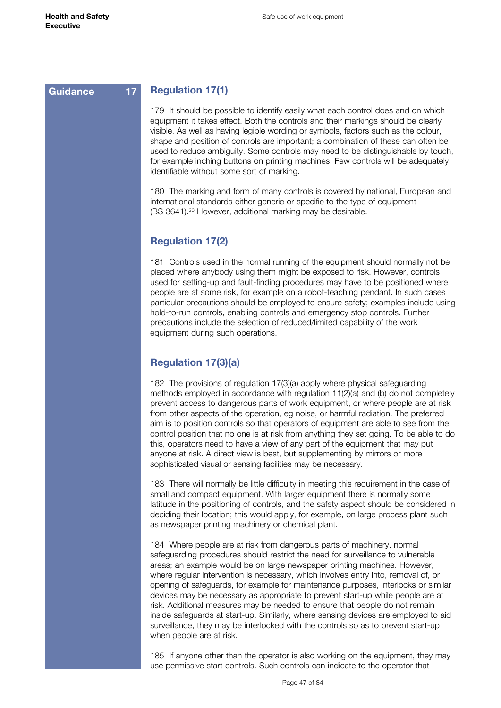#### **Guidance 17**

#### **Regulation 17(1)**

179 It should be possible to identify easily what each control does and on which equipment it takes effect. Both the controls and their markings should be clearly visible. As well as having legible wording or symbols, factors such as the colour, shape and position of controls are important; a combination of these can often be used to reduce ambiguity. Some controls may need to be distinguishable by touch, for example inching buttons on printing machines. Few controls will be adequately identifiable without some sort of marking.

180 The marking and form of many controls is covered by national, European and international standards either generic or specific to the type of equipment (BS 3641).30 However, additional marking may be desirable.

#### **Regulation 17(2)**

181 Controls used in the normal running of the equipment should normally not be placed where anybody using them might be exposed to risk. However, controls used for setting-up and fault-finding procedures may have to be positioned where people are at some risk, for example on a robot-teaching pendant. In such cases particular precautions should be employed to ensure safety; examples include using hold-to-run controls, enabling controls and emergency stop controls. Further precautions include the selection of reduced/limited capability of the work equipment during such operations.

### **Regulation 17(3)(a)**

182 The provisions of regulation 17(3)(a) apply where physical safeguarding methods employed in accordance with regulation 11(2)(a) and (b) do not completely prevent access to dangerous parts of work equipment, or where people are at risk from other aspects of the operation, eg noise, or harmful radiation. The preferred aim is to position controls so that operators of equipment are able to see from the control position that no one is at risk from anything they set going. To be able to do this, operators need to have a view of any part of the equipment that may put anyone at risk. A direct view is best, but supplementing by mirrors or more sophisticated visual or sensing facilities may be necessary.

183 There will normally be little difficulty in meeting this requirement in the case of small and compact equipment. With larger equipment there is normally some latitude in the positioning of controls, and the safety aspect should be considered in deciding their location; this would apply, for example, on large process plant such as newspaper printing machinery or chemical plant.

184 Where people are at risk from dangerous parts of machinery, normal safeguarding procedures should restrict the need for surveillance to vulnerable areas; an example would be on large newspaper printing machines. However, where regular intervention is necessary, which involves entry into, removal of, or opening of safeguards, for example for maintenance purposes, interlocks or similar devices may be necessary as appropriate to prevent start-up while people are at risk. Additional measures may be needed to ensure that people do not remain inside safeguards at start-up. Similarly, where sensing devices are employed to aid surveillance, they may be interlocked with the controls so as to prevent start-up when people are at risk.

185 If anyone other than the operator is also working on the equipment, they may use permissive start controls. Such controls can indicate to the operator that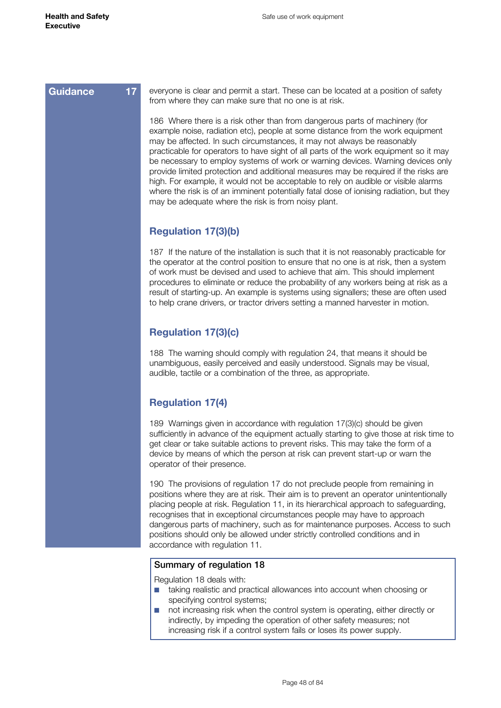#### everyone is clear and permit a start. These can be located at a position of safety from where they can make sure that no one is at risk. **Guidance 17**

186 Where there is a risk other than from dangerous parts of machinery (for example noise, radiation etc), people at some distance from the work equipment may be affected. In such circumstances, it may not always be reasonably practicable for operators to have sight of all parts of the work equipment so it may be necessary to employ systems of work or warning devices. Warning devices only provide limited protection and additional measures may be required if the risks are high. For example, it would not be acceptable to rely on audible or visible alarms where the risk is of an imminent potentially fatal dose of ionising radiation, but they may be adequate where the risk is from noisy plant.

## **Regulation 17(3)(b)**

187 If the nature of the installation is such that it is not reasonably practicable for the operator at the control position to ensure that no one is at risk, then a system of work must be devised and used to achieve that aim. This should implement procedures to eliminate or reduce the probability of any workers being at risk as a result of starting-up. An example is systems using signallers; these are often used to help crane drivers, or tractor drivers setting a manned harvester in motion.

### **Regulation 17(3)(c)**

188 The warning should comply with regulation 24, that means it should be unambiguous, easily perceived and easily understood. Signals may be visual, audible, tactile or a combination of the three, as appropriate.

### **Regulation 17(4)**

189 Warnings given in accordance with regulation 17(3)(c) should be given sufficiently in advance of the equipment actually starting to give those at risk time to get clear or take suitable actions to prevent risks. This may take the form of a device by means of which the person at risk can prevent start-up or warn the operator of their presence.

190 The provisions of regulation 17 do not preclude people from remaining in positions where they are at risk. Their aim is to prevent an operator unintentionally placing people at risk. Regulation 11, in its hierarchical approach to safeguarding, recognises that in exceptional circumstances people may have to approach dangerous parts of machinery, such as for maintenance purposes. Access to such positions should only be allowed under strictly controlled conditions and in accordance with regulation 11.

#### Summary of regulation 18

Regulation 18 deals with:

- taking realistic and practical allowances into account when choosing or specifying control systems;
- not increasing risk when the control system is operating, either directly or indirectly, by impeding the operation of other safety measures; not increasing risk if a control system fails or loses its power supply.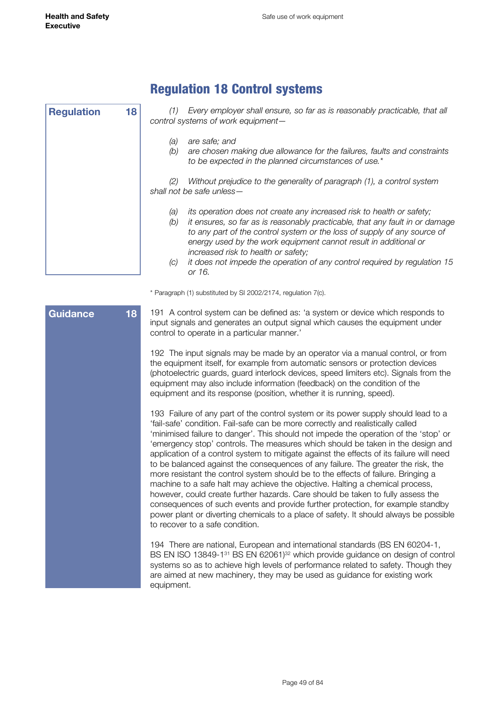# Regulation 18 Control systems

| <b>Regulation</b> | 18 | Every employer shall ensure, so far as is reasonably practicable, that all<br>control systems of work equipment- |                                                                                                                                                                                                                                                                                                                                              |
|-------------------|----|------------------------------------------------------------------------------------------------------------------|----------------------------------------------------------------------------------------------------------------------------------------------------------------------------------------------------------------------------------------------------------------------------------------------------------------------------------------------|
|                   |    | are safe; and<br>(a)<br>(b)                                                                                      | are chosen making due allowance for the failures, faults and constraints<br>to be expected in the planned circumstances of use.*                                                                                                                                                                                                             |
|                   |    | (2)<br>shall not be safe unless -                                                                                | Without prejudice to the generality of paragraph (1), a control system                                                                                                                                                                                                                                                                       |
|                   |    | (a)<br>(b)                                                                                                       | its operation does not create any increased risk to health or safety;<br>it ensures, so far as is reasonably practicable, that any fault in or damage<br>to any part of the control system or the loss of supply of any source of<br>energy used by the work equipment cannot result in additional or<br>increased risk to health or safety; |
|                   |    | (C)<br>or 16.                                                                                                    | it does not impede the operation of any control required by regulation 15                                                                                                                                                                                                                                                                    |

\* Paragraph (1) substituted by SI 2002/2174, regulation 7(c).

| <b>Guidance</b> | 18 | 191 A control system can be defined as: 'a system or device which responds to<br>input signals and generates an output signal which causes the equipment under<br>control to operate in a particular manner.'                                                                                                                                                                                                                                                                                                                                                                                                                                                                                                                                                                                                                                                                                                                                                                                             |
|-----------------|----|-----------------------------------------------------------------------------------------------------------------------------------------------------------------------------------------------------------------------------------------------------------------------------------------------------------------------------------------------------------------------------------------------------------------------------------------------------------------------------------------------------------------------------------------------------------------------------------------------------------------------------------------------------------------------------------------------------------------------------------------------------------------------------------------------------------------------------------------------------------------------------------------------------------------------------------------------------------------------------------------------------------|
|                 |    | 192 The input signals may be made by an operator via a manual control, or from<br>the equipment itself, for example from automatic sensors or protection devices<br>(photoelectric guards, guard interlock devices, speed limiters etc). Signals from the<br>equipment may also include information (feedback) on the condition of the<br>equipment and its response (position, whether it is running, speed).                                                                                                                                                                                                                                                                                                                                                                                                                                                                                                                                                                                            |
|                 |    | 193 Failure of any part of the control system or its power supply should lead to a<br>'fail-safe' condition. Fail-safe can be more correctly and realistically called<br>'minimised failure to danger'. This should not impede the operation of the 'stop' or<br>'emergency stop' controls. The measures which should be taken in the design and<br>application of a control system to mitigate against the effects of its failure will need<br>to be balanced against the consequences of any failure. The greater the risk, the<br>more resistant the control system should be to the effects of failure. Bringing a<br>machine to a safe halt may achieve the objective. Halting a chemical process,<br>however, could create further hazards. Care should be taken to fully assess the<br>consequences of such events and provide further protection, for example standby<br>power plant or diverting chemicals to a place of safety. It should always be possible<br>to recover to a safe condition. |
|                 |    | 194 There are national, European and international standards (BS EN 60204-1,<br>BS EN ISO 13849-1 <sup>31</sup> BS EN 62061) <sup>32</sup> which provide guidance on design of control<br>systems so as to achieve high levels of performance related to safety. Though they<br>are aimed at new machinery, they may be used as guidance for existing work<br>equipment.                                                                                                                                                                                                                                                                                                                                                                                                                                                                                                                                                                                                                                  |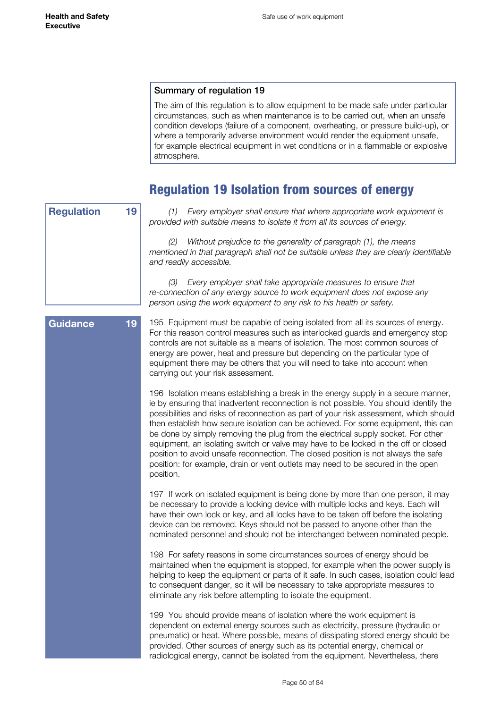#### Summary of regulation 19

The aim of this regulation is to allow equipment to be made safe under particular circumstances, such as when maintenance is to be carried out, when an unsafe condition develops (failure of a component, overheating, or pressure build-up), or where a temporarily adverse environment would render the equipment unsafe, for example electrical equipment in wet conditions or in a flammable or explosive atmosphere.

# Regulation 19 Isolation from sources of energy

*(1) Every employer shall ensure that where appropriate work equipment is provided with suitable means to isolate it from all its sources of energy. (2) Without prejudice to the generality of paragraph (1), the means mentioned in that paragraph shall not be suitable unless they are clearly identifiable and readily accessible. (3) Every employer shall take appropriate measures to ensure that re-connection of any energy source to work equipment does not expose any person using the work equipment to any risk to his health or safety.* 195 Equipment must be capable of being isolated from all its sources of energy. For this reason control measures such as interlocked guards and emergency stop controls are not suitable as a means of isolation. The most common sources of energy are power, heat and pressure but depending on the particular type of equipment there may be others that you will need to take into account when carrying out your risk assessment. 196 Isolation means establishing a break in the energy supply in a secure manner, ie by ensuring that inadvertent reconnection is not possible. You should identify the possibilities and risks of reconnection as part of your risk assessment, which should then establish how secure isolation can be achieved. For some equipment, this can be done by simply removing the plug from the electrical supply socket. For other equipment, an isolating switch or valve may have to be locked in the off or closed position to avoid unsafe reconnection. The closed position is not always the safe position: for example, drain or vent outlets may need to be secured in the open position. 197 If work on isolated equipment is being done by more than one person, it may be necessary to provide a locking device with multiple locks and keys. Each will have their own lock or key, and all locks have to be taken off before the isolating device can be removed. Keys should not be passed to anyone other than the nominated personnel and should not be interchanged between nominated people. 198 For safety reasons in some circumstances sources of energy should be maintained when the equipment is stopped, for example when the power supply is helping to keep the equipment or parts of it safe. In such cases, isolation could lead to consequent danger, so it will be necessary to take appropriate measures to eliminate any risk before attempting to isolate the equipment. 199 You should provide means of isolation where the work equipment is dependent on external energy sources such as electricity, pressure (hydraulic or pneumatic) or heat. Where possible, means of dissipating stored energy should be provided. Other sources of energy such as its potential energy, chemical or **Guidance 19 Regulation 19**

radiological energy, cannot be isolated from the equipment. Nevertheless, there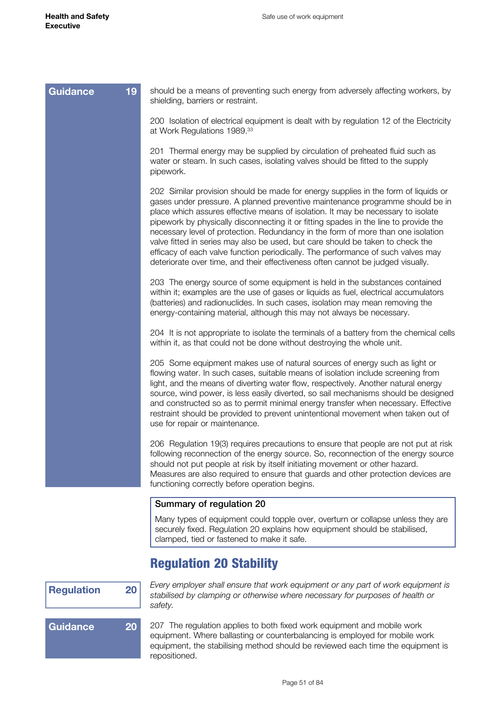| <b>Guidance</b><br>19 | should be a means of preventing such energy from adversely affecting workers, by<br>shielding, barriers or restraint.                                                                                                                                                                                                                                                                                                                                                                                                                                                                                                                                                                        |
|-----------------------|----------------------------------------------------------------------------------------------------------------------------------------------------------------------------------------------------------------------------------------------------------------------------------------------------------------------------------------------------------------------------------------------------------------------------------------------------------------------------------------------------------------------------------------------------------------------------------------------------------------------------------------------------------------------------------------------|
|                       | 200 Isolation of electrical equipment is dealt with by regulation 12 of the Electricity<br>at Work Regulations 1989.33                                                                                                                                                                                                                                                                                                                                                                                                                                                                                                                                                                       |
|                       | 201 Thermal energy may be supplied by circulation of preheated fluid such as<br>water or steam. In such cases, isolating valves should be fitted to the supply<br>pipework.                                                                                                                                                                                                                                                                                                                                                                                                                                                                                                                  |
|                       | 202 Similar provision should be made for energy supplies in the form of liquids or<br>gases under pressure. A planned preventive maintenance programme should be in<br>place which assures effective means of isolation. It may be necessary to isolate<br>pipework by physically disconnecting it or fitting spades in the line to provide the<br>necessary level of protection. Redundancy in the form of more than one isolation<br>valve fitted in series may also be used, but care should be taken to check the<br>efficacy of each valve function periodically. The performance of such valves may<br>deteriorate over time, and their effectiveness often cannot be judged visually. |
|                       | 203 The energy source of some equipment is held in the substances contained<br>within it; examples are the use of gases or liquids as fuel, electrical accumulators<br>(batteries) and radionuclides. In such cases, isolation may mean removing the<br>energy-containing material, although this may not always be necessary.                                                                                                                                                                                                                                                                                                                                                               |
|                       | 204 It is not appropriate to isolate the terminals of a battery from the chemical cells<br>within it, as that could not be done without destroying the whole unit.                                                                                                                                                                                                                                                                                                                                                                                                                                                                                                                           |
|                       | 205 Some equipment makes use of natural sources of energy such as light or<br>flowing water. In such cases, suitable means of isolation include screening from<br>light, and the means of diverting water flow, respectively. Another natural energy<br>source, wind power, is less easily diverted, so sail mechanisms should be designed<br>and constructed so as to permit minimal energy transfer when necessary. Effective<br>restraint should be provided to prevent unintentional movement when taken out of<br>use for repair or maintenance.                                                                                                                                        |
|                       | 206 Regulation 19(3) requires precautions to ensure that people are not put at risk<br>following reconnection of the energy source. So, reconnection of the energy source<br>should not put people at risk by itself initiating movement or other hazard.<br>Measures are also required to ensure that guards and other protection devices are<br>functioning correctly before operation begins.                                                                                                                                                                                                                                                                                             |
|                       | Summary of regulation 20                                                                                                                                                                                                                                                                                                                                                                                                                                                                                                                                                                                                                                                                     |
|                       | Many types of equipment could topple over, overturn or collapse unless they are<br>securely fixed. Regulation 20 explains how equipment should be stabilised,                                                                                                                                                                                                                                                                                                                                                                                                                                                                                                                                |

# Regulation 20 Stability

clamped, tied or fastened to make it safe.



*Every employer shall ensure that work equipment or any part of work equipment is stabilised by clamping or otherwise where necessary for purposes of health or safety.*

207 The regulation applies to both fixed work equipment and mobile work equipment. Where ballasting or counterbalancing is employed for mobile work equipment, the stabilising method should be reviewed each time the equipment is repositioned.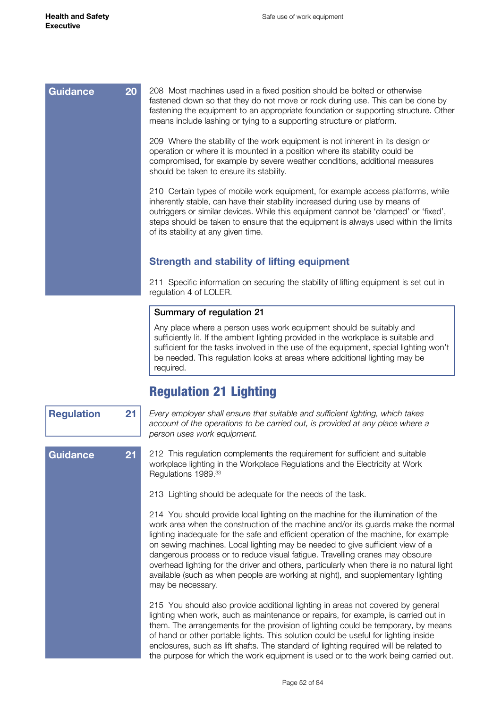| <b>Guidance</b> | 20 <sub>2</sub> | 208 Most machines used in a fixed position should be bolted or otherwise<br>fastened down so that they do not move or rock during use. This can be done by<br>fastening the equipment to an appropriate foundation or supporting structure. Other<br>means include lashing or tying to a supporting structure or platform.                                                           |
|-----------------|-----------------|--------------------------------------------------------------------------------------------------------------------------------------------------------------------------------------------------------------------------------------------------------------------------------------------------------------------------------------------------------------------------------------|
|                 |                 | 209 Where the stability of the work equipment is not inherent in its design or<br>operation or where it is mounted in a position where its stability could be<br>compromised, for example by severe weather conditions, additional measures<br>should be taken to ensure its stability.                                                                                              |
|                 |                 | 210 Certain types of mobile work equipment, for example access platforms, while<br>inherently stable, can have their stability increased during use by means of<br>outriggers or similar devices. While this equipment cannot be 'clamped' or 'fixed',<br>steps should be taken to ensure that the equipment is always used within the limits<br>of its stability at any given time. |
|                 |                 | <b>Strength and stability of lifting equipment</b>                                                                                                                                                                                                                                                                                                                                   |
|                 |                 | 211 Specific information on securing the stability of lifting equipment is set out in<br>regulation 4 of LOLER.                                                                                                                                                                                                                                                                      |

#### Summary of regulation 21

Any place where a person uses work equipment should be suitably and sufficiently lit. If the ambient lighting provided in the workplace is suitable and sufficient for the tasks involved in the use of the equipment, special lighting won't be needed. This regulation looks at areas where additional lighting may be required.

# Regulation 21 Lighting

**Regulation 21**

*Every employer shall ensure that suitable and sufficient lighting, which takes account of the operations to be carried out, is provided at any place where a person uses work equipment.*

212 This regulation complements the requirement for sufficient and suitable workplace lighting in the Workplace Regulations and the Electricity at Work Regulations 1989.<sup>33</sup> **Guidance 21**

213 Lighting should be adequate for the needs of the task.

214 You should provide local lighting on the machine for the illumination of the work area when the construction of the machine and/or its guards make the normal lighting inadequate for the safe and efficient operation of the machine, for example on sewing machines. Local lighting may be needed to give sufficient view of a dangerous process or to reduce visual fatigue. Travelling cranes may obscure overhead lighting for the driver and others, particularly when there is no natural light available (such as when people are working at night), and supplementary lighting may be necessary.

215 You should also provide additional lighting in areas not covered by general lighting when work, such as maintenance or repairs, for example, is carried out in them. The arrangements for the provision of lighting could be temporary, by means of hand or other portable lights. This solution could be useful for lighting inside enclosures, such as lift shafts. The standard of lighting required will be related to the purpose for which the work equipment is used or to the work being carried out.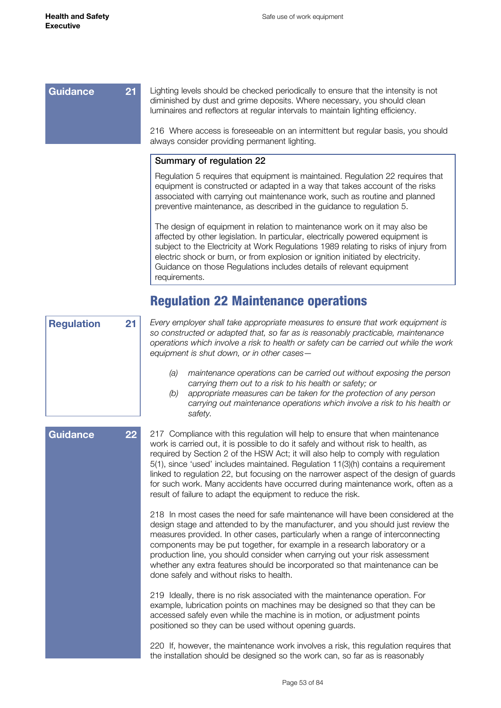#### Lighting levels should be checked periodically to ensure that the intensity is not diminished by dust and grime deposits. Where necessary, you should clean luminaires and reflectors at regular intervals to maintain lighting efficiency. **Guidance 21**

216 Where access is foreseeable on an intermittent but regular basis, you should always consider providing permanent lighting.

#### Summary of regulation 22

Regulation 5 requires that equipment is maintained. Regulation 22 requires that equipment is constructed or adapted in a way that takes account of the risks associated with carrying out maintenance work, such as routine and planned preventive maintenance, as described in the guidance to regulation 5.

The design of equipment in relation to maintenance work on it may also be affected by other legislation. In particular, electrically powered equipment is subject to the Electricity at Work Regulations 1989 relating to risks of injury from electric shock or burn, or from explosion or ignition initiated by electricity. Guidance on those Regulations includes details of relevant equipment requirements.

# Regulation 22 Maintenance operations

| <b>Regulation</b> | 21 | Every employer shall take appropriate measures to ensure that work equipment is<br>so constructed or adapted that, so far as is reasonably practicable, maintenance<br>operations which involve a risk to health or safety can be carried out while the work<br>equipment is shut down, or in other cases -                                                                                                                                                                                                                                                                               |
|-------------------|----|-------------------------------------------------------------------------------------------------------------------------------------------------------------------------------------------------------------------------------------------------------------------------------------------------------------------------------------------------------------------------------------------------------------------------------------------------------------------------------------------------------------------------------------------------------------------------------------------|
|                   |    | maintenance operations can be carried out without exposing the person<br>(a)<br>carrying them out to a risk to his health or safety; or<br>appropriate measures can be taken for the protection of any person<br>(b)<br>carrying out maintenance operations which involve a risk to his health or<br>safety.                                                                                                                                                                                                                                                                              |
| <b>Guidance</b>   | 22 | 217 Compliance with this regulation will help to ensure that when maintenance<br>work is carried out, it is possible to do it safely and without risk to health, as<br>required by Section 2 of the HSW Act; it will also help to comply with regulation<br>5(1), since 'used' includes maintained. Regulation 11(3)(h) contains a requirement<br>linked to regulation 22, but focusing on the narrower aspect of the design of guards<br>for such work. Many accidents have occurred during maintenance work, often as a<br>result of failure to adapt the equipment to reduce the risk. |
|                   |    | 218 In most cases the need for safe maintenance will have been considered at the<br>design stage and attended to by the manufacturer, and you should just review the<br>measures provided. In other cases, particularly when a range of interconnecting<br>components may be put together, for example in a research laboratory or a<br>production line, you should consider when carrying out your risk assessment<br>whether any extra features should be incorporated so that maintenance can be<br>done safely and without risks to health.                                           |
|                   |    | 219 Ideally, there is no risk associated with the maintenance operation. For<br>example, lubrication points on machines may be designed so that they can be<br>accessed safely even while the machine is in motion, or adjustment points<br>positioned so they can be used without opening guards.                                                                                                                                                                                                                                                                                        |
|                   |    | 220 If, however, the maintenance work involves a risk, this regulation requires that                                                                                                                                                                                                                                                                                                                                                                                                                                                                                                      |

the installation should be designed so the work can, so far as is reasonably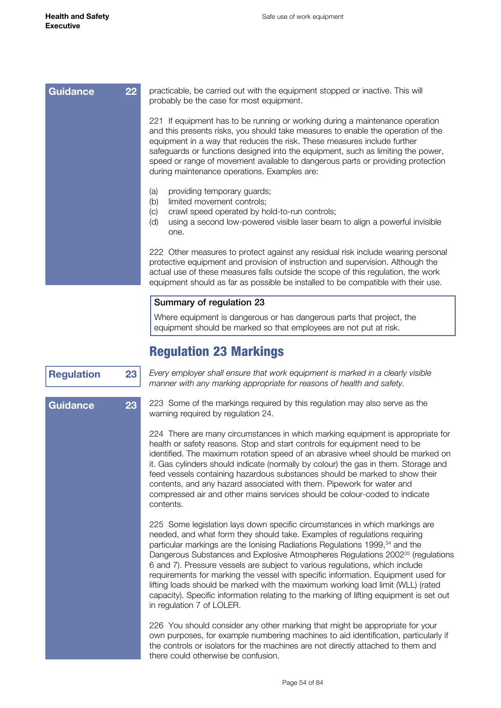| $22 \overline{)}$<br><b>Guidance</b> | practicable, be carried out with the equipment stopped or inactive. This will<br>probably be the case for most equipment.                                                                                                                                                                                                                                                                                                                                           |
|--------------------------------------|---------------------------------------------------------------------------------------------------------------------------------------------------------------------------------------------------------------------------------------------------------------------------------------------------------------------------------------------------------------------------------------------------------------------------------------------------------------------|
|                                      | 221 If equipment has to be running or working during a maintenance operation<br>and this presents risks, you should take measures to enable the operation of the<br>equipment in a way that reduces the risk. These measures include further<br>safeguards or functions designed into the equipment, such as limiting the power,<br>speed or range of movement available to dangerous parts or providing protection<br>during maintenance operations. Examples are: |
|                                      | providing temporary guards;<br>(a)<br>limited movement controls;<br>(b)<br>crawl speed operated by hold-to-run controls;<br>(C)<br>using a second low-powered visible laser beam to align a powerful invisible<br>(d)<br>one.                                                                                                                                                                                                                                       |
|                                      | 222 Other measures to protect against any residual risk include wearing personal<br>protective equipment and provision of instruction and supervision. Although the<br>actual use of these measures falls outside the scope of this regulation, the work<br>equipment should as far as possible be installed to be compatible with their use.                                                                                                                       |
|                                      |                                                                                                                                                                                                                                                                                                                                                                                                                                                                     |

#### Summary of regulation 23

Where equipment is dangerous or has dangerous parts that project, the equipment should be marked so that employees are not put at risk.

# Regulation 23 Markings



**Regulation 23**

*Every employer shall ensure that work equipment is marked in a clearly visible manner with any marking appropriate for reasons of health and safety.*

223 Some of the markings required by this regulation may also serve as the warning required by regulation 24.

224 There are many circumstances in which marking equipment is appropriate for health or safety reasons. Stop and start controls for equipment need to be identified. The maximum rotation speed of an abrasive wheel should be marked on it. Gas cylinders should indicate (normally by colour) the gas in them. Storage and feed vessels containing hazardous substances should be marked to show their contents, and any hazard associated with them. Pipework for water and compressed air and other mains services should be colour-coded to indicate contents.

225 Some legislation lays down specific circumstances in which markings are needed, and what form they should take. Examples of regulations requiring particular markings are the Ionising Radiations Regulations 1999,<sup>34</sup> and the Dangerous Substances and Explosive Atmospheres Regulations 2002<sup>35</sup> (regulations 6 and 7). Pressure vessels are subject to various regulations, which include requirements for marking the vessel with specific information. Equipment used for lifting loads should be marked with the maximum working load limit (WLL) (rated capacity). Specific information relating to the marking of lifting equipment is set out in regulation 7 of LOLER.

226 You should consider any other marking that might be appropriate for your own purposes, for example numbering machines to aid identification, particularly if the controls or isolators for the machines are not directly attached to them and there could otherwise be confusion.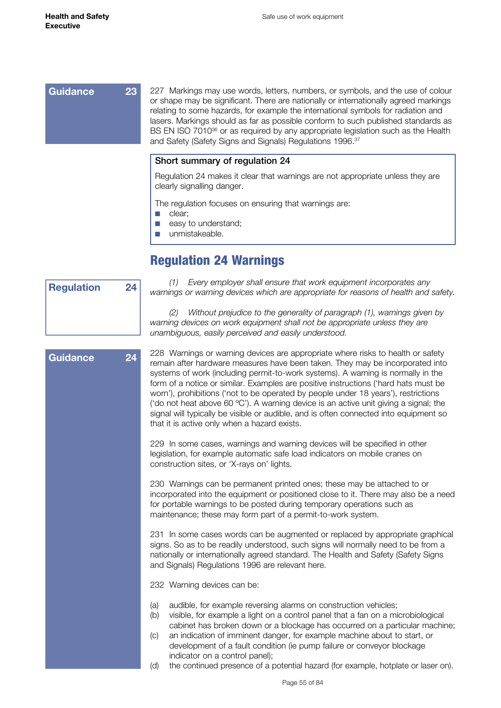**Guidance 23**

227 Markings may use words, letters, numbers, or symbols, and the use of colour or shape may be significant. There are nationally or internationally agreed markings relating to some hazards, for example the international symbols for radiation and lasers. Markings should as far as possible conform to such published standards as BS EN ISO 7010<sup>36</sup> or as required by any appropriate legislation such as the Health and Safety (Safety Signs and Signals) Regulations 1996.37

#### Short summary of regulation 24

Regulation 24 makes it clear that warnings are not appropriate unless they are clearly signalling danger.

The regulation focuses on ensuring that warnings are:

- clear:
- easy to understand;
- unmistakeable.

## Regulation 24 Warnings

| <b>Regulation</b> | 24 |
|-------------------|----|
|                   |    |
|                   |    |

*(1) Every employer shall ensure that work equipment incorporates any warnings or warning devices which are appropriate for reasons of health and safety.*

*(2) Without prejudice to the generality of paragraph (1), warnings given by warning devices on work equipment shall not be appropriate unless they are unambiguous, easily perceived and easily understood.*

| 24<br><b>Guidance</b> | 228 Warnings or warning devices are appropriate where risks to health or safety<br>remain after hardware measures have been taken. They may be incorporated into<br>systems of work (including permit-to-work systems). A warning is normally in the<br>form of a notice or similar. Examples are positive instructions ('hard hats must be<br>worn'), prohibitions ('not to be operated by people under 18 years'), restrictions<br>('do not heat above 60 $\degree$ C'). A warning device is an active unit giving a signal; the<br>signal will typically be visible or audible, and is often connected into equipment so<br>that it is active only when a hazard exists. |  |  |
|-----------------------|-----------------------------------------------------------------------------------------------------------------------------------------------------------------------------------------------------------------------------------------------------------------------------------------------------------------------------------------------------------------------------------------------------------------------------------------------------------------------------------------------------------------------------------------------------------------------------------------------------------------------------------------------------------------------------|--|--|
|                       | 229 In some cases, warnings and warning devices will be specified in other<br>legislation, for example automatic safe load indicators on mobile cranes on<br>construction sites, or 'X-rays on' lights.                                                                                                                                                                                                                                                                                                                                                                                                                                                                     |  |  |
|                       | 230 Warnings can be permanent printed ones; these may be attached to or<br>incorporated into the equipment or positioned close to it. There may also be a need<br>for portable warnings to be posted during temporary operations such as<br>maintenance; these may form part of a permit-to-work system.                                                                                                                                                                                                                                                                                                                                                                    |  |  |
|                       | 231 In some cases words can be augmented or replaced by appropriate graphical<br>signs. So as to be readily understood, such signs will normally need to be from a<br>nationally or internationally agreed standard. The Health and Safety (Safety Signs<br>and Signals) Regulations 1996 are relevant here.                                                                                                                                                                                                                                                                                                                                                                |  |  |
|                       | 232 Warning devices can be:                                                                                                                                                                                                                                                                                                                                                                                                                                                                                                                                                                                                                                                 |  |  |
|                       | (a)<br>audible, for example reversing alarms on construction vehicles;<br>visible, for example a light on a control panel that a fan on a microbiological<br>(b)<br>cabinet has broken down or a blockage has occurred on a particular machine;<br>an indication of imminent danger, for example machine about to start, or<br>(c)<br>development of a fault condition (ie pump failure or conveyor blockage<br>indicator on a control panel);                                                                                                                                                                                                                              |  |  |
|                       | the continued presence of a potential hazard (for example, hotplate or laser on).<br>(d)                                                                                                                                                                                                                                                                                                                                                                                                                                                                                                                                                                                    |  |  |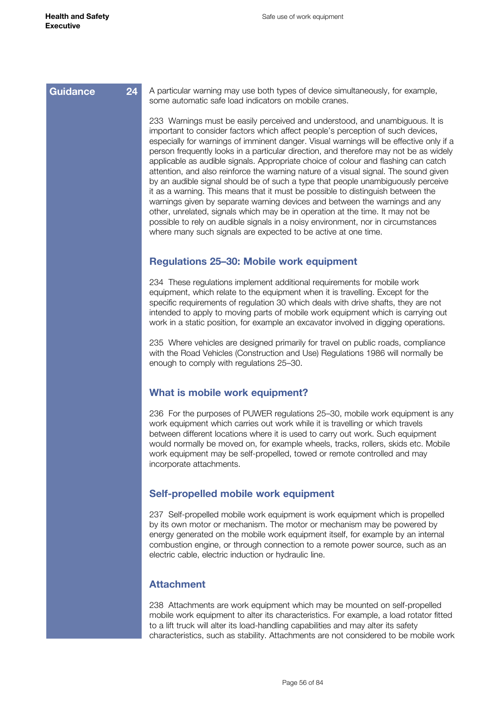#### A particular warning may use both types of device simultaneously, for example, some automatic safe load indicators on mobile cranes. **Guidance 24**

233 Warnings must be easily perceived and understood, and unambiguous. It is important to consider factors which affect people's perception of such devices, especially for warnings of imminent danger. Visual warnings will be effective only if a person frequently looks in a particular direction, and therefore may not be as widely applicable as audible signals. Appropriate choice of colour and flashing can catch attention, and also reinforce the warning nature of a visual signal. The sound given by an audible signal should be of such a type that people unambiguously perceive it as a warning. This means that it must be possible to distinguish between the warnings given by separate warning devices and between the warnings and any other, unrelated, signals which may be in operation at the time. It may not be possible to rely on audible signals in a noisy environment, nor in circumstances where many such signals are expected to be active at one time.

#### **Regulations 25–30: Mobile work equipment**

234 These regulations implement additional requirements for mobile work equipment, which relate to the equipment when it is travelling. Except for the specific requirements of regulation 30 which deals with drive shafts, they are not intended to apply to moving parts of mobile work equipment which is carrying out work in a static position, for example an excavator involved in digging operations.

235 Where vehicles are designed primarily for travel on public roads, compliance with the Road Vehicles (Construction and Use) Regulations 1986 will normally be enough to comply with regulations 25–30.

#### **What is mobile work equipment?**

236 For the purposes of PUWER regulations 25–30, mobile work equipment is any work equipment which carries out work while it is travelling or which travels between different locations where it is used to carry out work. Such equipment would normally be moved on, for example wheels, tracks, rollers, skids etc. Mobile work equipment may be self-propelled, towed or remote controlled and may incorporate attachments.

### **Self-propelled mobile work equipment**

237 Self-propelled mobile work equipment is work equipment which is propelled by its own motor or mechanism. The motor or mechanism may be powered by energy generated on the mobile work equipment itself, for example by an internal combustion engine, or through connection to a remote power source, such as an electric cable, electric induction or hydraulic line.

#### **Attachment**

238 Attachments are work equipment which may be mounted on self-propelled mobile work equipment to alter its characteristics. For example, a load rotator fitted to a lift truck will alter its load-handling capabilities and may alter its safety characteristics, such as stability. Attachments are not considered to be mobile work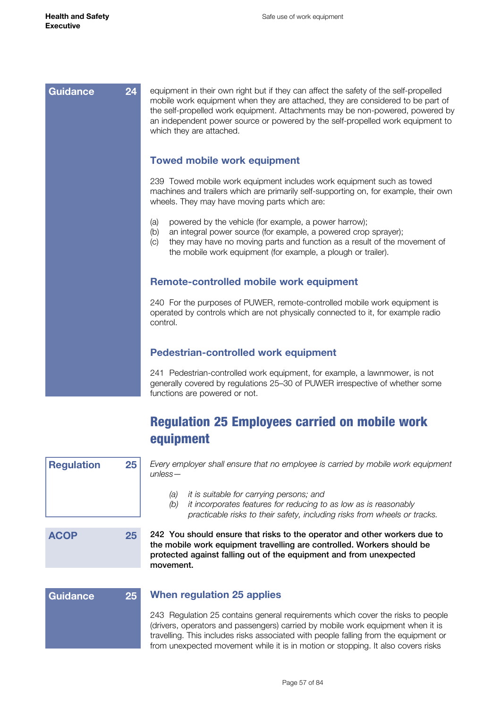| <b>Guidance</b> | 24 | equipment in their own right but if they can affect the safety of the self-propelled<br>mobile work equipment when they are attached, they are considered to be part of<br>the self-propelled work equipment. Attachments may be non-powered, powered by<br>an independent power source or powered by the self-propelled work equipment to<br>which they are attached. |
|-----------------|----|------------------------------------------------------------------------------------------------------------------------------------------------------------------------------------------------------------------------------------------------------------------------------------------------------------------------------------------------------------------------|
|                 |    | <b>Towed mobile work equipment</b>                                                                                                                                                                                                                                                                                                                                     |
|                 |    | 239 Towed mobile work equipment includes work equipment such as towed<br>machines and trailers which are primarily self-supporting on, for example, their own<br>wheels. They may have moving parts which are:                                                                                                                                                         |
|                 |    | powered by the vehicle (for example, a power harrow);<br>(a)<br>an integral power source (for example, a powered crop sprayer);<br>(b)<br>they may have no moving parts and function as a result of the movement of<br>(c)<br>the mobile work equipment (for example, a plough or trailer).                                                                            |
|                 |    | <b>Remote-controlled mobile work equipment</b>                                                                                                                                                                                                                                                                                                                         |
|                 |    | 240 For the purposes of PUWER, remote-controlled mobile work equipment is<br>operated by controls which are not physically connected to it, for example radio<br>control.                                                                                                                                                                                              |
|                 |    | <b>Pedestrian-controlled work equipment</b>                                                                                                                                                                                                                                                                                                                            |
|                 |    | 241 Pedestrian-controlled work equipment, for example, a lawnmower, is not<br>generally covered by regulations 25–30 of PUWER irrespective of whether some                                                                                                                                                                                                             |

# Regulation 25 Employees carried on mobile work equipment

### *Every employer shall ensure that no employee is carried by mobile work equipment unless— (a) it is suitable for carrying persons; and (b) it incorporates features for reducing to as low as is reasonably practicable risks to their safety, including risks from wheels or tracks.* 242 You should ensure that risks to the operator and other workers due to the mobile work equipment travelling are controlled. Workers should be protected against falling out of the equipment and from unexpected movement. **When regulation 25 applies** 243 Regulation 25 contains general requirements which cover the risks to people (drivers, operators and passengers) carried by mobile work equipment when it is travelling. This includes risks associated with people falling from the equipment or **Regulation 25 Guidance 25 ACOP 25**

functions are powered or not.

from unexpected movement while it is in motion or stopping. It also covers risks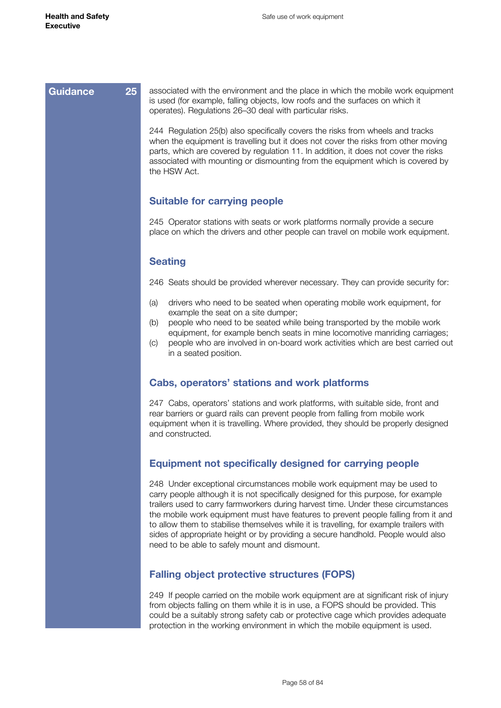| 25<br>associated with the environment and the place in which the mobile work equipment<br>is used (for example, falling objects, low roofs and the surfaces on which it<br>operates). Regulations 26-30 deal with particular risks.                                                                                                                                                                                                                                                                                                                                        |
|----------------------------------------------------------------------------------------------------------------------------------------------------------------------------------------------------------------------------------------------------------------------------------------------------------------------------------------------------------------------------------------------------------------------------------------------------------------------------------------------------------------------------------------------------------------------------|
| 244 Regulation 25(b) also specifically covers the risks from wheels and tracks<br>when the equipment is travelling but it does not cover the risks from other moving<br>parts, which are covered by regulation 11. In addition, it does not cover the risks<br>associated with mounting or dismounting from the equipment which is covered by<br>the HSW Act.                                                                                                                                                                                                              |
| <b>Suitable for carrying people</b>                                                                                                                                                                                                                                                                                                                                                                                                                                                                                                                                        |
| 245 Operator stations with seats or work platforms normally provide a secure<br>place on which the drivers and other people can travel on mobile work equipment.                                                                                                                                                                                                                                                                                                                                                                                                           |
| <b>Seating</b>                                                                                                                                                                                                                                                                                                                                                                                                                                                                                                                                                             |
| 246 Seats should be provided wherever necessary. They can provide security for:                                                                                                                                                                                                                                                                                                                                                                                                                                                                                            |
| drivers who need to be seated when operating mobile work equipment, for<br>(a)<br>example the seat on a site dumper;<br>people who need to be seated while being transported by the mobile work<br>(b)<br>equipment, for example bench seats in mine locomotive manriding carriages;<br>people who are involved in on-board work activities which are best carried out<br>(C)<br>in a seated position.                                                                                                                                                                     |
| <b>Cabs, operators' stations and work platforms</b>                                                                                                                                                                                                                                                                                                                                                                                                                                                                                                                        |
| 247 Cabs, operators' stations and work platforms, with suitable side, front and<br>rear barriers or guard rails can prevent people from falling from mobile work<br>equipment when it is travelling. Where provided, they should be properly designed<br>and constructed.                                                                                                                                                                                                                                                                                                  |
| <b>Equipment not specifically designed for carrying people</b>                                                                                                                                                                                                                                                                                                                                                                                                                                                                                                             |
| 248 Under exceptional circumstances mobile work equipment may be used to<br>carry people although it is not specifically designed for this purpose, for example<br>trailers used to carry farmworkers during harvest time. Under these circumstances<br>the mobile work equipment must have features to prevent people falling from it and<br>to allow them to stabilise themselves while it is travelling, for example trailers with<br>sides of appropriate height or by providing a secure handhold. People would also<br>need to be able to safely mount and dismount. |
|                                                                                                                                                                                                                                                                                                                                                                                                                                                                                                                                                                            |

## **Falling object protective structures (FOPS)**

249 If people carried on the mobile work equipment are at significant risk of injury from objects falling on them while it is in use, a FOPS should be provided. This could be a suitably strong safety cab or protective cage which provides adequate protection in the working environment in which the mobile equipment is used.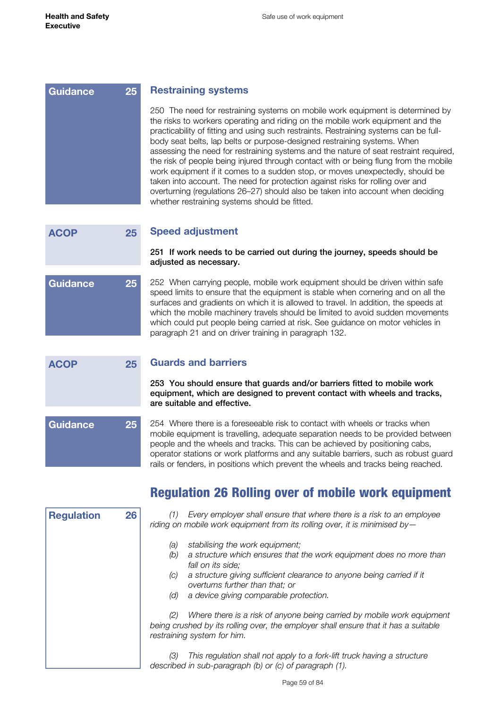

#### **Restraining systems**

250 The need for restraining systems on mobile work equipment is determined by the risks to workers operating and riding on the mobile work equipment and the practicability of fitting and using such restraints. Restraining systems can be fullbody seat belts, lap belts or purpose-designed restraining systems. When assessing the need for restraining systems and the nature of seat restraint required, the risk of people being injured through contact with or being flung from the mobile work equipment if it comes to a sudden stop, or moves unexpectedly, should be taken into account. The need for protection against risks for rolling over and overturning (regulations 26–27) should also be taken into account when deciding whether restraining systems should be fitted.

#### **Speed adjustment ACOP 25**

#### 251 If work needs to be carried out during the journey, speeds should be adjusted as necessary.

# **Guidance 25**

252 When carrying people, mobile work equipment should be driven within safe speed limits to ensure that the equipment is stable when cornering and on all the surfaces and gradients on which it is allowed to travel. In addition, the speeds at which the mobile machinery travels should be limited to avoid sudden movements which could put people being carried at risk. See guidance on motor vehicles in paragraph 21 and on driver training in paragraph 132.



#### **Guards and barriers**

253 You should ensure that guards and/or barriers fitted to mobile work equipment, which are designed to prevent contact with wheels and tracks, are suitable and effective.

254 Where there is a foreseeable risk to contact with wheels or tracks when mobile equipment is travelling, adequate separation needs to be provided between people and the wheels and tracks. This can be achieved by positioning cabs, operator stations or work platforms and any suitable barriers, such as robust guard rails or fenders, in positions which prevent the wheels and tracks being reached.

| <b>Regulation</b> | 26 |
|-------------------|----|
|                   |    |
|                   |    |
|                   |    |
|                   |    |
|                   |    |
|                   |    |

# Regulation 26 Rolling over of mobile work equipment

*(1) Every employer shall ensure that where there is a risk to an employee riding on mobile work equipment from its rolling over, it is minimised by—*

- *(a) stabilising the work equipment;*
- *(b) a structure which ensures that the work equipment does no more than fall on its side;*
- *(c) a structure giving sufficient clearance to anyone being carried if it overturns further than that; or*
- *(d) a device giving comparable protection.*

*(2) Where there is a risk of anyone being carried by mobile work equipment being crushed by its rolling over, the employer shall ensure that it has a suitable restraining system for him.*

*(3) This regulation shall not apply to a fork-lift truck having a structure described in sub-paragraph (b) or (c) of paragraph (1).*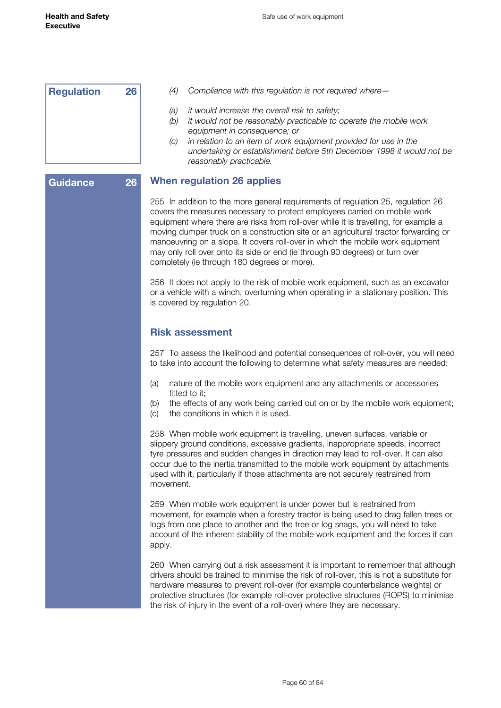| <b>Regulation</b> | 26 | (4)<br>Compliance with this regulation is not required where-                                                                                                                                                                                                                                                                                                                                                                                                                                                                                                  |
|-------------------|----|----------------------------------------------------------------------------------------------------------------------------------------------------------------------------------------------------------------------------------------------------------------------------------------------------------------------------------------------------------------------------------------------------------------------------------------------------------------------------------------------------------------------------------------------------------------|
|                   |    | it would increase the overall risk to safety;<br>(a)<br>it would not be reasonably practicable to operate the mobile work<br>(b)<br>equipment in consequence; or<br>in relation to an item of work equipment provided for use in the<br>(C)<br>undertaking or establishment before 5th December 1998 it would not be<br>reasonably practicable.                                                                                                                                                                                                                |
| <b>Guidance</b>   | 26 | <b>When regulation 26 applies</b>                                                                                                                                                                                                                                                                                                                                                                                                                                                                                                                              |
|                   |    | 255 In addition to the more general requirements of regulation 25, regulation 26<br>covers the measures necessary to protect employees carried on mobile work<br>equipment where there are risks from roll-over while it is travelling, for example a<br>moving dumper truck on a construction site or an agricultural tractor forwarding or<br>manoeuvring on a slope. It covers roll-over in which the mobile work equipment<br>may only roll over onto its side or end (ie through 90 degrees) or turn over<br>completely (ie through 180 degrees or more). |
|                   |    | 256 It does not apply to the risk of mobile work equipment, such as an excavator<br>or a vehicle with a winch, overturning when operating in a stationary position. This<br>is covered by regulation 20.                                                                                                                                                                                                                                                                                                                                                       |
|                   |    | <b>Risk assessment</b>                                                                                                                                                                                                                                                                                                                                                                                                                                                                                                                                         |
|                   |    | 257 To assess the likelihood and potential consequences of roll-over, you will need<br>to take into account the following to determine what safety measures are needed:                                                                                                                                                                                                                                                                                                                                                                                        |
|                   |    | nature of the mobile work equipment and any attachments or accessories<br>(a)<br>fitted to it;<br>the effects of any work being carried out on or by the mobile work equipment;<br>(b)<br>the conditions in which it is used.<br>(C)                                                                                                                                                                                                                                                                                                                           |
|                   |    | 258 When mobile work equipment is travelling, uneven surfaces, variable or<br>slippery ground conditions, excessive gradients, inappropriate speeds, incorrect<br>tyre pressures and sudden changes in direction may lead to roll-over. It can also<br>occur due to the inertia transmitted to the mobile work equipment by attachments<br>used with it, particularly if those attachments are not securely restrained from<br>movement.                                                                                                                       |
|                   |    | 259 When mobile work equipment is under power but is restrained from<br>movement, for example when a forestry tractor is being used to drag fallen trees or<br>logs from one place to another and the tree or log snags, you will need to take<br>account of the inherent stability of the mobile work equipment and the forces it can<br>apply.                                                                                                                                                                                                               |
|                   |    | 260 When carrying out a risk assessment it is important to remember that although<br>drivers should be trained to minimise the risk of roll-over, this is not a substitute for<br>hardware measures to prevent roll-over (for example counterbalance weights) or<br>protective structures (for example roll-over protective structures (ROPS) to minimise<br>the risk of injury in the event of a roll-over) where they are necessary.                                                                                                                         |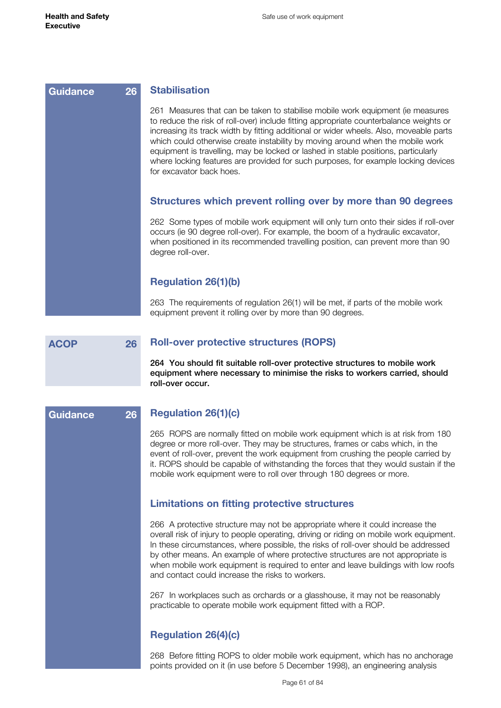| Guidance | 26 | <b>Stabilisation</b>                                                                                                                                                                                                                                                                                                                                                                                                                                                                                                                                         |
|----------|----|--------------------------------------------------------------------------------------------------------------------------------------------------------------------------------------------------------------------------------------------------------------------------------------------------------------------------------------------------------------------------------------------------------------------------------------------------------------------------------------------------------------------------------------------------------------|
|          |    | 261 Measures that can be taken to stabilise mobile work equipment (ie measures<br>to reduce the risk of roll-over) include fitting appropriate counterbalance weights or<br>increasing its track width by fitting additional or wider wheels. Also, moveable parts<br>which could otherwise create instability by moving around when the mobile work<br>equipment is travelling, may be locked or lashed in stable positions, particularly<br>where locking features are provided for such purposes, for example locking devices<br>for excavator back hoes. |
|          |    | Structures which prevent rolling over by more than 90 degrees                                                                                                                                                                                                                                                                                                                                                                                                                                                                                                |
|          |    | 262 Some types of mobile work equipment will only turn onto their sides if roll-over<br>occurs (ie 90 degree roll-over). For example, the boom of a hydraulic excavator,<br>when positioned in its recommended travelling position, can prevent more than 90<br>degree roll-over.                                                                                                                                                                                                                                                                            |
|          |    | <b>Regulation 26(1)(b)</b>                                                                                                                                                                                                                                                                                                                                                                                                                                                                                                                                   |
|          |    | 263 The requirements of regulation 26(1) will be met, if parts of the mobile work                                                                                                                                                                                                                                                                                                                                                                                                                                                                            |

equipment prevent it rolling over by more than 90 degrees.

#### **Roll-over protective structures (ROPS) ACOP 26**

264 You should fit suitable roll-over protective structures to mobile work equipment where necessary to minimise the risks to workers carried, should roll-over occur.

**Guidance 26**

#### **Regulation 26(1)(c)**

265 ROPS are normally fitted on mobile work equipment which is at risk from 180 degree or more roll-over. They may be structures, frames or cabs which, in the event of roll-over, prevent the work equipment from crushing the people carried by it. ROPS should be capable of withstanding the forces that they would sustain if the mobile work equipment were to roll over through 180 degrees or more.

#### **Limitations on fitting protective structures**

266 A protective structure may not be appropriate where it could increase the overall risk of injury to people operating, driving or riding on mobile work equipment. In these circumstances, where possible, the risks of roll-over should be addressed by other means. An example of where protective structures are not appropriate is when mobile work equipment is required to enter and leave buildings with low roofs and contact could increase the risks to workers.

267 In workplaces such as orchards or a glasshouse, it may not be reasonably practicable to operate mobile work equipment fitted with a ROP.

## **Regulation 26(4)(c)**

268 Before fitting ROPS to older mobile work equipment, which has no anchorage points provided on it (in use before 5 December 1998), an engineering analysis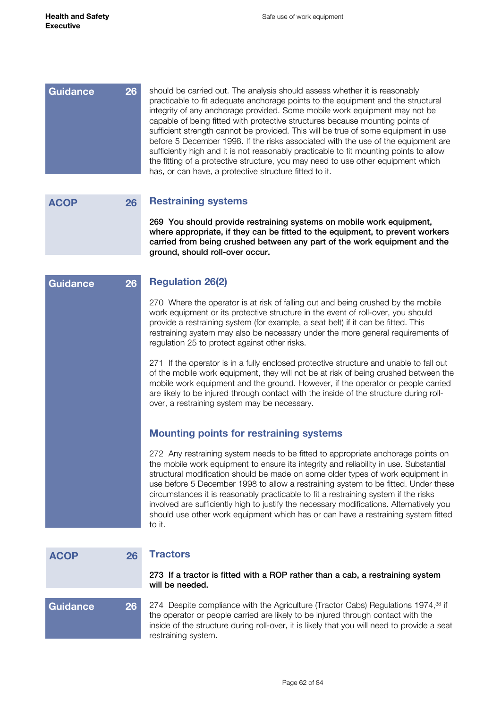should be carried out. The analysis should assess whether it is reasonably practicable to fit adequate anchorage points to the equipment and the structural integrity of any anchorage provided. Some mobile work equipment may not be capable of being fitted with protective structures because mounting points of sufficient strength cannot be provided. This will be true of some equipment in use before 5 December 1998. If the risks associated with the use of the equipment are sufficiently high and it is not reasonably practicable to fit mounting points to allow the fitting of a protective structure, you may need to use other equipment which has, or can have, a protective structure fitted to it. **Guidance 26**

#### **Restraining systems ACOP 26**

269 You should provide restraining systems on mobile work equipment, where appropriate, if they can be fitted to the equipment, to prevent workers carried from being crushed between any part of the work equipment and the ground, should roll-over occur.

| <b>Guidance</b> | 26 | <b>Regulation 26(2)</b>                                                                                                                                                                   |
|-----------------|----|-------------------------------------------------------------------------------------------------------------------------------------------------------------------------------------------|
|                 |    | 270 Where the opera<br>work equipment or its<br>provide a restraining s<br>restraining system ma<br>regulation 25 to prote                                                                |
|                 |    | 271 If the operator is<br>of the mobile work ec<br>mobile work equipme<br>are likely to be injurec<br>over, a restraining sys                                                             |
|                 |    | <b>Mounting points</b>                                                                                                                                                                    |
|                 |    | 272 Any restraining s<br>the mobile work equip<br>structural modification<br>use before 5 Decemb<br>circumstances it is rea<br>involved are sufficient<br>should use other worl<br>to it. |

ment or its protective structure in the event of roll-over, you should estraining system (for example, a seat belt) if it can be fitted. This system may also be necessary under the more general requirements of 15 to protect against other risks.

the operator is at risk of falling out and being crushed by the mobile

pperator is in a fully enclosed protective structure and unable to fall out le work equipment, they will not be at risk of being crushed between the  $\kappa$  equipment and the ground. However, if the operator or people carried be injured through contact with the inside of the structure during rollraining system may be necessary.

### **Mounting points for restraining systems**

estraining system needs to be fitted to appropriate anchorage points on work equipment to ensure its integrity and reliability in use. Substantial structural modification should be made on some older types of work equipment in 5 December 1998 to allow a restraining system to be fitted. Under these ces it is reasonably practicable to fit a restraining system if the risks sufficiently high to justify the necessary modifications. Alternatively you other work equipment which has or can have a restraining system fitted to it.



274 Despite compliance with the Agriculture (Tractor Cabs) Regulations 1974,<sup>38</sup> if the operator or people carried are likely to be injured through contact with the inside of the structure during roll-over, it is likely that you will need to provide a seat restraining system.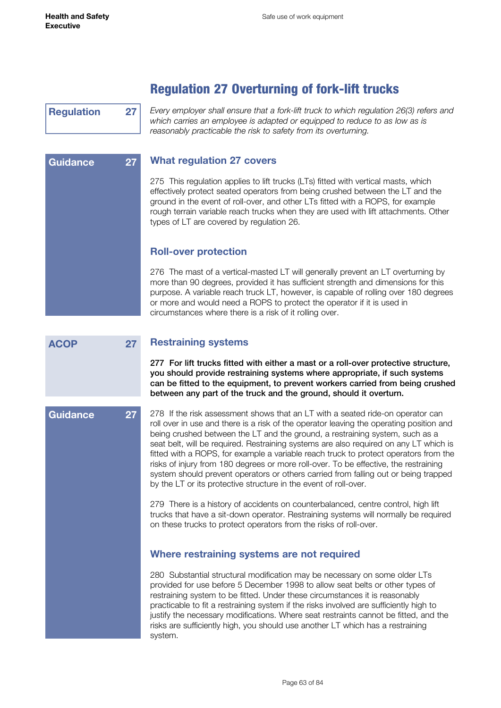**Regulation 27**

**Guidance 27**

*Every employer shall ensure that a fork-lift truck to which regulation 26(3) refers and*  which carries an employee is adapted or equipped to reduce to as low as is *reasonably practicable the risk to safety from its overturning.*

Regulation 27 Overturning of fork-lift trucks

#### **What regulation 27 covers**

275 This regulation applies to lift trucks (LTs) fitted with vertical masts, which effectively protect seated operators from being crushed between the LT and the ground in the event of roll-over, and other LTs fitted with a ROPS, for example rough terrain variable reach trucks when they are used with lift attachments. Other types of LT are covered by regulation 26.

#### **Roll-over protection**

276 The mast of a vertical-masted LT will generally prevent an LT overturning by more than 90 degrees, provided it has sufficient strength and dimensions for this purpose. A variable reach truck LT, however, is capable of rolling over 180 degrees or more and would need a ROPS to protect the operator if it is used in circumstances where there is a risk of it rolling over.

#### **Restraining systems ACOP 27**

277 For lift trucks fitted with either a mast or a roll-over protective structure, you should provide restraining systems where appropriate, if such systems can be fitted to the equipment, to prevent workers carried from being crushed between any part of the truck and the ground, should it overturn.

278 If the risk assessment shows that an LT with a seated ride-on operator can roll over in use and there is a risk of the operator leaving the operating position and being crushed between the LT and the ground, a restraining system, such as a seat belt, will be required. Restraining systems are also required on any LT which is fitted with a ROPS, for example a variable reach truck to protect operators from the risks of injury from 180 degrees or more roll-over. To be effective, the restraining system should prevent operators or others carried from falling out or being trapped by the LT or its protective structure in the event of roll-over. **Guidance 27**

> 279 There is a history of accidents on counterbalanced, centre control, high lift trucks that have a sit-down operator. Restraining systems will normally be required on these trucks to protect operators from the risks of roll-over.

#### **Where restraining systems are not required**

280 Substantial structural modification may be necessary on some older LTs provided for use before 5 December 1998 to allow seat belts or other types of restraining system to be fitted. Under these circumstances it is reasonably practicable to fit a restraining system if the risks involved are sufficiently high to justify the necessary modifications. Where seat restraints cannot be fitted, and the risks are sufficiently high, you should use another LT which has a restraining system.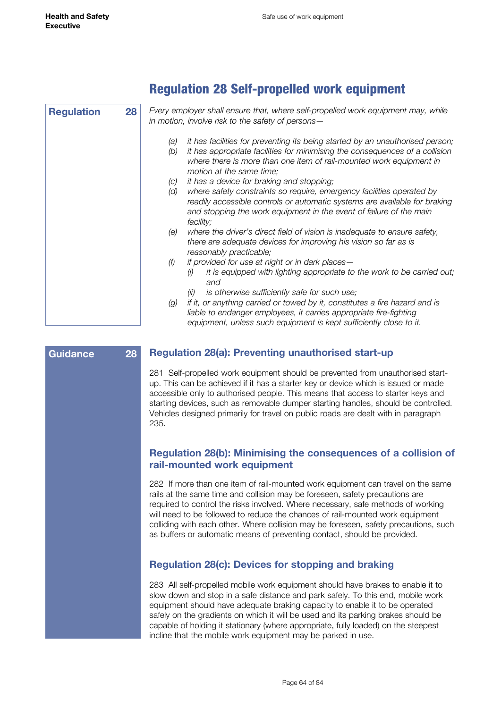# Regulation 28 Self-propelled work equipment

| <b>Regulation</b> | 28 | Every employer shall ensure that, where self-propelled work equipment may, while<br>in motion, involve risk to the safety of persons-                                                                                                                                                                                                                                                |  |  |
|-------------------|----|--------------------------------------------------------------------------------------------------------------------------------------------------------------------------------------------------------------------------------------------------------------------------------------------------------------------------------------------------------------------------------------|--|--|
|                   |    | it has facilities for preventing its being started by an unauthorised person;<br>(a)<br>it has appropriate facilities for minimising the consequences of a collision<br>(b)<br>where there is more than one item of rail-mounted work equipment in<br>motion at the same time;                                                                                                       |  |  |
|                   |    | it has a device for braking and stopping;<br>(C)<br>where safety constraints so require, emergency facilities operated by<br>(d)<br>readily accessible controls or automatic systems are available for braking<br>and stopping the work equipment in the event of failure of the main<br>facility;                                                                                   |  |  |
|                   |    | where the driver's direct field of vision is inadequate to ensure safety,<br>(e)<br>there are adequate devices for improving his vision so far as is<br>reasonably practicable;                                                                                                                                                                                                      |  |  |
|                   |    | (f)<br>if provided for use at night or in dark places -<br>it is equipped with lighting appropriate to the work to be carried out;<br>(i)<br>and                                                                                                                                                                                                                                     |  |  |
|                   |    | is otherwise sufficiently safe for such use;<br>(ii)<br>if it, or anything carried or towed by it, constitutes a fire hazard and is<br>(g)<br>liable to endanger employees, it carries appropriate fire-fighting<br>equipment, unless such equipment is kept sufficiently close to it.                                                                                               |  |  |
| <b>Guidance</b>   | 28 | <b>Regulation 28(a): Preventing unauthorised start-up</b>                                                                                                                                                                                                                                                                                                                            |  |  |
|                   |    | 281 Self-propelled work equipment should be prevented from unauthorised start-<br>up. This can be achieved if it has a starter key or device which is issued or made<br>accessible only to authorised people. This means that access to starter keys and<br>المتوال ويطلقونها والمساوي والمستقل والمستحل والمستنقص والمستحل والمستنقل والمستحل والمستحدث والمتعارض والمستحل والمستحل |  |  |

starting devices, such as removable dumper starting handles, should be controlled. Vehicles designed primarily for travel on public roads are dealt with in paragraph 235.

#### **Regulation 28(b): Minimising the consequences of a collision of rail-mounted work equipment**

282 If more than one item of rail-mounted work equipment can travel on the same rails at the same time and collision may be foreseen, safety precautions are required to control the risks involved. Where necessary, safe methods of working will need to be followed to reduce the chances of rail-mounted work equipment colliding with each other. Where collision may be foreseen, safety precautions, such as buffers or automatic means of preventing contact, should be provided.

### **Regulation 28(c): Devices for stopping and braking**

283 All self-propelled mobile work equipment should have brakes to enable it to slow down and stop in a safe distance and park safely. To this end, mobile work equipment should have adequate braking capacity to enable it to be operated safely on the gradients on which it will be used and its parking brakes should be capable of holding it stationary (where appropriate, fully loaded) on the steepest incline that the mobile work equipment may be parked in use.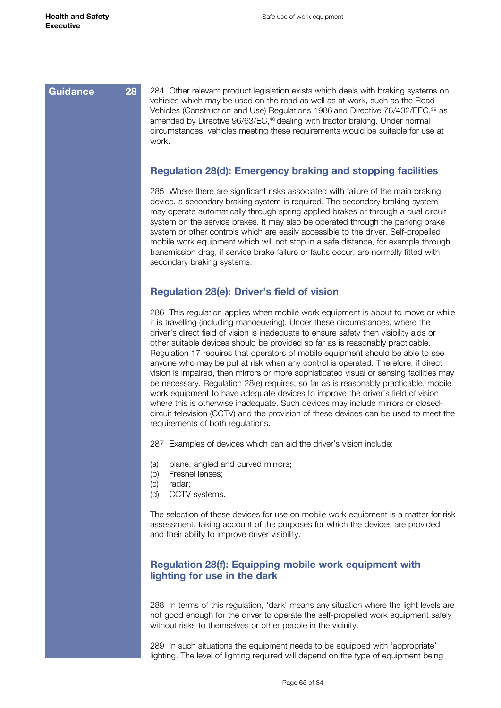284 Other relevant product legislation exists which deals with braking systems on vehicles which may be used on the road as well as at work, such as the Road Vehicles (Construction and Use) Regulations 1986 and Directive 76/432/EEC,39 as amended by Directive 96/63/EC,<sup>40</sup> dealing with tractor braking. Under normal circumstances, vehicles meeting these requirements would be suitable for use at work. **Guidance 28**

#### **Regulation 28(d): Emergency braking and stopping facilities**

285 Where there are significant risks associated with failure of the main braking device, a secondary braking system is required. The secondary braking system may operate automatically through spring applied brakes or through a dual circuit system on the service brakes. It may also be operated through the parking brake system or other controls which are easily accessible to the driver. Self-propelled mobile work equipment which will not stop in a safe distance, for example through transmission drag, if service brake failure or faults occur, are normally fitted with secondary braking systems.

#### **Regulation 28(e): Driver's field of vision**

286 This regulation applies when mobile work equipment is about to move or while it is travelling (including manoeuvring). Under these circumstances, where the driver's direct field of vision is inadequate to ensure safety then visibility aids or other suitable devices should be provided so far as is reasonably practicable. Regulation 17 requires that operators of mobile equipment should be able to see anyone who may be put at risk when any control is operated. Therefore, if direct vision is impaired, then mirrors or more sophisticated visual or sensing facilities may be necessary. Regulation 28(e) requires, so far as is reasonably practicable, mobile work equipment to have adequate devices to improve the driver's field of vision where this is otherwise inadequate. Such devices may include mirrors or closedcircuit television (CCTV) and the provision of these devices can be used to meet the requirements of both regulations.

287 Examples of devices which can aid the driver's vision include:

- (a) plane, angled and curved mirrors;
- (b) Fresnel lenses;
- (c) radar;
- (d) CCTV systems.

The selection of these devices for use on mobile work equipment is a matter for risk assessment, taking account of the purposes for which the devices are provided and their ability to improve driver visibility.

#### **Regulation 28(f): Equipping mobile work equipment with lighting for use in the dark**

288 In terms of this regulation, 'dark' means any situation where the light levels are not good enough for the driver to operate the self-propelled work equipment safely without risks to themselves or other people in the vicinity.

289 In such situations the equipment needs to be equipped with 'appropriate' lighting. The level of lighting required will depend on the type of equipment being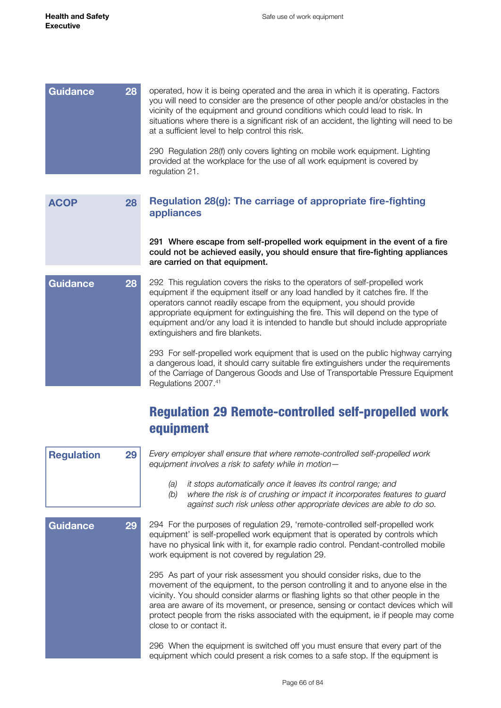operated, how it is being operated and the area in which it is operating. Factors you will need to consider are the presence of other people and/or obstacles in the vicinity of the equipment and ground conditions which could lead to risk. In situations where there is a significant risk of an accident, the lighting will need to be at a sufficient level to help control this risk. 290 Regulation 28(f) only covers lighting on mobile work equipment. Lighting **Guidance 28**

provided at the workplace for the use of all work equipment is covered by regulation 21.

#### **Regulation 28(g): The carriage of appropriate fire-fighting appliances ACOP 28**

291 Where escape from self-propelled work equipment in the event of a fire could not be achieved easily, you should ensure that fire-fighting appliances are carried on that equipment.

292 This regulation covers the risks to the operators of self-propelled work equipment if the equipment itself or any load handled by it catches fire. If the operators cannot readily escape from the equipment, you should provide appropriate equipment for extinguishing the fire. This will depend on the type of equipment and/or any load it is intended to handle but should include appropriate extinguishers and fire blankets. **Guidance 28**

293 For self-propelled work equipment that is used on the public highway carrying a dangerous load, it should carry suitable fire extinguishers under the requirements of the Carriage of Dangerous Goods and Use of Transportable Pressure Equipment Regulations 2007.41

# Regulation 29 Remote-controlled self-propelled work equipment

| <b>Regulation</b> | 29 | Every employer shall ensure that where remote-controlled self-propelled work<br>equipment involves a risk to safety while in motion-                                                                                                                                                                                                                                                                                                                         |  |  |
|-------------------|----|--------------------------------------------------------------------------------------------------------------------------------------------------------------------------------------------------------------------------------------------------------------------------------------------------------------------------------------------------------------------------------------------------------------------------------------------------------------|--|--|
|                   |    | it stops automatically once it leaves its control range; and<br>(a)<br>where the risk is of crushing or impact it incorporates features to guard<br>(b)<br>against such risk unless other appropriate devices are able to do so.                                                                                                                                                                                                                             |  |  |
| <b>Guidance</b>   | 29 | 294 For the purposes of regulation 29, 'remote-controlled self-propelled work<br>equipment' is self-propelled work equipment that is operated by controls which<br>have no physical link with it, for example radio control. Pendant-controlled mobile<br>work equipment is not covered by regulation 29.                                                                                                                                                    |  |  |
|                   |    | 295 As part of your risk assessment you should consider risks, due to the<br>movement of the equipment, to the person controlling it and to anyone else in the<br>vicinity. You should consider alarms or flashing lights so that other people in the<br>area are aware of its movement, or presence, sensing or contact devices which will<br>protect people from the risks associated with the equipment, ie if people may come<br>close to or contact it. |  |  |
|                   |    | 296 When the equipment is switched off you must ensure that every part of the<br>equipment which could present a risk comes to a safe stop. If the equipment is                                                                                                                                                                                                                                                                                              |  |  |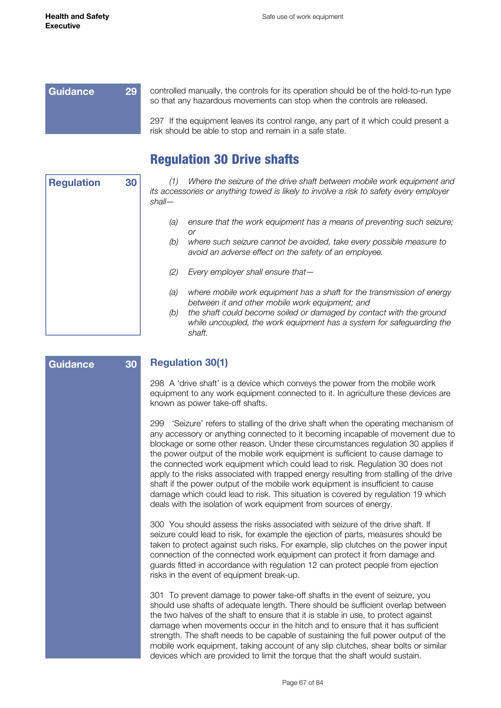controlled manually, the controls for its operation should be of the hold-to-run type so that any hazardous movements can stop when the controls are released. 297 If the equipment leaves its control range, any part of it which could present a risk should be able to stop and remain in a safe state. **Guidance 29**

# Regulation 30 Drive shafts

| <b>Regulation</b> | 30 |
|-------------------|----|
|                   |    |
|                   |    |
|                   |    |
|                   |    |
|                   |    |
|                   |    |
|                   |    |
|                   |    |

*(1) Where the seizure of the drive shaft between mobile work equipment and its accessories or anything towed is likely to involve a risk to safety every employer shall—*

- *(a) ensure that the work equipment has a means of preventing such seizure; or*
- *(b) where such seizure cannot be avoided, take every possible measure to avoid an adverse effect on the safety of an employee.*
- *(2) Every employer shall ensure that—*
- *(a) where mobile work equipment has a shaft for the transmission of energy between it and other mobile work equipment; and*
- *(b) the shaft could become soiled or damaged by contact with the ground while uncoupled, the work equipment has a system for safeguarding the shaft.*

#### **Guidance 30**

#### **Regulation 30(1)**

298 A 'drive shaft' is a device which conveys the power from the mobile work equipment to any work equipment connected to it. In agriculture these devices are known as power take-off shafts.

299 'Seizure' refers to stalling of the drive shaft when the operating mechanism of any accessory or anything connected to it becoming incapable of movement due to blockage or some other reason. Under these circumstances regulation 30 applies if the power output of the mobile work equipment is sufficient to cause damage to the connected work equipment which could lead to risk. Regulation 30 does not apply to the risks associated with trapped energy resulting from stalling of the drive shaft if the power output of the mobile work equipment is insufficient to cause damage which could lead to risk. This situation is covered by regulation 19 which deals with the isolation of work equipment from sources of energy.

300 You should assess the risks associated with seizure of the drive shaft. If seizure could lead to risk, for example the ejection of parts, measures should be taken to protect against such risks. For example, slip clutches on the power input connection of the connected work equipment can protect it from damage and guards fitted in accordance with regulation 12 can protect people from ejection risks in the event of equipment break-up.

301 To prevent damage to power take-off shafts in the event of seizure, you should use shafts of adequate length. There should be sufficient overlap between the two halves of the shaft to ensure that it is stable in use, to protect against damage when movements occur in the hitch and to ensure that it has sufficient strength. The shaft needs to be capable of sustaining the full power output of the mobile work equipment, taking account of any slip clutches, shear bolts or similar devices which are provided to limit the torque that the shaft would sustain.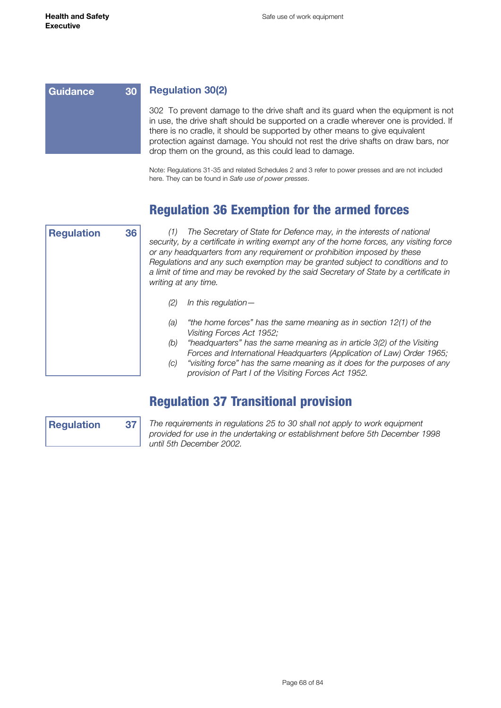

#### **Regulation 30(2)**

302 To prevent damage to the drive shaft and its guard when the equipment is not in use, the drive shaft should be supported on a cradle wherever one is provided. If there is no cradle, it should be supported by other means to give equivalent protection against damage. You should not rest the drive shafts on draw bars, nor drop them on the ground, as this could lead to damage.

Note: Regulations 31-35 and related Schedules 2 and 3 refer to power presses and are not included here. They can be found in *Safe use of power presses*.

# Regulation 36 Exemption for the armed forces

| <b>Regulation</b> | 36 |
|-------------------|----|
|                   |    |
|                   |    |
|                   |    |
|                   |    |
|                   |    |

*(1) The Secretary of State for Defence may, in the interests of national security, by a certificate in writing exempt any of the home forces, any visiting force or any headquarters from any requirement or prohibition imposed by these Regulations and any such exemption may be granted subject to conditions and to a limit of time and may be revoked by the said Secretary of State by a certificate in writing at any time.*

- *(2) In this regulation—*
- *(a) "the home forces" has the same meaning as in section 12(1) of the Visiting Forces Act 1952;*
- *(b) "headquarters" has the same meaning as in article 3(2) of the Visiting Forces and International Headquarters (Application of Law) Order 1965;*
- *(c) "visiting force" has the same meaning as it does for the purposes of any provision of Part I of the Visiting Forces Act 1952.*

# Regulation 37 Transitional provision

**Regulation 37**

*The requirements in regulations 25 to 30 shall not apply to work equipment provided for use in the undertaking or establishment before 5th December 1998 until 5th December 2002.*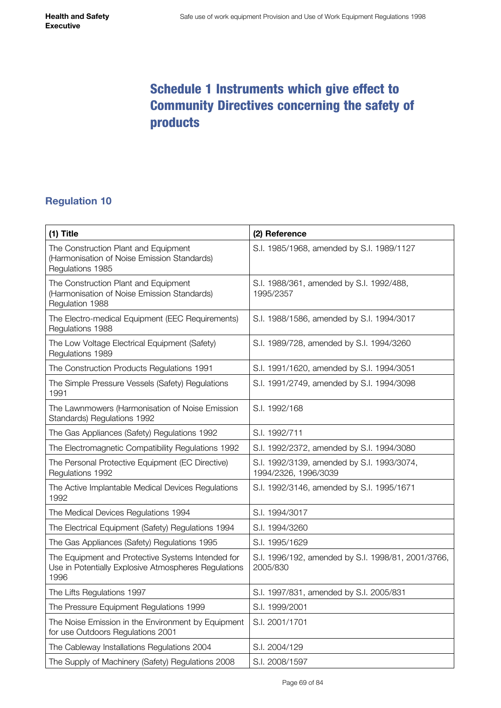# Schedule 1 Instruments which give effect to Community Directives concerning the safety of products

# **Regulation 10**

| (1) Title                                                                                                         | (2) Reference                                                      |
|-------------------------------------------------------------------------------------------------------------------|--------------------------------------------------------------------|
| The Construction Plant and Equipment<br>(Harmonisation of Noise Emission Standards)<br>Regulations 1985           | S.I. 1985/1968, amended by S.I. 1989/1127                          |
| The Construction Plant and Equipment<br>(Harmonisation of Noise Emission Standards)<br>Regulation 1988            | S.I. 1988/361, amended by S.I. 1992/488,<br>1995/2357              |
| The Electro-medical Equipment (EEC Requirements)<br>Regulations 1988                                              | S.I. 1988/1586, amended by S.I. 1994/3017                          |
| The Low Voltage Electrical Equipment (Safety)<br>Regulations 1989                                                 | S.I. 1989/728, amended by S.I. 1994/3260                           |
| The Construction Products Regulations 1991                                                                        | S.I. 1991/1620, amended by S.I. 1994/3051                          |
| The Simple Pressure Vessels (Safety) Regulations<br>1991                                                          | S.I. 1991/2749, amended by S.I. 1994/3098                          |
| The Lawnmowers (Harmonisation of Noise Emission<br>Standards) Regulations 1992                                    | S.I. 1992/168                                                      |
| The Gas Appliances (Safety) Regulations 1992                                                                      | S.I. 1992/711                                                      |
| The Electromagnetic Compatibility Regulations 1992                                                                | S.I. 1992/2372, amended by S.I. 1994/3080                          |
| The Personal Protective Equipment (EC Directive)<br>Regulations 1992                                              | S.I. 1992/3139, amended by S.I. 1993/3074,<br>1994/2326, 1996/3039 |
| The Active Implantable Medical Devices Regulations<br>1992                                                        | S.I. 1992/3146, amended by S.I. 1995/1671                          |
| The Medical Devices Regulations 1994                                                                              | S.I. 1994/3017                                                     |
| The Electrical Equipment (Safety) Regulations 1994                                                                | S.I. 1994/3260                                                     |
| The Gas Appliances (Safety) Regulations 1995                                                                      | S.I. 1995/1629                                                     |
| The Equipment and Protective Systems Intended for<br>Use in Potentially Explosive Atmospheres Regulations<br>1996 | S.I. 1996/192, amended by S.I. 1998/81, 2001/3766,<br>2005/830     |
| The Lifts Regulations 1997                                                                                        | S.I. 1997/831, amended by S.I. 2005/831                            |
| The Pressure Equipment Regulations 1999                                                                           | S.I. 1999/2001                                                     |
| The Noise Emission in the Environment by Equipment<br>for use Outdoors Regulations 2001                           | S.I. 2001/1701                                                     |
| The Cableway Installations Regulations 2004                                                                       | S.I. 2004/129                                                      |
| The Supply of Machinery (Safety) Regulations 2008                                                                 | S.I. 2008/1597                                                     |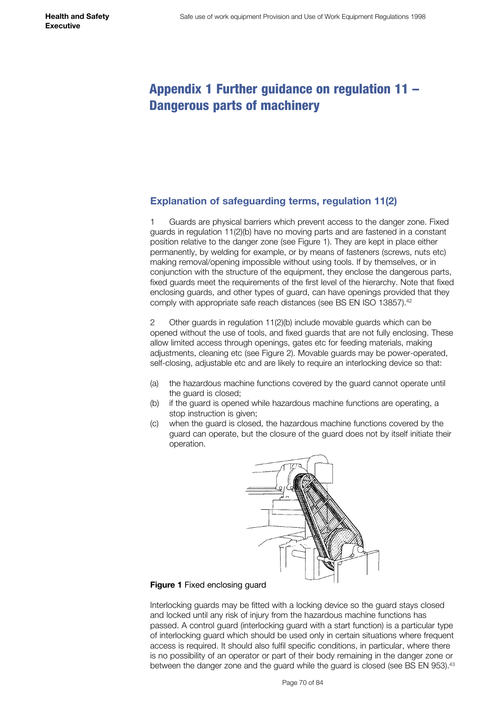# Appendix 1 Further guidance on regulation 11 – Dangerous parts of machinery

## **Explanation of safeguarding terms, regulation 11(2)**

1 Guards are physical barriers which prevent access to the danger zone. Fixed guards in regulation 11(2)(b) have no moving parts and are fastened in a constant position relative to the danger zone (see Figure 1). They are kept in place either permanently, by welding for example, or by means of fasteners (screws, nuts etc) making removal/opening impossible without using tools. If by themselves, or in conjunction with the structure of the equipment, they enclose the dangerous parts, fixed guards meet the requirements of the first level of the hierarchy. Note that fixed enclosing guards, and other types of guard, can have openings provided that they comply with appropriate safe reach distances (see BS EN ISO 13857).42

2 Other guards in regulation 11(2)(b) include movable guards which can be opened without the use of tools, and fixed guards that are not fully enclosing. These allow limited access through openings, gates etc for feeding materials, making adjustments, cleaning etc (see Figure 2). Movable guards may be power-operated, self-closing, adjustable etc and are likely to require an interlocking device so that:

- (a) the hazardous machine functions covered by the guard cannot operate until the guard is closed;
- (b) if the guard is opened while hazardous machine functions are operating, a stop instruction is given;
- (c) when the guard is closed, the hazardous machine functions covered by the guard can operate, but the closure of the guard does not by itself initiate their operation.



#### **Figure 1** Fixed enclosing guard

Interlocking guards may be fitted with a locking device so the guard stays closed and locked until any risk of injury from the hazardous machine functions has passed. A control guard (interlocking guard with a start function) is a particular type of interlocking guard which should be used only in certain situations where frequent access is required. It should also fulfil specific conditions, in particular, where there is no possibility of an operator or part of their body remaining in the danger zone or between the danger zone and the guard while the guard is closed (see BS EN 953).<sup>43</sup>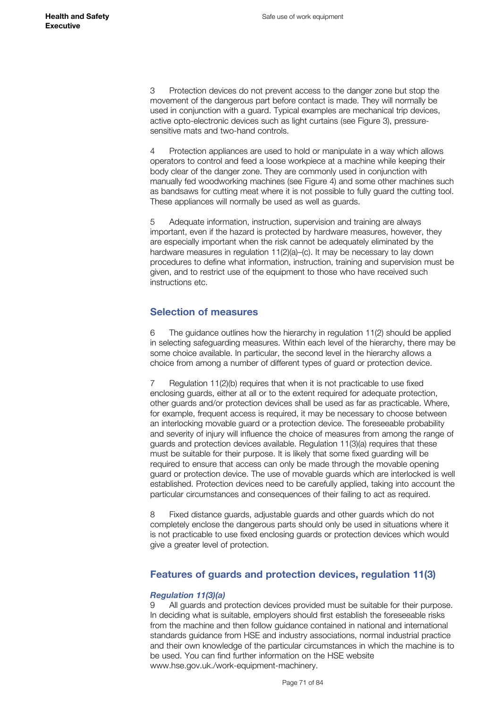3 Protection devices do not prevent access to the danger zone but stop the movement of the dangerous part before contact is made. They will normally be used in conjunction with a guard. Typical examples are mechanical trip devices, active opto-electronic devices such as light curtains (see Figure 3), pressuresensitive mats and two-hand controls.

4 Protection appliances are used to hold or manipulate in a way which allows operators to control and feed a loose workpiece at a machine while keeping their body clear of the danger zone. They are commonly used in conjunction with manually fed woodworking machines (see Figure 4) and some other machines such as bandsaws for cutting meat where it is not possible to fully guard the cutting tool. These appliances will normally be used as well as guards.

5 Adequate information, instruction, supervision and training are always important, even if the hazard is protected by hardware measures, however, they are especially important when the risk cannot be adequately eliminated by the hardware measures in regulation 11(2)(a)–(c). It may be necessary to lay down procedures to define what information, instruction, training and supervision must be given, and to restrict use of the equipment to those who have received such instructions etc.

#### **Selection of measures**

The guidance outlines how the hierarchy in regulation 11(2) should be applied in selecting safeguarding measures. Within each level of the hierarchy, there may be some choice available. In particular, the second level in the hierarchy allows a choice from among a number of different types of guard or protection device.

7 Regulation 11(2)(b) requires that when it is not practicable to use fixed enclosing guards, either at all or to the extent required for adequate protection, other guards and/or protection devices shall be used as far as practicable. Where, for example, frequent access is required, it may be necessary to choose between an interlocking movable guard or a protection device. The foreseeable probability and severity of injury will influence the choice of measures from among the range of guards and protection devices available. Regulation 11(3)(a) requires that these must be suitable for their purpose. It is likely that some fixed guarding will be required to ensure that access can only be made through the movable opening guard or protection device. The use of movable guards which are interlocked is well established. Protection devices need to be carefully applied, taking into account the particular circumstances and consequences of their failing to act as required.

8 Fixed distance guards, adjustable guards and other guards which do not completely enclose the dangerous parts should only be used in situations where it is not practicable to use fixed enclosing guards or protection devices which would give a greater level of protection.

#### **Features of guards and protection devices, regulation 11(3)**

#### *Regulation 11(3)(a)*

9 All guards and protection devices provided must be suitable for their purpose. In deciding what is suitable, employers should first establish the foreseeable risks from the machine and then follow guidance contained in national and international standards guidance from HSE and industry associations, normal industrial practice and their own knowledge of the particular circumstances in which the machine is to be used. You can find further information on the HSE website www.hse.gov.uk./work-equipment-machinery.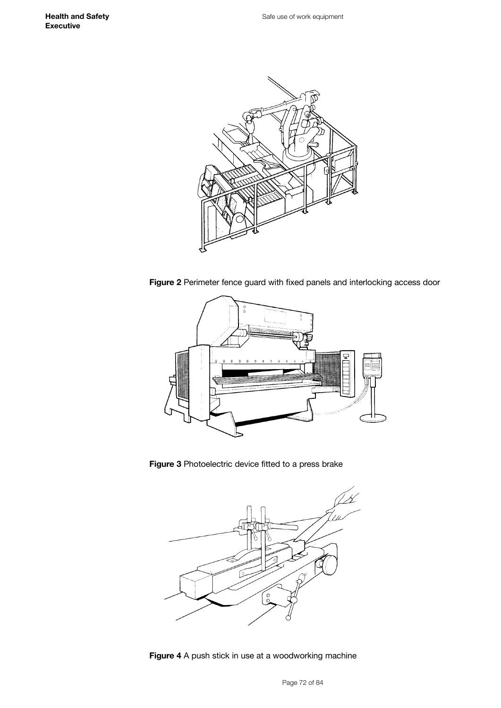

**Figure 2** Perimeter fence guard with fixed panels and interlocking access door



**Figure 3** Photoelectric device fitted to a press brake



**Figure 4** A push stick in use at a woodworking machine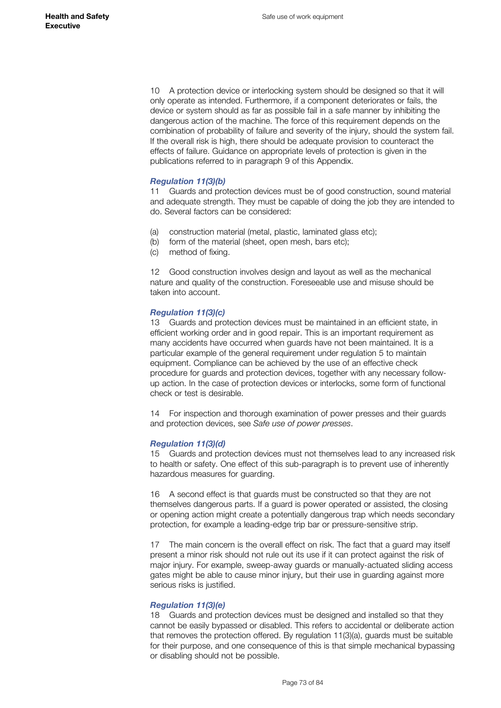10 A protection device or interlocking system should be designed so that it will only operate as intended. Furthermore, if a component deteriorates or fails, the device or system should as far as possible fail in a safe manner by inhibiting the dangerous action of the machine. The force of this requirement depends on the combination of probability of failure and severity of the injury, should the system fail. If the overall risk is high, there should be adequate provision to counteract the effects of failure. Guidance on appropriate levels of protection is given in the publications referred to in paragraph 9 of this Appendix.

### *Regulation 11(3)(b)*

11 Guards and protection devices must be of good construction, sound material and adequate strength. They must be capable of doing the job they are intended to do. Several factors can be considered:

- (a) construction material (metal, plastic, laminated glass etc);
- (b) form of the material (sheet, open mesh, bars etc);
- (c) method of fixing.

12 Good construction involves design and layout as well as the mechanical nature and quality of the construction. Foreseeable use and misuse should be taken into account.

### *Regulation 11(3)(c)*

13 Guards and protection devices must be maintained in an efficient state, in efficient working order and in good repair. This is an important requirement as many accidents have occurred when guards have not been maintained. It is a particular example of the general requirement under regulation 5 to maintain equipment. Compliance can be achieved by the use of an effective check procedure for guards and protection devices, together with any necessary followup action. In the case of protection devices or interlocks, some form of functional check or test is desirable.

14 For inspection and thorough examination of power presses and their guards and protection devices, see *Safe use of power presses*.

### *Regulation 11(3)(d)*

15 Guards and protection devices must not themselves lead to any increased risk to health or safety. One effect of this sub-paragraph is to prevent use of inherently hazardous measures for guarding.

16 A second effect is that guards must be constructed so that they are not themselves dangerous parts. If a guard is power operated or assisted, the closing or opening action might create a potentially dangerous trap which needs secondary protection, for example a leading-edge trip bar or pressure-sensitive strip.

17 The main concern is the overall effect on risk. The fact that a guard may itself present a minor risk should not rule out its use if it can protect against the risk of major injury. For example, sweep-away guards or manually-actuated sliding access gates might be able to cause minor injury, but their use in guarding against more serious risks is justified.

### *Regulation 11(3)(e)*

18 Guards and protection devices must be designed and installed so that they cannot be easily bypassed or disabled. This refers to accidental or deliberate action that removes the protection offered. By regulation 11(3)(a), guards must be suitable for their purpose, and one consequence of this is that simple mechanical bypassing or disabling should not be possible.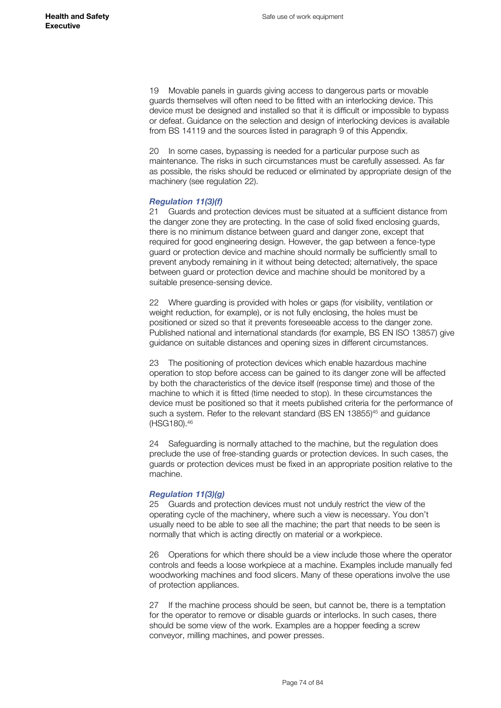19 Movable panels in guards giving access to dangerous parts or movable guards themselves will often need to be fitted with an interlocking device. This device must be designed and installed so that it is difficult or impossible to bypass or defeat. Guidance on the selection and design of interlocking devices is available from BS 14119 and the sources listed in paragraph 9 of this Appendix.

20 In some cases, bypassing is needed for a particular purpose such as maintenance. The risks in such circumstances must be carefully assessed. As far as possible, the risks should be reduced or eliminated by appropriate design of the machinery (see regulation 22).

### *Regulation 11(3)(f)*

21 Guards and protection devices must be situated at a sufficient distance from the danger zone they are protecting. In the case of solid fixed enclosing guards, there is no minimum distance between guard and danger zone, except that required for good engineering design. However, the gap between a fence-type guard or protection device and machine should normally be sufficiently small to prevent anybody remaining in it without being detected; alternatively, the space between guard or protection device and machine should be monitored by a suitable presence-sensing device.

22 Where guarding is provided with holes or gaps (for visibility, ventilation or weight reduction, for example), or is not fully enclosing, the holes must be positioned or sized so that it prevents foreseeable access to the danger zone. Published national and international standards (for example, BS EN ISO 13857) give guidance on suitable distances and opening sizes in different circumstances.

23 The positioning of protection devices which enable hazardous machine operation to stop before access can be gained to its danger zone will be affected by both the characteristics of the device itself (response time) and those of the machine to which it is fitted (time needed to stop). In these circumstances the device must be positioned so that it meets published criteria for the performance of such a system. Refer to the relevant standard (BS EN 13855)<sup>45</sup> and guidance (HSG180).46

24 Safeguarding is normally attached to the machine, but the regulation does preclude the use of free-standing guards or protection devices. In such cases, the guards or protection devices must be fixed in an appropriate position relative to the machine.

### *Regulation 11(3)(g)*

25 Guards and protection devices must not unduly restrict the view of the operating cycle of the machinery, where such a view is necessary. You don't usually need to be able to see all the machine; the part that needs to be seen is normally that which is acting directly on material or a workpiece.

26 Operations for which there should be a view include those where the operator controls and feeds a loose workpiece at a machine. Examples include manually fed woodworking machines and food slicers. Many of these operations involve the use of protection appliances.

27 If the machine process should be seen, but cannot be, there is a temptation for the operator to remove or disable guards or interlocks. In such cases, there should be some view of the work. Examples are a hopper feeding a screw conveyor, milling machines, and power presses.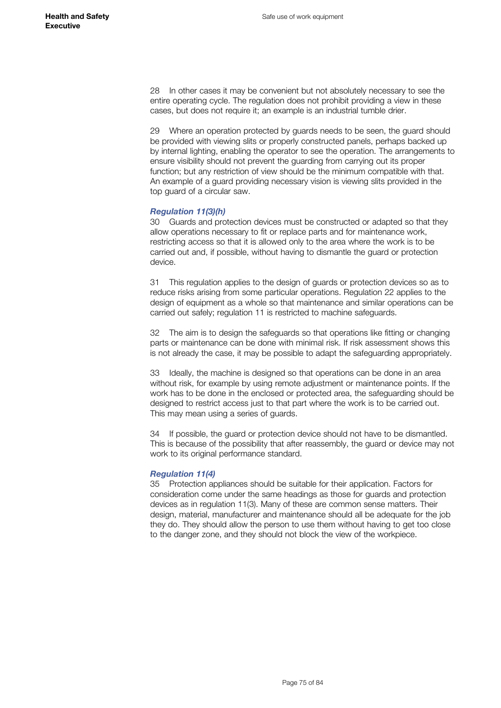28 In other cases it may be convenient but not absolutely necessary to see the entire operating cycle. The regulation does not prohibit providing a view in these cases, but does not require it; an example is an industrial tumble drier.

29 Where an operation protected by guards needs to be seen, the guard should be provided with viewing slits or properly constructed panels, perhaps backed up by internal lighting, enabling the operator to see the operation. The arrangements to ensure visibility should not prevent the guarding from carrying out its proper function; but any restriction of view should be the minimum compatible with that. An example of a guard providing necessary vision is viewing slits provided in the top guard of a circular saw.

### *Regulation 11(3)(h)*

30 Guards and protection devices must be constructed or adapted so that they allow operations necessary to fit or replace parts and for maintenance work, restricting access so that it is allowed only to the area where the work is to be carried out and, if possible, without having to dismantle the guard or protection device.

31 This regulation applies to the design of guards or protection devices so as to reduce risks arising from some particular operations. Regulation 22 applies to the design of equipment as a whole so that maintenance and similar operations can be carried out safely; regulation 11 is restricted to machine safeguards.

32 The aim is to design the safeguards so that operations like fitting or changing parts or maintenance can be done with minimal risk. If risk assessment shows this is not already the case, it may be possible to adapt the safeguarding appropriately.

33 Ideally, the machine is designed so that operations can be done in an area without risk, for example by using remote adjustment or maintenance points. If the work has to be done in the enclosed or protected area, the safeguarding should be designed to restrict access just to that part where the work is to be carried out. This may mean using a series of guards.

34 If possible, the guard or protection device should not have to be dismantled. This is because of the possibility that after reassembly, the guard or device may not work to its original performance standard.

## *Regulation 11(4)*

35 Protection appliances should be suitable for their application. Factors for consideration come under the same headings as those for guards and protection devices as in regulation 11(3). Many of these are common sense matters. Their design, material, manufacturer and maintenance should all be adequate for the job they do. They should allow the person to use them without having to get too close to the danger zone, and they should not block the view of the workpiece.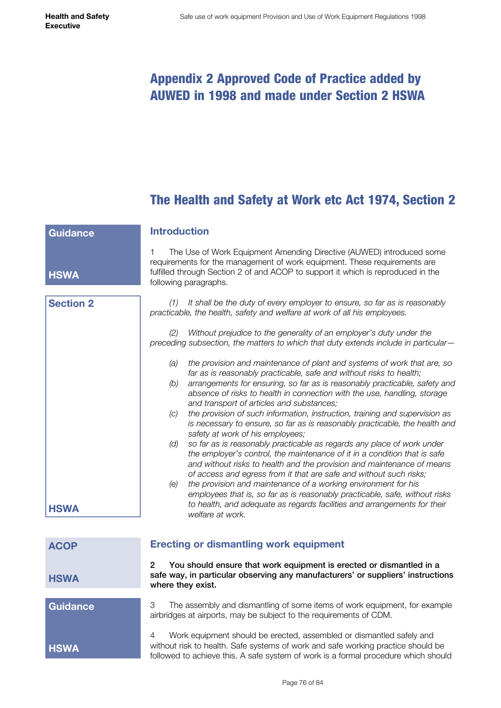## Appendix 2 Approved Code of Practice added by AUWED in 1998 and made under Section 2 HSWA

## The Health and Safety at Work etc Act 1974, Section 2

| <b>Guidance</b>  | <b>Introduction</b>                                                                                                                                                                                                                                                                                                                                                                                                                                                                                                                                                                                                                                                                                                                                                                                                                                                                                                                                                                                                                                                                                                                                |
|------------------|----------------------------------------------------------------------------------------------------------------------------------------------------------------------------------------------------------------------------------------------------------------------------------------------------------------------------------------------------------------------------------------------------------------------------------------------------------------------------------------------------------------------------------------------------------------------------------------------------------------------------------------------------------------------------------------------------------------------------------------------------------------------------------------------------------------------------------------------------------------------------------------------------------------------------------------------------------------------------------------------------------------------------------------------------------------------------------------------------------------------------------------------------|
| <b>HSWA</b>      | The Use of Work Equipment Amending Directive (AUWED) introduced some<br>1<br>requirements for the management of work equipment. These requirements are<br>fulfilled through Section 2 of and ACOP to support it which is reproduced in the<br>following paragraphs.                                                                                                                                                                                                                                                                                                                                                                                                                                                                                                                                                                                                                                                                                                                                                                                                                                                                                |
| <b>Section 2</b> | It shall be the duty of every employer to ensure, so far as is reasonably<br>(1)<br>practicable, the health, safety and welfare at work of all his employees.                                                                                                                                                                                                                                                                                                                                                                                                                                                                                                                                                                                                                                                                                                                                                                                                                                                                                                                                                                                      |
|                  | Without prejudice to the generality of an employer's duty under the<br>(2)<br>preceding subsection, the matters to which that duty extends include in particular-                                                                                                                                                                                                                                                                                                                                                                                                                                                                                                                                                                                                                                                                                                                                                                                                                                                                                                                                                                                  |
| <b>HSWA</b>      | the provision and maintenance of plant and systems of work that are, so<br>(a)<br>far as is reasonably practicable, safe and without risks to health;<br>arrangements for ensuring, so far as is reasonably practicable, safety and<br>(b)<br>absence of risks to health in connection with the use, handling, storage<br>and transport of articles and substances;<br>the provision of such information, instruction, training and supervision as<br>(C)<br>is necessary to ensure, so far as is reasonably practicable, the health and<br>safety at work of his employees;<br>so far as is reasonably practicable as regards any place of work under<br>(d)<br>the employer's control, the maintenance of it in a condition that is safe<br>and without risks to health and the provision and maintenance of means<br>of access and egress from it that are safe and without such risks;<br>the provision and maintenance of a working environment for his<br>(e)<br>employees that is, so far as is reasonably practicable, safe, without risks<br>to health, and adequate as regards facilities and arrangements for their<br>welfare at work. |
|                  |                                                                                                                                                                                                                                                                                                                                                                                                                                                                                                                                                                                                                                                                                                                                                                                                                                                                                                                                                                                                                                                                                                                                                    |
| <b>ACOP</b>      | <b>Erecting or dismantling work equipment</b>                                                                                                                                                                                                                                                                                                                                                                                                                                                                                                                                                                                                                                                                                                                                                                                                                                                                                                                                                                                                                                                                                                      |
|                  | You should ensure that work equinment is erected or dismantled in a                                                                                                                                                                                                                                                                                                                                                                                                                                                                                                                                                                                                                                                                                                                                                                                                                                                                                                                                                                                                                                                                                |

ould ensure that work equipment is erected or dismantled in a safe way, in particular observing any manufacturers' or suppliers' instructions where they exist.

**Guidance HSWA**

**HSWA**

3 The assembly and dismantling of some items of work equipment, for example airbridges at airports, may be subject to the requirements of CDM.

4 Work equipment should be erected, assembled or dismantled safely and without risk to health. Safe systems of work and safe working practice should be followed to achieve this. A safe system of work is a formal procedure which should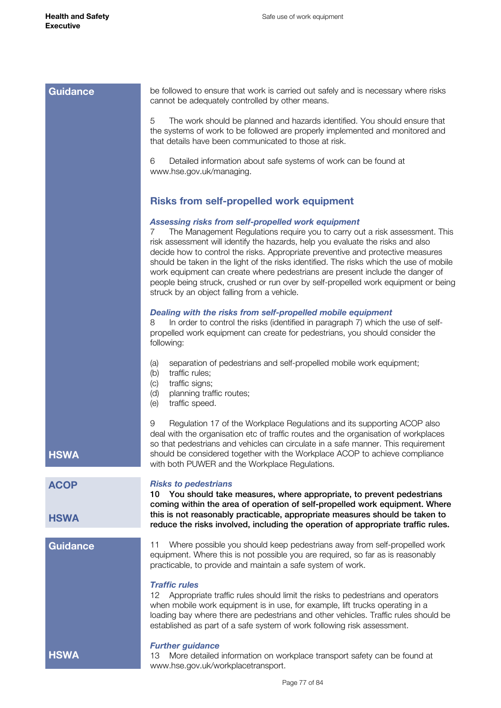| <b>Guidance</b>            | be followed to ensure that work is carried out safely and is necessary where risks<br>cannot be adequately controlled by other means.<br>5<br>The work should be planned and hazards identified. You should ensure that<br>the systems of work to be followed are properly implemented and monitored and<br>that details have been communicated to those at risk.<br>6<br>Detailed information about safe systems of work can be found at<br>www.hse.gov.uk/managing.<br><b>Risks from self-propelled work equipment</b><br>Assessing risks from self-propelled work equipment<br>The Management Regulations require you to carry out a risk assessment. This<br>7<br>risk assessment will identify the hazards, help you evaluate the risks and also |
|----------------------------|-------------------------------------------------------------------------------------------------------------------------------------------------------------------------------------------------------------------------------------------------------------------------------------------------------------------------------------------------------------------------------------------------------------------------------------------------------------------------------------------------------------------------------------------------------------------------------------------------------------------------------------------------------------------------------------------------------------------------------------------------------|
|                            | decide how to control the risks. Appropriate preventive and protective measures<br>should be taken in the light of the risks identified. The risks which the use of mobile<br>work equipment can create where pedestrians are present include the danger of<br>people being struck, crushed or run over by self-propelled work equipment or being<br>struck by an object falling from a vehicle.                                                                                                                                                                                                                                                                                                                                                      |
|                            | Dealing with the risks from self-propelled mobile equipment<br>In order to control the risks (identified in paragraph 7) which the use of self-<br>8<br>propelled work equipment can create for pedestrians, you should consider the<br>following:                                                                                                                                                                                                                                                                                                                                                                                                                                                                                                    |
|                            | separation of pedestrians and self-propelled mobile work equipment;<br>(a)<br>traffic rules;<br>(b)<br>(c)<br>traffic signs;<br>(d)<br>planning traffic routes;<br>(e)<br>traffic speed.                                                                                                                                                                                                                                                                                                                                                                                                                                                                                                                                                              |
| <b>HSWA</b>                | Regulation 17 of the Workplace Regulations and its supporting ACOP also<br>9<br>deal with the organisation etc of traffic routes and the organisation of workplaces<br>so that pedestrians and vehicles can circulate in a safe manner. This requirement<br>should be considered together with the Workplace ACOP to achieve compliance<br>with both PUWER and the Workplace Regulations.                                                                                                                                                                                                                                                                                                                                                             |
| <b>ACOP</b><br><b>HSWA</b> | <b>Risks to pedestrians</b><br>You should take measures, where appropriate, to prevent pedestrians<br>10<br>coming within the area of operation of self-propelled work equipment. Where<br>this is not reasonably practicable, appropriate measures should be taken to<br>reduce the risks involved, including the operation of appropriate traffic rules.                                                                                                                                                                                                                                                                                                                                                                                            |
| <b>Guidance</b>            | Where possible you should keep pedestrians away from self-propelled work<br>11<br>equipment. Where this is not possible you are required, so far as is reasonably<br>practicable, to provide and maintain a safe system of work.                                                                                                                                                                                                                                                                                                                                                                                                                                                                                                                      |
|                            | <b>Traffic rules</b><br>Appropriate traffic rules should limit the risks to pedestrians and operators<br>12<br>when mobile work equipment is in use, for example, lift trucks operating in a<br>loading bay where there are pedestrians and other vehicles. Traffic rules should be<br>established as part of a safe system of work following risk assessment.                                                                                                                                                                                                                                                                                                                                                                                        |
| <b>HSWA</b>                | <b>Further guidance</b><br>More detailed information on workplace transport safety can be found at<br>13                                                                                                                                                                                                                                                                                                                                                                                                                                                                                                                                                                                                                                              |

www.hse.gov.uk/workplacetransport.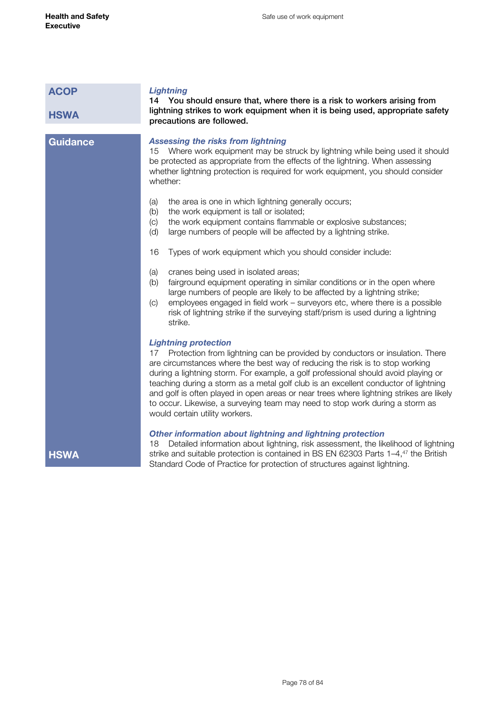| <b>ACOP</b><br><b>HSWA</b> | <b>Lightning</b><br>14 You should ensure that, where there is a risk to workers arising from<br>lightning strikes to work equipment when it is being used, appropriate safety<br>precautions are followed.                                                                                                                                                                                                                                                                                                                                                                                  |
|----------------------------|---------------------------------------------------------------------------------------------------------------------------------------------------------------------------------------------------------------------------------------------------------------------------------------------------------------------------------------------------------------------------------------------------------------------------------------------------------------------------------------------------------------------------------------------------------------------------------------------|
| <b>Guidance</b>            | <b>Assessing the risks from lightning</b><br>Where work equipment may be struck by lightning while being used it should<br>15<br>be protected as appropriate from the effects of the lightning. When assessing<br>whether lightning protection is required for work equipment, you should consider<br>whether:                                                                                                                                                                                                                                                                              |
|                            | the area is one in which lightning generally occurs;<br>(a)<br>the work equipment is tall or isolated;<br>(b)<br>the work equipment contains flammable or explosive substances;<br>(C)<br>(d)<br>large numbers of people will be affected by a lightning strike.                                                                                                                                                                                                                                                                                                                            |
|                            | 16<br>Types of work equipment which you should consider include:<br>cranes being used in isolated areas;<br>(a)<br>fairground equipment operating in similar conditions or in the open where<br>(b)<br>large numbers of people are likely to be affected by a lightning strike;<br>employees engaged in field work - surveyors etc, where there is a possible<br>(C)<br>risk of lightning strike if the surveying staff/prism is used during a lightning<br>strike.                                                                                                                         |
|                            | <b>Lightning protection</b><br>Protection from lightning can be provided by conductors or insulation. There<br>17<br>are circumstances where the best way of reducing the risk is to stop working<br>during a lightning storm. For example, a golf professional should avoid playing or<br>teaching during a storm as a metal golf club is an excellent conductor of lightning<br>and golf is often played in open areas or near trees where lightning strikes are likely<br>to occur. Likewise, a surveying team may need to stop work during a storm as<br>would certain utility workers. |
| <b>HSWA</b>                | Other information about lightning and lightning protection<br>Detailed information about lightning, risk assessment, the likelihood of lightning<br>18<br>strike and suitable protection is contained in BS EN 62303 Parts 1-4, <sup>47</sup> the British<br>Standard Code of Practice for protection of structures against lightning.                                                                                                                                                                                                                                                      |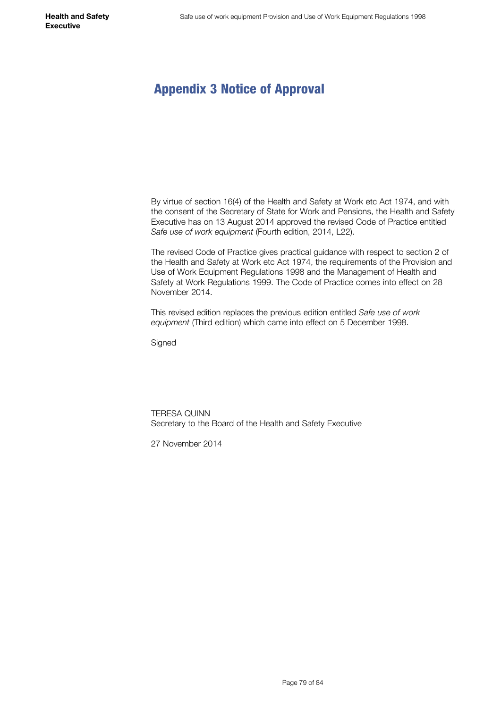# Appendix 3 Notice of Approval

By virtue of section 16(4) of the Health and Safety at Work etc Act 1974, and with the consent of the Secretary of State for Work and Pensions, the Health and Safety Executive has on 13 August 2014 approved the revised Code of Practice entitled *Safe use of work equipment* (Fourth edition, 2014, L22).

The revised Code of Practice gives practical guidance with respect to section 2 of the Health and Safety at Work etc Act 1974, the requirements of the Provision and Use of Work Equipment Regulations 1998 and the Management of Health and Safety at Work Regulations 1999. The Code of Practice comes into effect on 28 November 2014.

This revised edition replaces the previous edition entitled *Safe use of work equipment* (Third edition) which came into effect on 5 December 1998.

Signed

TERESA QUINN Secretary to the Board of the Health and Safety Executive

27 November 2014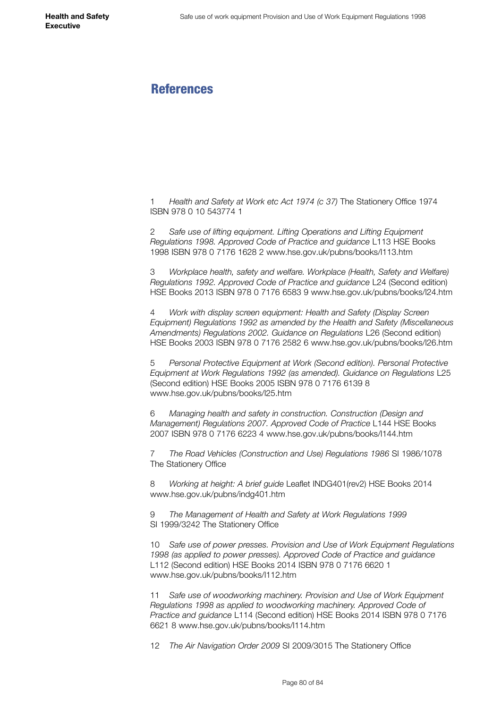## **References**

1 *Health and Safety at Work etc Act 1974 (c 37)* The Stationery Office 1974 ISBN 978 0 10 543774 1

2 *Safe use of lifting equipment. Lifting Operations and Lifting Equipment Regulations 1998. Approved Code of Practice and guidance* L113 HSE Books 1998 ISBN 978 0 7176 1628 2 www.hse.gov.uk/pubns/books/l113.htm

3 *Workplace health, safety and welfare. Workplace (Health, Safety and Welfare) Regulations 1992. Approved Code of Practice and guidance* L24 (Second edition) HSE Books 2013 ISBN 978 0 7176 6583 9 www.hse.gov.uk/pubns/books/l24.htm

4 *Work with display screen equipment: Health and Safety (Display Screen Equipment) Regulations 1992 as amended by the Health and Safety (Miscellaneous Amendments) Regulations 2002. Guidance on Regulations* L26 (Second edition) HSE Books 2003 ISBN 978 0 7176 2582 6 www.hse.gov.uk/pubns/books/l26.htm

5 *Personal Protective Equipment at Work (Second edition). Personal Protective Equipment at Work Regulations 1992 (as amended). Guidance on Regulations* L25 (Second edition) HSE Books 2005 ISBN 978 0 7176 6139 8 www.hse.gov.uk/pubns/books/l25.htm

6 *Managing health and safety in construction. Construction (Design and Management) Regulations 2007. Approved Code of Practice* L144 HSE Books 2007 ISBN 978 0 7176 6223 4 www.hse.gov.uk/pubns/books/l144.htm

7 *The Road Vehicles (Construction and Use) Regulations 1986* SI 1986/1078 The Stationery Office

8 *Working at height: A brief guide* Leaflet INDG401(rev2) HSE Books 2014 www.hse.gov.uk/pubns/indg401.htm

9 *The Management of Health and Safety at Work Regulations 1999* SI 1999/3242 The Stationery Office

10 *Safe use of power presses. Provision and Use of Work Equipment Regulations 1998 (as applied to power presses). Approved Code of Practice and guidance* L112 (Second edition) HSE Books 2014 ISBN 978 0 7176 6620 1 www.hse.gov.uk/pubns/books/l112.htm

11 *Safe use of woodworking machinery. Provision and Use of Work Equipment Regulations 1998 as applied to woodworking machinery. Approved Code of Practice and guidance* L114 (Second edition) HSE Books 2014 ISBN 978 0 7176 6621 8 www.hse.gov.uk/pubns/books/l114.htm

12 *The Air Navigation Order 2009* SI 2009/3015 The Stationery Office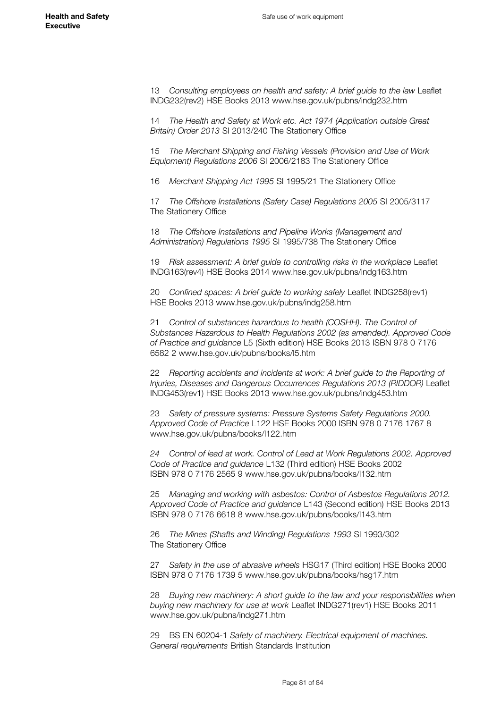13 *Consulting employees on health and safety: A brief guide to the law* Leaflet INDG232(rev2) HSE Books 2013 www.hse.gov.uk/pubns/indg232.htm

14 *The Health and Safety at Work etc. Act 1974 (Application outside Great Britain) Order 2013* SI 2013/240 The Stationery Office

15 *The Merchant Shipping and Fishing Vessels (Provision and Use of Work Equipment) Regulations 2006* SI 2006/2183 The Stationery Office

16 *Merchant Shipping Act 1995* SI 1995/21 The Stationery Office

17 *The Offshore Installations (Safety Case) Regulations 2005* SI 2005/3117 The Stationery Office

18 *The Offshore Installations and Pipeline Works (Management and Administration) Regulations 1995* SI 1995/738 The Stationery Office

19 *Risk assessment: A brief guide to controlling risks in the workplace* Leaflet INDG163(rev4) HSE Books 2014 www.hse.gov.uk/pubns/indg163.htm

20 *Confined spaces: A brief guide to working safely* Leaflet INDG258(rev1) HSE Books 2013 www.hse.gov.uk/pubns/indg258.htm

21 *Control of substances hazardous to health (COSHH). The Control of Substances Hazardous to Health Regulations 2002 (as amended). Approved Code of Practice and guidance* L5 (Sixth edition) HSE Books 2013 ISBN 978 0 7176 6582 2 www.hse.gov.uk/pubns/books/l5.htm

22 *Reporting accidents and incidents at work: A brief guide to the Reporting of Injuries, Diseases and Dangerous Occurrences Regulations 2013 (RIDDOR)* Leaflet INDG453(rev1) HSE Books 2013 www.hse.gov.uk/pubns/indg453.htm

23 *Safety of pressure systems: Pressure Systems Safety Regulations 2000. Approved Code of Practice* L122 HSE Books 2000 ISBN 978 0 7176 1767 8 www.hse.gov.uk/pubns/books/l122.htm

*24 Control of lead at work. Control of Lead at Work Regulations 2002. Approved Code of Practice and guidance* L132 (Third edition) HSE Books 2002 ISBN 978 0 7176 2565 9 www.hse.gov.uk/pubns/books/l132.htm

25 *Managing and working with asbestos: Control of Asbestos Regulations 2012. Approved Code of Practice and guidance* L143 (Second edition) HSE Books 2013 ISBN 978 0 7176 6618 8 www.hse.gov.uk/pubns/books/l143.htm

26 *The Mines (Shafts and Winding) Regulations 1993* SI 1993/302 The Stationery Office

27 *Safety in the use of abrasive wheels* HSG17 (Third edition) HSE Books 2000 ISBN 978 0 7176 1739 5 www.hse.gov.uk/pubns/books/hsg17.htm

28 *Buying new machinery: A short guide to the law and your responsibilities when buying new machinery for use at work* Leaflet INDG271(rev1) HSE Books 2011 www.hse.gov.uk/pubns/indg271.htm

29 BS EN 60204-1 *Safety of machinery. Electrical equipment of machines. General requirements* British Standards Institution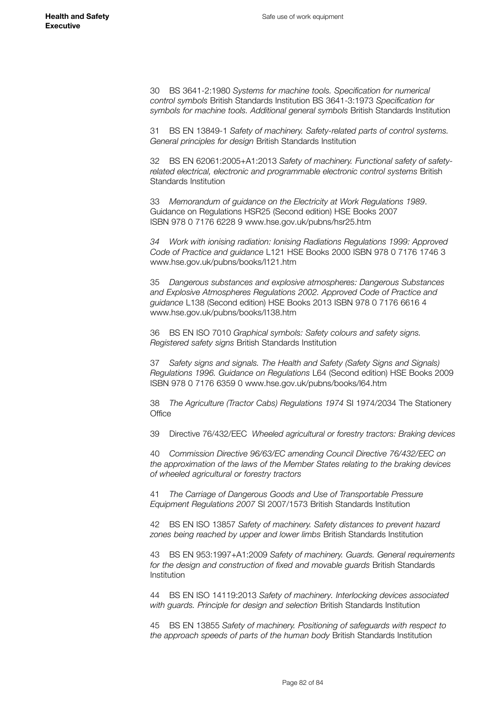30 BS 3641-2:1980 *Systems for machine tools. Specification for numerical control symbols* British Standards Institution BS 3641-3:1973 *Specification for symbols for machine tools. Additional general symbols* British Standards Institution

31 BS EN 13849-1 *Safety of machinery. Safety-related parts of control systems. General principles for design* British Standards Institution

32 BS EN 62061:2005+A1:2013 *Safety of machinery. Functional safety of safetyrelated electrical, electronic and programmable electronic control systems* British Standards Institution

33 *Memorandum of guidance on the Electricity at Work Regulations 1989*. Guidance on Regulations HSR25 (Second edition) HSE Books 2007 ISBN 978 0 7176 6228 9 www.hse.gov.uk/pubns/hsr25.htm

*34 Work with ionising radiation: Ionising Radiations Regulations 1999: Approved Code of Practice and guidance* L121 HSE Books 2000 ISBN 978 0 7176 1746 3 www.hse.gov.uk/pubns/books/l121.htm

35 *Dangerous substances and explosive atmospheres: Dangerous Substances and Explosive Atmospheres Regulations 2002. Approved Code of Practice and guidance* L138 (Second edition) HSE Books 2013 ISBN 978 0 7176 6616 4 www.hse.gov.uk/pubns/books/l138.htm

36 BS EN ISO 7010 *Graphical symbols: Safety colours and safety signs. Registered safety signs* British Standards Institution

37 *Safety signs and signals. The Health and Safety (Safety Signs and Signals) Regulations 1996. Guidance on Regulations* L64 (Second edition) HSE Books 2009 ISBN 978 0 7176 6359 0 www.hse.gov.uk/pubns/books/l64.htm

38 *The Agriculture (Tractor Cabs) Regulations 1974* SI 1974/2034 The Stationery **Office** 

39 Directive 76/432/EEC *Wheeled agricultural or forestry tractors: Braking devices*

40 *Commission Directive 96/63/EC amending Council Directive 76/432/EEC on the approximation of the laws of the Member States relating to the braking devices of wheeled agricultural or forestry tractors*

41 *The Carriage of Dangerous Goods and Use of Transportable Pressure Equipment Regulations 2007* SI 2007/1573 British Standards Institution

42 BS EN ISO 13857 *Safety of machinery. Safety distances to prevent hazard zones being reached by upper and lower limbs* British Standards Institution

43 BS EN 953:1997+A1:2009 *Safety of machinery. Guards. General requirements for the design and construction of fixed and movable guards* British Standards Institution

44 BS EN ISO 14119:2013 *Safety of machinery. Interlocking devices associated with guards. Principle for design and selection* British Standards Institution

45 BS EN 13855 *Safety of machinery. Positioning of safeguards with respect to the approach speeds of parts of the human body* British Standards Institution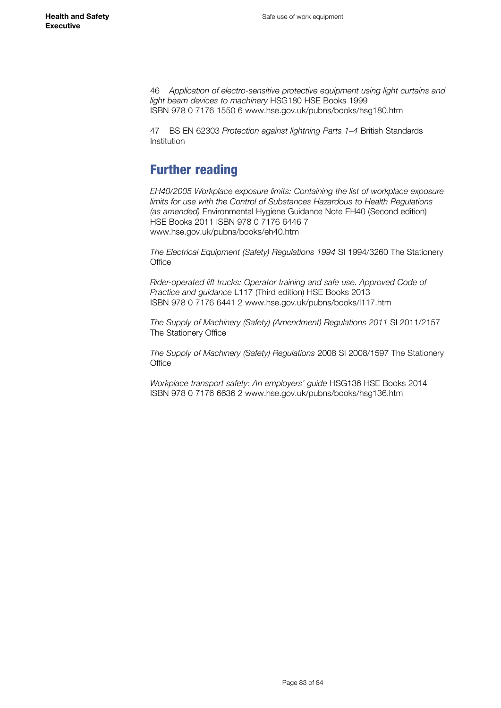46 *Application of electro-sensitive protective equipment using light curtains and light beam devices to machinery* HSG180 HSE Books 1999 ISBN 978 0 7176 1550 6 www.hse.gov.uk/pubns/books/hsg180.htm

47 BS EN 62303 *Protection against lightning Parts 1–4* British Standards Institution

## Further reading

*EH40/2005 Workplace exposure limits: Containing the list of workplace exposure limits for use with the Control of Substances Hazardous to Health Regulations (as amended)* Environmental Hygiene Guidance Note EH40 (Second edition) HSE Books 2011 ISBN 978 0 7176 6446 7 www.hse.gov.uk/pubns/books/eh40.htm

*The Electrical Equipment (Safety) Regulations 1994* SI 1994/3260 The Stationery **Office** 

*Rider-operated lift trucks: Operator training and safe use. Approved Code of Practice and guidance* L117 (Third edition) HSE Books 2013 ISBN 978 0 7176 6441 2 www.hse.gov.uk/pubns/books/l117.htm

*The Supply of Machinery (Safety) (Amendment) Regulations 2011* SI 2011/2157 The Stationery Office

*The Supply of Machinery (Safety) Regulations* 2008 SI 2008/1597 The Stationery **Office** 

*Workplace transport safety: An employers' guide* HSG136 HSE Books 2014 ISBN 978 0 7176 6636 2 www.hse.gov.uk/pubns/books/hsg136.htm